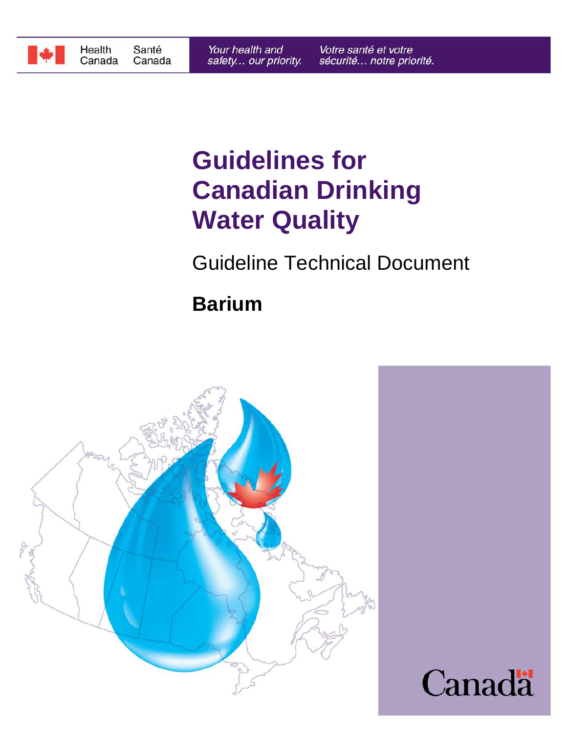

# **Water Quality Canadian Drinking Guidelines for**

Guideline Technical Document

# **Barium**

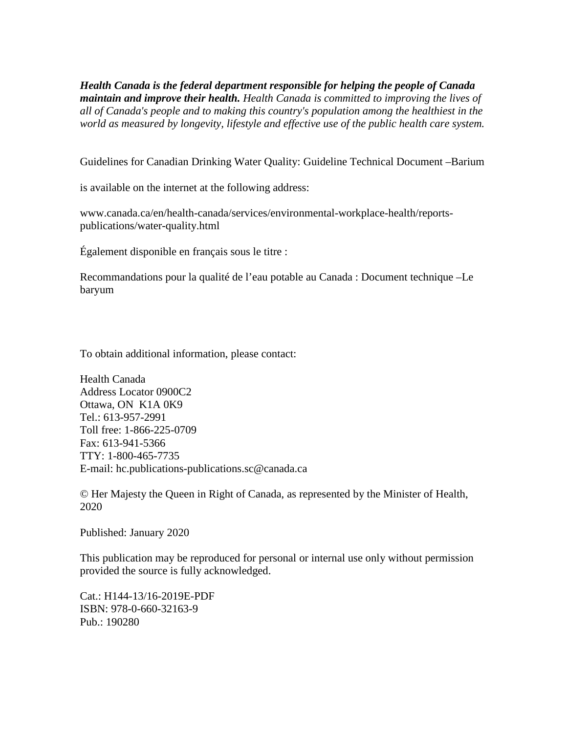*world as measured by longevity, lifestyle and effective use of the public health care system. all of Canada's people and to making this country's population among the healthiest in the maintain and improve their health. Health Canada is committed to improving the lives of Health Canada is the federal department responsible for helping the people of Canada*

Guidelines for Canadian Drinking Water Quality: Guideline Technical Document –Barium

is available on the internet at the following address:

publications/water-quality.html www.canada.ca/en/health-canada/services/environmental-workplace-health/reports-

Également disponible en français sous le titre :

baryum Recommandations pour la qualité de l'eau potable au Canada : Document technique –Le

To obtain additional information, please contact:

E-mail: hc.publications-publications.sc@canada.ca TTY: 1-800-465-7735 Fax: 613-941-5366 Toll free: 1-866-225-0709 Tel.: 613-957-2991 Ottawa, ON K1A 0K9 Address Locator 0900C2 Health Canada

2020 © Her Majesty the Queen in Right of Canada, as represented by the Minister of Health,

Published: January 2020

provided the source is fully acknowledged. This publication may be reproduced for personal or internal use only without permission

Pub.: 190280 ISBN: 978-0-660-32163-9 Cat.: H144-13/16-2019E-PDF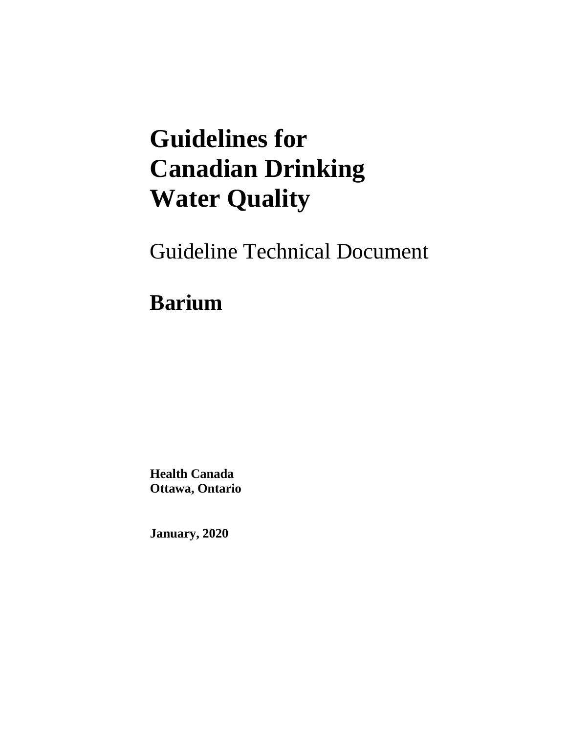# **Guidelines for Canadian Drinking Water Quality**

Guideline Technical Document

# **Barium**

**Health Canada Ottawa, Ontario**

**January, 2020**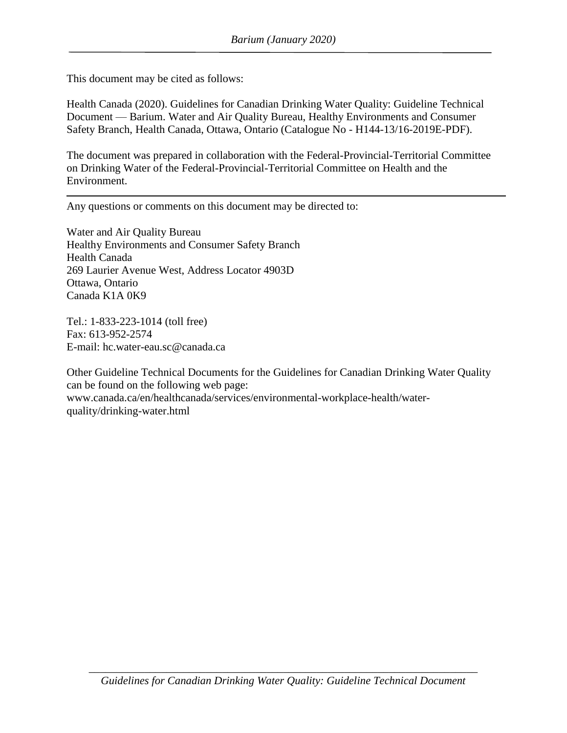This document may be cited as follows:

Health Canada (2020). Guidelines for Canadian Drinking Water Quality: Guideline Technical Document — Barium. Water and Air Quality Bureau, Healthy Environments and Consumer Safety Branch, Health Canada, Ottawa, Ontario (Catalogue No - H144-13/16-2019E-PDF).

The document was prepared in collaboration with the Federal-Provincial-Territorial Committee on Drinking Water of the Federal-Provincial-Territorial Committee on Health and the Environment.

Any questions or comments on this document may be directed to:

Water and Air Quality Bureau Healthy Environments and Consumer Safety Branch Health Canada 269 Laurier Avenue West, Address Locator 4903D Ottawa, Ontario Canada K1A 0K9

Tel.: 1-833-223-1014 (toll free) Fax: 613-952-2574 E-mail: hc.water-eau.sc@canada.ca

Other Guideline Technical Documents for the Guidelines for Canadian Drinking Water Quality can be found on the following web page: www.canada.ca/en/healthcanada/services/environmental-workplace-health/waterquality/drinking-water.html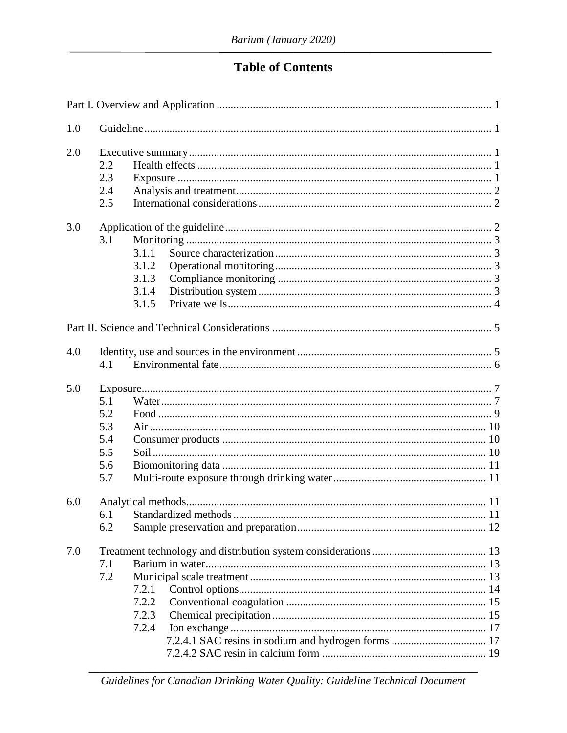# **Table of Contents**

| 1.0 |                                                |                                           |  |  |  |
|-----|------------------------------------------------|-------------------------------------------|--|--|--|
| 2.0 | 2.2<br>2.3<br>2.4<br>2.5                       |                                           |  |  |  |
| 3.0 | 3.1                                            | 3.1.1<br>3.1.2<br>3.1.3<br>3.1.4<br>3.1.5 |  |  |  |
|     |                                                |                                           |  |  |  |
| 4.0 | 4.1                                            |                                           |  |  |  |
| 5.0 | 5.1<br>5.2<br>5.3<br>5.4<br>5.5<br>5.6<br>5.7  |                                           |  |  |  |
| 6.0 | 6.1<br>6.2                                     |                                           |  |  |  |
| 7.0 | 7.1<br>7.2<br>7.2.1<br>7.2.2<br>7.2.3<br>7.2.4 |                                           |  |  |  |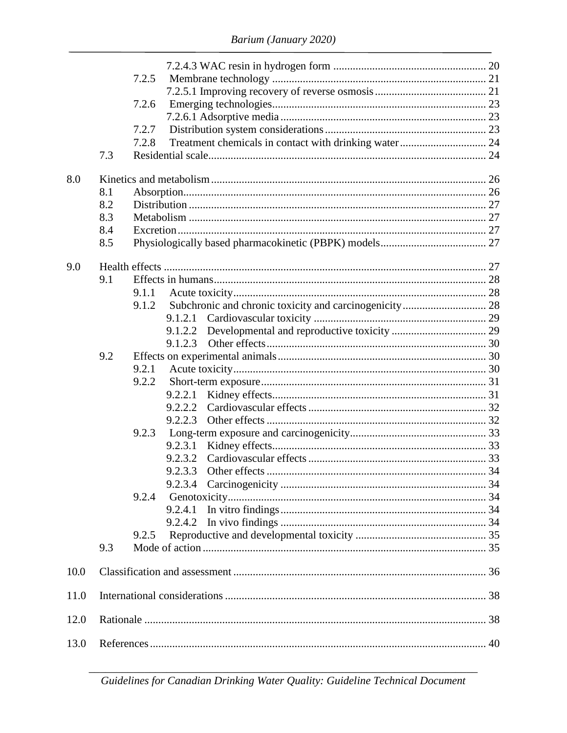|      |     | 7.2.5 |         |                       |  |  |
|------|-----|-------|---------|-----------------------|--|--|
|      |     |       |         |                       |  |  |
|      |     | 7.2.6 |         |                       |  |  |
|      |     |       |         |                       |  |  |
|      |     | 7.2.7 |         |                       |  |  |
|      |     | 7.2.8 |         |                       |  |  |
|      | 7.3 |       |         |                       |  |  |
| 8.0  |     |       |         |                       |  |  |
|      | 8.1 |       |         |                       |  |  |
|      | 8.2 |       |         |                       |  |  |
|      | 8.3 |       |         |                       |  |  |
|      | 8.4 |       |         |                       |  |  |
|      | 8.5 |       |         |                       |  |  |
|      |     |       |         |                       |  |  |
| 9.0  |     |       |         |                       |  |  |
|      | 9.1 |       |         |                       |  |  |
|      |     | 9.1.1 |         |                       |  |  |
|      |     | 9.1.2 |         |                       |  |  |
|      |     |       |         |                       |  |  |
|      |     |       | 9.1.2.2 |                       |  |  |
|      |     |       | 9.1.2.3 |                       |  |  |
|      | 9.2 |       |         |                       |  |  |
|      |     | 9.2.1 |         |                       |  |  |
|      |     | 9.2.2 |         |                       |  |  |
|      |     |       | 9.2.2.1 |                       |  |  |
|      |     |       | 9.2.2.2 |                       |  |  |
|      |     |       | 9.2.2.3 |                       |  |  |
|      |     | 9.2.3 |         |                       |  |  |
|      |     |       | 9.2.3.1 |                       |  |  |
|      |     |       | 9.2.3.2 |                       |  |  |
|      |     |       |         | 9.2.3.3 Other effects |  |  |
|      |     |       |         |                       |  |  |
|      |     | 9.2.4 |         |                       |  |  |
|      |     |       | 9.2.4.1 |                       |  |  |
|      |     |       | 9.2.4.2 |                       |  |  |
|      |     | 9.2.5 |         |                       |  |  |
|      | 9.3 |       |         |                       |  |  |
|      |     |       |         |                       |  |  |
| 10.0 |     |       |         |                       |  |  |
| 11.0 |     |       |         |                       |  |  |
| 12.0 |     |       |         |                       |  |  |
| 13.0 |     |       |         |                       |  |  |

Guidelines for Canadian Drinking Water Quality: Guideline Technical Document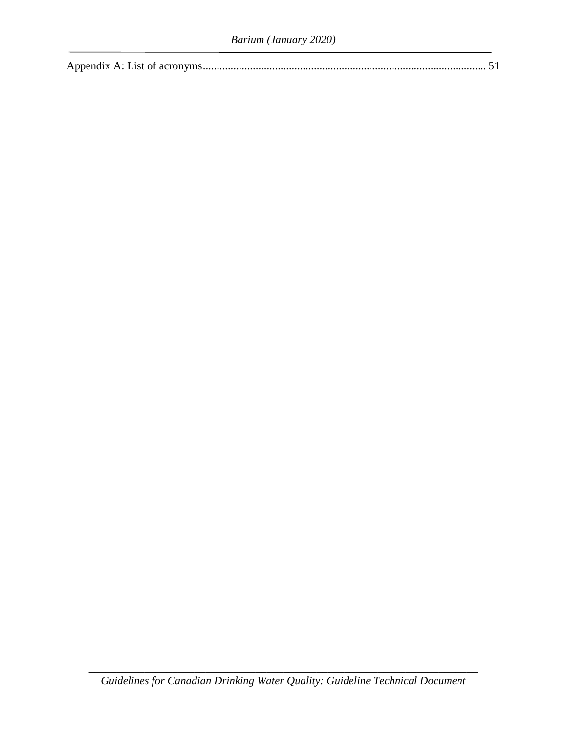|--|

\_\_\_\_\_\_\_\_\_\_\_\_\_\_\_\_\_\_\_\_\_\_\_\_\_\_\_\_\_\_\_\_\_\_\_\_\_\_\_\_\_\_\_\_\_\_\_\_\_\_\_\_\_\_\_\_\_\_\_\_\_\_\_\_\_\_\_\_\_\_ *Guidelines for Canadian Drinking Water Quality: Guideline Technical Document*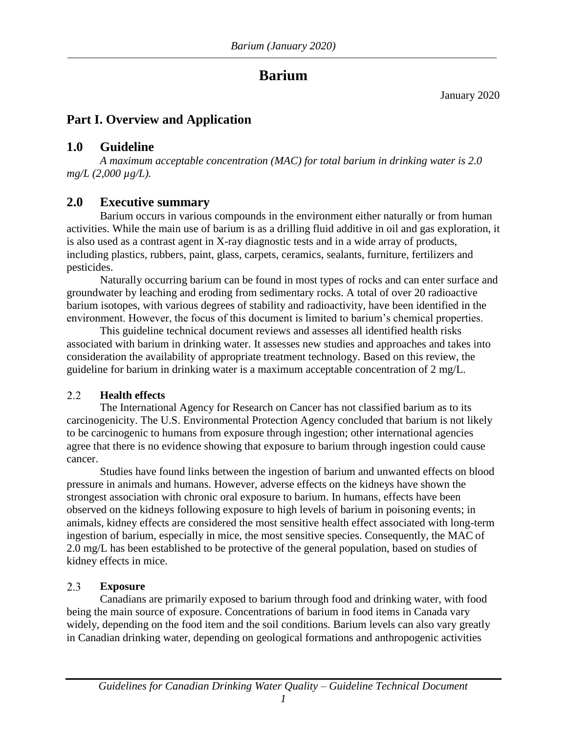# **Barium**

January 2020

# <span id="page-7-0"></span>**Part I. Overview and Application**

# <span id="page-7-1"></span>**1.0 Guideline**

*A maximum acceptable concentration (MAC) for total barium in drinking water is 2.0 mg/L (2,000 µg/L).*

# <span id="page-7-2"></span>**2.0 Executive summary**

Barium occurs in various compounds in the environment either naturally or from human activities. While the main use of barium is as a drilling fluid additive in oil and gas exploration, it is also used as a contrast agent in X-ray diagnostic tests and in a wide array of products, including plastics, rubbers, paint, glass, carpets, ceramics, sealants, furniture, fertilizers and pesticides.

Naturally occurring barium can be found in most types of rocks and can enter surface and groundwater by leaching and eroding from sedimentary rocks. A total of over 20 radioactive barium isotopes, with various degrees of stability and radioactivity, have been identified in the environment. However, the focus of this document is limited to barium's chemical properties.

This guideline technical document reviews and assesses all identified health risks associated with barium in drinking water. It assesses new studies and approaches and takes into consideration the availability of appropriate treatment technology. Based on this review, the guideline for barium in drinking water is a maximum acceptable concentration of 2 mg/L.

#### <span id="page-7-3"></span> $2.2$ **Health effects**

The International Agency for Research on Cancer has not classified barium as to its carcinogenicity. The U.S. Environmental Protection Agency concluded that barium is not likely to be carcinogenic to humans from exposure through ingestion; other international agencies agree that there is no evidence showing that exposure to barium through ingestion could cause cancer.

Studies have found links between the ingestion of barium and unwanted effects on blood pressure in animals and humans. However, adverse effects on the kidneys have shown the strongest association with chronic oral exposure to barium. In humans, effects have been observed on the kidneys following exposure to high levels of barium in poisoning events; in animals, kidney effects are considered the most sensitive health effect associated with long-term ingestion of barium, especially in mice, the most sensitive species. Consequently, the MAC of 2.0 mg/L has been established to be protective of the general population, based on studies of kidney effects in mice.

#### <span id="page-7-4"></span> $2.3$ **Exposure**

Canadians are primarily exposed to barium through food and drinking water, with food being the main source of exposure. Concentrations of barium in food items in Canada vary widely, depending on the food item and the soil conditions. Barium levels can also vary greatly in Canadian drinking water, depending on geological formations and anthropogenic activities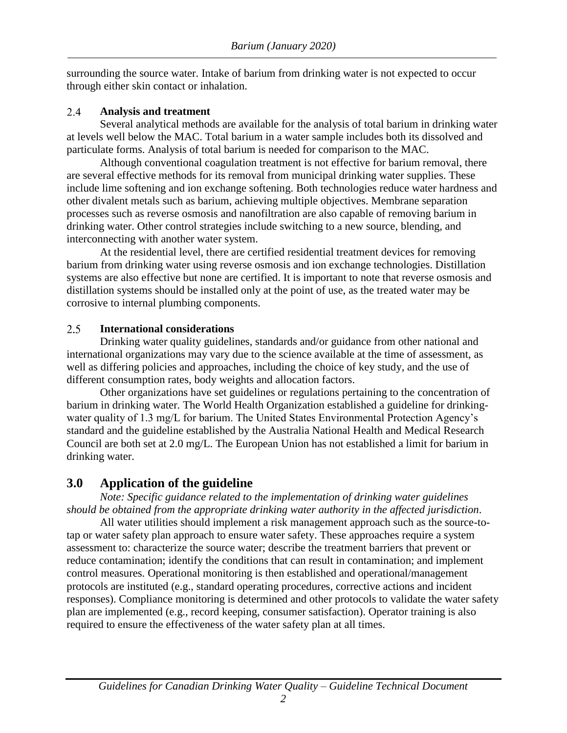surrounding the source water. Intake of barium from drinking water is not expected to occur through either skin contact or inhalation.

#### <span id="page-8-0"></span> $2.4$ **Analysis and treatment**

Several analytical methods are available for the analysis of total barium in drinking water at levels well below the MAC. Total barium in a water sample includes both its dissolved and particulate forms. Analysis of total barium is needed for comparison to the MAC.

Although conventional coagulation treatment is not effective for barium removal, there are several effective methods for its removal from municipal drinking water supplies. These include lime softening and ion exchange softening. Both technologies reduce water hardness and other divalent metals such as barium, achieving multiple objectives. Membrane separation processes such as reverse osmosis and nanofiltration are also capable of removing barium in drinking water. Other control strategies include switching to a new source, blending, and interconnecting with another water system.

At the residential level, there are certified residential treatment devices for removing barium from drinking water using reverse osmosis and ion exchange technologies. Distillation systems are also effective but none are certified. It is important to note that reverse osmosis and distillation systems should be installed only at the point of use, as the treated water may be corrosive to internal plumbing components.

#### <span id="page-8-1"></span> $2.5$ **International considerations**

Drinking water quality guidelines, standards and/or guidance from other national and international organizations may vary due to the science available at the time of assessment, as well as differing policies and approaches, including the choice of key study, and the use of different consumption rates, body weights and allocation factors.

Other organizations have set guidelines or regulations pertaining to the concentration of barium in drinking water. The World Health Organization established a guideline for drinkingwater quality of 1.3 mg/L for barium. The United States Environmental Protection Agency's standard and the guideline established by the Australia National Health and Medical Research Council are both set at 2.0 mg/L. The European Union has not established a limit for barium in drinking water.

# <span id="page-8-2"></span>**3.0 Application of the guideline**

*Note: Specific guidance related to the implementation of drinking water guidelines should be obtained from the appropriate drinking water authority in the affected jurisdiction*.

All water utilities should implement a risk management approach such as the source-totap or water safety plan approach to ensure water safety. These approaches require a system assessment to: characterize the source water; describe the treatment barriers that prevent or reduce contamination; identify the conditions that can result in contamination; and implement control measures. Operational monitoring is then established and operational/management protocols are instituted (e.g., standard operating procedures, corrective actions and incident responses). Compliance monitoring is determined and other protocols to validate the water safety plan are implemented (e.g., record keeping, consumer satisfaction). Operator training is also required to ensure the effectiveness of the water safety plan at all times.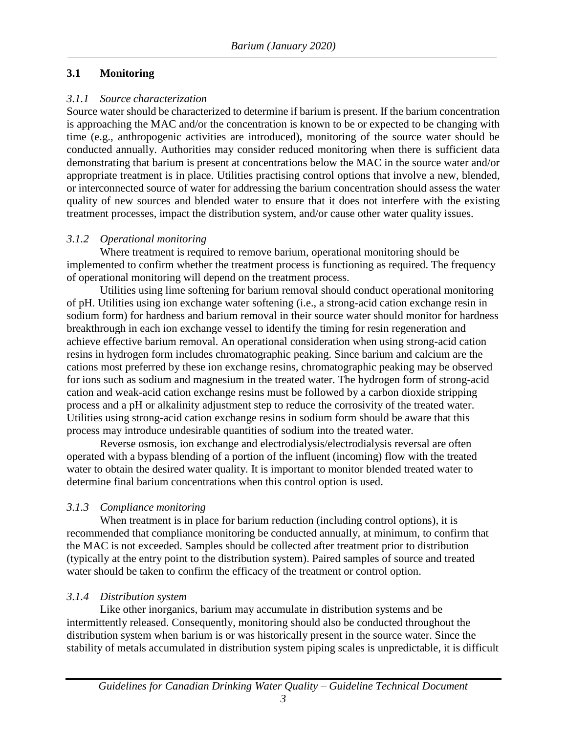#### <span id="page-9-0"></span>**3.1 Monitoring**

#### <span id="page-9-1"></span>*3.1.1 Source characterization*

Source water should be characterized to determine if barium is present. If the barium concentration is approaching the MAC and/or the concentration is known to be or expected to be changing with time (e.g., anthropogenic activities are introduced), monitoring of the source water should be conducted annually. Authorities may consider reduced monitoring when there is sufficient data demonstrating that barium is present at concentrations below the MAC in the source water and/or appropriate treatment is in place. Utilities practising control options that involve a new, blended, or interconnected source of water for addressing the barium concentration should assess the water quality of new sources and blended water to ensure that it does not interfere with the existing treatment processes, impact the distribution system, and/or cause other water quality issues.

#### <span id="page-9-2"></span>*3.1.2 Operational monitoring*

Where treatment is required to remove barium, operational monitoring should be implemented to confirm whether the treatment process is functioning as required. The frequency of operational monitoring will depend on the treatment process.

Utilities using lime softening for barium removal should conduct operational monitoring of pH. Utilities using ion exchange water softening (i.e., a strong-acid cation exchange resin in sodium form) for hardness and barium removal in their source water should monitor for hardness breakthrough in each ion exchange vessel to identify the timing for resin regeneration and achieve effective barium removal. An operational consideration when using strong-acid cation resins in hydrogen form includes chromatographic peaking. Since barium and calcium are the cations most preferred by these ion exchange resins, chromatographic peaking may be observed for ions such as sodium and magnesium in the treated water. The hydrogen form of strong-acid cation and weak-acid cation exchange resins must be followed by a carbon dioxide stripping process and a pH or alkalinity adjustment step to reduce the corrosivity of the treated water. Utilities using strong-acid cation exchange resins in sodium form should be aware that this process may introduce undesirable quantities of sodium into the treated water.

Reverse osmosis, ion exchange and electrodialysis/electrodialysis reversal are often operated with a bypass blending of a portion of the influent (incoming) flow with the treated water to obtain the desired water quality. It is important to monitor blended treated water to determine final barium concentrations when this control option is used.

### <span id="page-9-3"></span>*3.1.3 Compliance monitoring*

When treatment is in place for barium reduction (including control options), it is recommended that compliance monitoring be conducted annually, at minimum, to confirm that the MAC is not exceeded. Samples should be collected after treatment prior to distribution (typically at the entry point to the distribution system). Paired samples of source and treated water should be taken to confirm the efficacy of the treatment or control option.

#### <span id="page-9-4"></span>*3.1.4 Distribution system*

Like other inorganics, barium may accumulate in distribution systems and be intermittently released. Consequently, monitoring should also be conducted throughout the distribution system when barium is or was historically present in the source water. Since the stability of metals accumulated in distribution system piping scales is unpredictable, it is difficult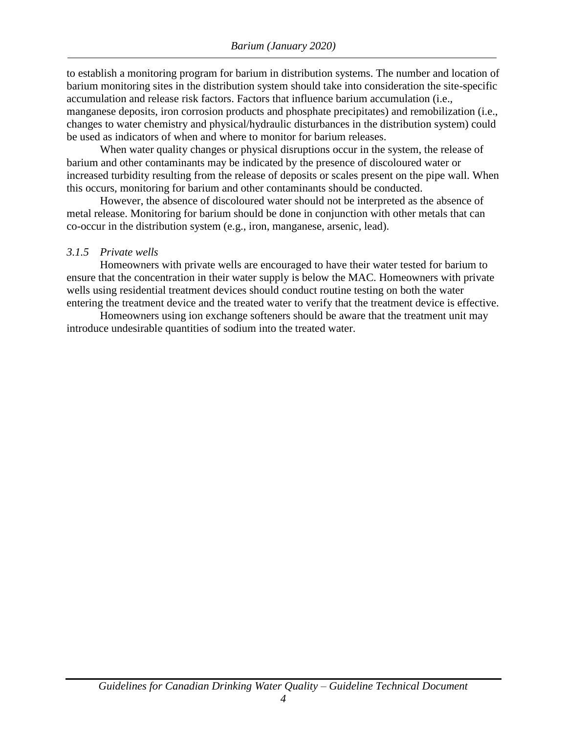to establish a monitoring program for barium in distribution systems. The number and location of barium monitoring sites in the distribution system should take into consideration the site-specific accumulation and release risk factors. Factors that influence barium accumulation (i.e., manganese deposits, iron corrosion products and phosphate precipitates) and remobilization (i.e., changes to water chemistry and physical/hydraulic disturbances in the distribution system) could be used as indicators of when and where to monitor for barium releases.

When water quality changes or physical disruptions occur in the system, the release of barium and other contaminants may be indicated by the presence of discoloured water or increased turbidity resulting from the release of deposits or scales present on the pipe wall. When this occurs, monitoring for barium and other contaminants should be conducted.

However, the absence of discoloured water should not be interpreted as the absence of metal release. Monitoring for barium should be done in conjunction with other metals that can co-occur in the distribution system (e.g., iron, manganese, arsenic, lead).

#### <span id="page-10-0"></span>*3.1.5 Private wells*

Homeowners with private wells are encouraged to have their water tested for barium to ensure that the concentration in their water supply is below the MAC. Homeowners with private wells using residential treatment devices should conduct routine testing on both the water entering the treatment device and the treated water to verify that the treatment device is effective.

Homeowners using ion exchange softeners should be aware that the treatment unit may introduce undesirable quantities of sodium into the treated water.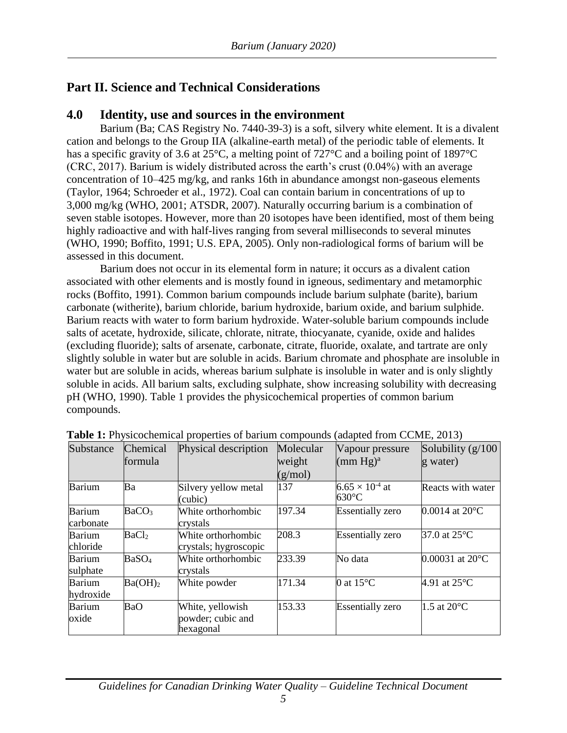# <span id="page-11-0"></span>**Part II. Science and Technical Considerations**

#### <span id="page-11-1"></span>**4.0 Identity, use and sources in the environment**

Barium (Ba; CAS Registry No. 7440-39-3) is a soft, silvery white element. It is a divalent cation and belongs to the Group IIA (alkaline-earth metal) of the periodic table of elements. It has a specific gravity of 3.6 at 25 °C, a melting point of 727 °C and a boiling point of 1897 °C (CRC, 2017). Barium is widely distributed across the earth's crust (0.04%) with an average concentration of 10–425 mg/kg, and ranks 16th in abundance amongst non-gaseous elements (Taylor, 1964; Schroeder et al., 1972). Coal can contain barium in concentrations of up to 3,000 mg/kg (WHO, 2001; ATSDR, 2007). Naturally occurring barium is a combination of seven stable isotopes. However, more than 20 isotopes have been identified, most of them being highly radioactive and with half-lives ranging from several milliseconds to several minutes (WHO, 1990; Boffito, 1991; U.S. EPA, 2005). Only non-radiological forms of barium will be assessed in this document.

Barium does not occur in its elemental form in nature; it occurs as a divalent cation associated with other elements and is mostly found in igneous, sedimentary and metamorphic rocks (Boffito, 1991). Common barium compounds include barium sulphate (barite), barium carbonate (witherite), barium chloride, barium hydroxide, barium oxide, and barium sulphide. Barium reacts with water to form barium hydroxide. Water-soluble barium compounds include salts of acetate, hydroxide, silicate, chlorate, nitrate, thiocyanate, cyanide, oxide and halides (excluding fluoride); salts of arsenate, carbonate, citrate, fluoride, oxalate, and tartrate are only slightly soluble in water but are soluble in acids. Barium chromate and phosphate are insoluble in water but are soluble in acids, whereas barium sulphate is insoluble in water and is only slightly soluble in acids. All barium salts, excluding sulphate, show increasing solubility with decreasing pH (WHO, 1990). Table 1 provides the physicochemical properties of common barium compounds.

| Substance                  | Chemical<br>formula | Physical description                               | Molecular<br>weight<br>(g/mol) | Vapour pressure<br>$(mm Hg)^a$              | Solubility $(g/100)$<br>g water) |
|----------------------------|---------------------|----------------------------------------------------|--------------------------------|---------------------------------------------|----------------------------------|
| Barium                     | Ba                  | Silvery yellow metal<br>(cubic)                    | 137                            | $6.65 \times 10^{-4}$ at<br>$630^{\circ}$ C | Reacts with water                |
| <b>Barium</b><br>carbonate | BaCO <sub>3</sub>   | White orthorhombic<br>crystals                     | 197.34                         | <b>Essentially zero</b>                     | $0.0014$ at $20^{\circ}$ C       |
| <b>Barium</b><br>chloride  | BaCl <sub>2</sub>   | White orthorhombic<br>crystals; hygroscopic        | 208.3                          | <b>Essentially</b> zero                     | 37.0 at 25°C                     |
| <b>Barium</b><br>sulphate  | BaSO <sub>4</sub>   | White orthorhombic<br>crystals                     | 233.39                         | No data                                     | $0.00031$ at $20^{\circ}$ C      |
| <b>Barium</b><br>hydroxide | Ba(OH) <sub>2</sub> | White powder                                       | 171.34                         | 0 at $15^{\circ}$ C                         | 4.91 at $25^{\circ}$ C           |
| <b>Barium</b><br>oxide     | BaO                 | White, yellowish<br>powder; cubic and<br>hexagonal | 153.33                         | <b>Essentially zero</b>                     | 1.5 at $20^{\circ}$ C            |

**Table 1:** Physicochemical properties of barium compounds (adapted from CCME, 2013)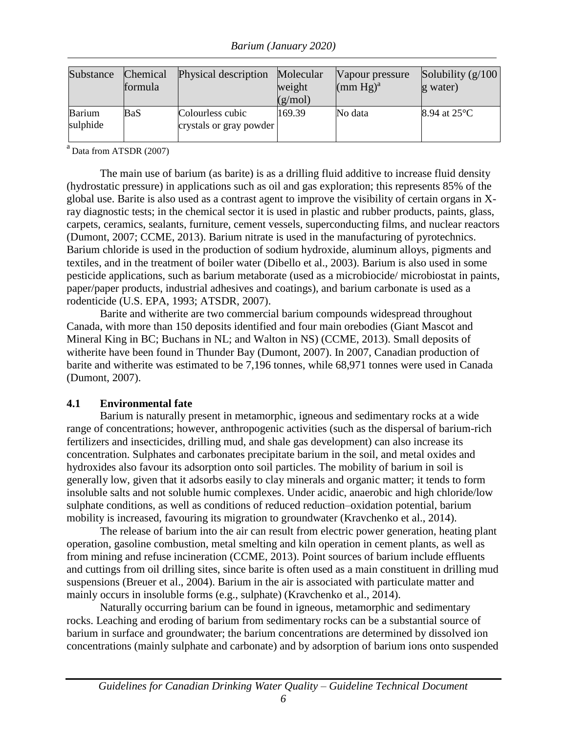*Barium (January 2020)*

| Substance          | Chemical<br>formula | Physical description                        | Molecular<br>weight<br>(g/mol) | Vapour pressure<br>(mm Hg) <sup>a</sup> | Solubility $(g/100)$<br>g water) |
|--------------------|---------------------|---------------------------------------------|--------------------------------|-----------------------------------------|----------------------------------|
| Barium<br>sulphide | BaS.                | Colourless cubic<br>crystals or gray powder | 169.39                         | No data                                 | 8.94 at $25^{\circ}$ C           |

 $a<sup>a</sup>$  Data from ATSDR (2007)

The main use of barium (as barite) is as a drilling fluid additive to increase fluid density (hydrostatic pressure) in applications such as oil and gas exploration; this represents 85% of the global use. Barite is also used as a contrast agent to improve the visibility of certain organs in Xray diagnostic tests; in the chemical sector it is used in plastic and rubber products, paints, glass, carpets, ceramics, sealants, furniture, cement vessels, superconducting films, and nuclear reactors (Dumont, 2007; CCME, 2013). Barium nitrate is used in the manufacturing of pyrotechnics. Barium chloride is used in the production of sodium hydroxide, aluminum alloys, pigments and textiles, and in the treatment of boiler water (Dibello et al., 2003). Barium is also used in some pesticide applications, such as barium metaborate (used as a microbiocide/ microbiostat in paints, paper/paper products, industrial adhesives and coatings), and barium carbonate is used as a rodenticide (U.S. EPA, 1993; ATSDR, 2007).

Barite and witherite are two commercial barium compounds widespread throughout Canada, with more than 150 deposits identified and four main orebodies (Giant Mascot and Mineral King in BC; Buchans in NL; and Walton in NS) (CCME, 2013). Small deposits of witherite have been found in Thunder Bay (Dumont, 2007). In 2007, Canadian production of barite and witherite was estimated to be 7,196 tonnes, while 68,971 tonnes were used in Canada (Dumont, 2007).

#### <span id="page-12-0"></span>**4.1 Environmental fate**

Barium is naturally present in metamorphic, igneous and sedimentary rocks at a wide range of concentrations; however, anthropogenic activities (such as the dispersal of barium-rich fertilizers and insecticides, drilling mud, and shale gas development) can also increase its concentration. Sulphates and carbonates precipitate barium in the soil, and metal oxides and hydroxides also favour its adsorption onto soil particles. The mobility of barium in soil is generally low, given that it adsorbs easily to clay minerals and organic matter; it tends to form insoluble salts and not soluble humic complexes. Under acidic, anaerobic and high chloride/low sulphate conditions, as well as conditions of reduced reduction–oxidation potential, barium mobility is increased, favouring its migration to groundwater (Kravchenko et al., 2014).

The release of barium into the air can result from electric power generation, heating plant operation, gasoline combustion, metal smelting and kiln operation in cement plants, as well as from mining and refuse incineration (CCME, 2013). Point sources of barium include effluents and cuttings from oil drilling sites, since barite is often used as a main constituent in drilling mud suspensions (Breuer et al., 2004). Barium in the air is associated with particulate matter and mainly occurs in insoluble forms (e.g., sulphate) (Kravchenko et al., 2014).

Naturally occurring barium can be found in igneous, metamorphic and sedimentary rocks. Leaching and eroding of barium from sedimentary rocks can be a substantial source of barium in surface and groundwater; the barium concentrations are determined by dissolved ion concentrations (mainly sulphate and carbonate) and by adsorption of barium ions onto suspended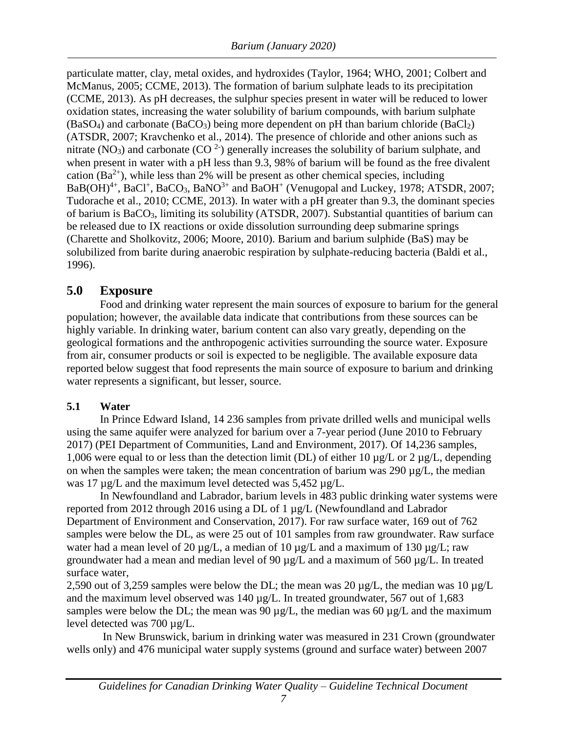particulate matter, clay, metal oxides, and hydroxides (Taylor, 1964; WHO, 2001; Colbert and McManus, 2005; CCME, 2013). The formation of barium sulphate leads to its precipitation (CCME, 2013). As pH decreases, the sulphur species present in water will be reduced to lower oxidation states, increasing the water solubility of barium compounds, with barium sulphate  $(BaSO<sub>4</sub>)$  and carbonate  $(BaCO<sub>3</sub>)$  being more dependent on pH than barium chloride  $(BaCl<sub>2</sub>)$ (ATSDR, 2007; Kravchenko et al., 2014). The presence of chloride and other anions such as nitrate (NO<sub>3</sub>) and carbonate (CO<sup>2-</sup>) generally increases the solubility of barium sulphate, and when present in water with a pH less than 9.3, 98% of barium will be found as the free divalent cation  $(Ba^{2+})$ , while less than 2% will be present as other chemical species, including  $BaB(OH)<sup>4+</sup>, BaCl<sup>+</sup>, BaCO<sub>3</sub>, BaNO<sup>3+</sup> and BaOH<sup>+</sup> (Venugopal and Luckily, 1978; ATSDR, 2007;$ Tudorache et al., 2010; CCME, 2013). In water with a pH greater than 9.3, the dominant species of barium is BaCO3, limiting its solubility (ATSDR, 2007). Substantial quantities of barium can be released due to IX reactions or oxide dissolution surrounding deep submarine springs (Charette and Sholkovitz, 2006; Moore, 2010). Barium and barium sulphide (BaS) may be solubilized from barite during anaerobic respiration by sulphate-reducing bacteria (Baldi et al., 1996).

#### <span id="page-13-0"></span>**5.0 Exposure**

Food and drinking water represent the main sources of exposure to barium for the general population; however, the available data indicate that contributions from these sources can be highly variable. In drinking water, barium content can also vary greatly, depending on the geological formations and the anthropogenic activities surrounding the source water. Exposure from air, consumer products or soil is expected to be negligible. The available exposure data reported below suggest that food represents the main source of exposure to barium and drinking water represents a significant, but lesser, source.

#### <span id="page-13-1"></span>**5.1 Water**

In Prince Edward Island, 14 236 samples from private drilled wells and municipal wells using the same aquifer were analyzed for barium over a 7-year period (June 2010 to February 2017) (PEI Department of Communities, Land and Environment, 2017). Of 14,236 samples, 1,006 were equal to or less than the detection limit (DL) of either 10 µg/L or 2 µg/L, depending on when the samples were taken; the mean concentration of barium was 290  $\mu$ g/L, the median was 17  $\mu$ g/L and the maximum level detected was 5,452  $\mu$ g/L.

In Newfoundland and Labrador, barium levels in 483 public drinking water systems were reported from 2012 through 2016 using a DL of 1 µg/L (Newfoundland and Labrador Department of Environment and Conservation, 2017). For raw surface water, 169 out of 762 samples were below the DL, as were 25 out of 101 samples from raw groundwater. Raw surface water had a mean level of 20  $\mu$ g/L, a median of 10  $\mu$ g/L and a maximum of 130  $\mu$ g/L; raw groundwater had a mean and median level of 90 µg/L and a maximum of 560 µg/L. In treated surface water,

2,590 out of 3,259 samples were below the DL; the mean was 20  $\mu$ g/L, the median was 10  $\mu$ g/L and the maximum level observed was 140 µg/L. In treated groundwater, 567 out of 1,683 samples were below the DL; the mean was 90  $\mu$ g/L, the median was 60  $\mu$ g/L and the maximum level detected was 700 µg/L.

In New Brunswick, barium in drinking water was measured in 231 Crown (groundwater wells only) and 476 municipal water supply systems (ground and surface water) between 2007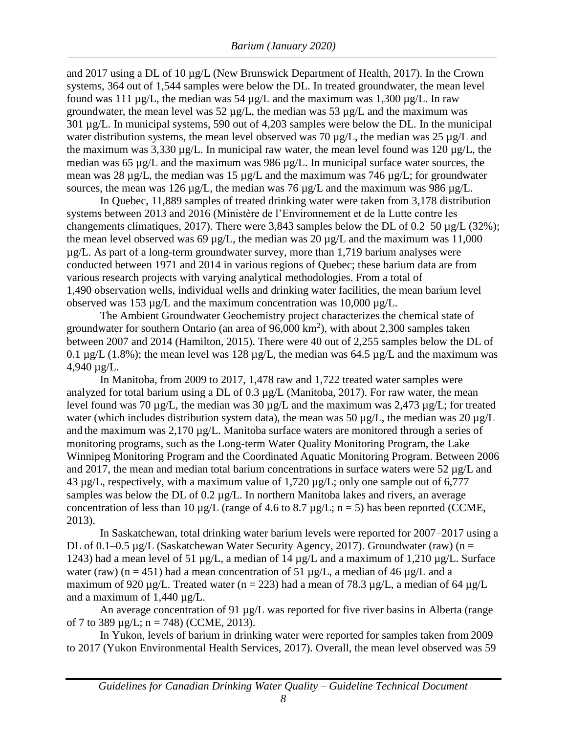and 2017 using a DL of 10 µg/L (New Brunswick Department of Health, 2017). In the Crown systems, 364 out of 1,544 samples were below the DL. In treated groundwater, the mean level found was 111  $\mu$ g/L, the median was 54  $\mu$ g/L and the maximum was 1,300  $\mu$ g/L. In raw groundwater, the mean level was 52  $\mu$ g/L, the median was 53  $\mu$ g/L and the maximum was 301 µg/L. In municipal systems, 590 out of 4,203 samples were below the DL. In the municipal water distribution systems, the mean level observed was 70 µg/L, the median was 25 µg/L and the maximum was 3,330  $\mu$ g/L. In municipal raw water, the mean level found was 120  $\mu$ g/L, the median was 65 µg/L and the maximum was 986 µg/L. In municipal surface water sources, the mean was 28 µg/L, the median was 15 µg/L and the maximum was 746 µg/L; for groundwater sources, the mean was 126 µg/L, the median was 76 µg/L and the maximum was 986 µg/L.

In Quebec, 11,889 samples of treated drinking water were taken from 3,178 distribution systems between 2013 and 2016 (Ministère de l'Environnement et de la Lutte contre les changements climatiques, 2017). There were 3,843 samples below the DL of 0.2–50 µg/L (32%); the mean level observed was 69  $\mu$ g/L, the median was 20  $\mu$ g/L and the maximum was 11,000 µg/L. As part of a long-term groundwater survey, more than 1,719 barium analyses were conducted between 1971 and 2014 in various regions of Quebec; these barium data are from various research projects with varying analytical methodologies. From a total of 1,490 observation wells, individual wells and drinking water facilities, the mean barium level observed was 153  $\mu$ g/L and the maximum concentration was 10,000  $\mu$ g/L.

The Ambient Groundwater Geochemistry project characterizes the chemical state of groundwater for southern Ontario (an area of  $96,000 \text{ km}^2$ ), with about 2,300 samples taken between 2007 and 2014 (Hamilton, 2015). There were 40 out of 2,255 samples below the DL of 0.1  $\mu$ g/L (1.8%); the mean level was 128  $\mu$ g/L, the median was 64.5  $\mu$ g/L and the maximum was 4,940 µg/L.

In Manitoba, from 2009 to 2017, 1,478 raw and 1,722 treated water samples were analyzed for total barium using a DL of 0.3 µg/L (Manitoba, 2017). For raw water, the mean level found was 70 µg/L, the median was 30 µg/L and the maximum was 2,473 µg/L; for treated water (which includes distribution system data), the mean was 50  $\mu$ g/L, the median was 20  $\mu$ g/L and the maximum was  $2,170 \mu g/L$ . Manitoba surface waters are monitored through a series of monitoring programs, such as the Long‐term Water Quality Monitoring Program, the Lake Winnipeg Monitoring Program and the Coordinated Aquatic Monitoring Program. Between 2006 and 2017, the mean and median total barium concentrations in surface waters were 52  $\mu$ g/L and 43 µg/L, respectively, with a maximum value of 1,720 µg/L; only one sample out of 6,777 samples was below the DL of 0.2 µg/L. In northern Manitoba lakes and rivers, an average concentration of less than 10  $\mu$ g/L (range of 4.6 to 8.7  $\mu$ g/L; n = 5) has been reported (CCME, 2013).

In Saskatchewan, total drinking water barium levels were reported for 2007–2017 using a DL of 0.1–0.5  $\mu$ g/L (Saskatchew[an Water S](http://www.refworks.com/refworks2/default.aspx?r=references%7CMainLayout%3A%3Ainit)ecurity Agency, 2017). Groundwater (raw) (n = 1243) had a mean level of 51 µg/L, a median of 14 µg/L and a maximum of 1,210 µg/L. Surface water (raw) (n = 451) had a mean concentration of 51  $\mu$ g/L, a median of 46  $\mu$ g/L and a maximum of 920 µg/L. Treated water (n = 223) had a mean of 78.3 µg/L, a median of 64 µg/L and a maximum of 1,440 µg/L.

An average concentration of 91 µg/L was reported for five river basins in Alberta (range of 7 to 389  $\mu$ g/L; n = 748) (CCME, 2013).

In Yukon, levels of barium in drinking water were reported for samples taken from 2009 to 2017 (Yukon Environmental Health Services, 2017). Overall, the mean level observed was 59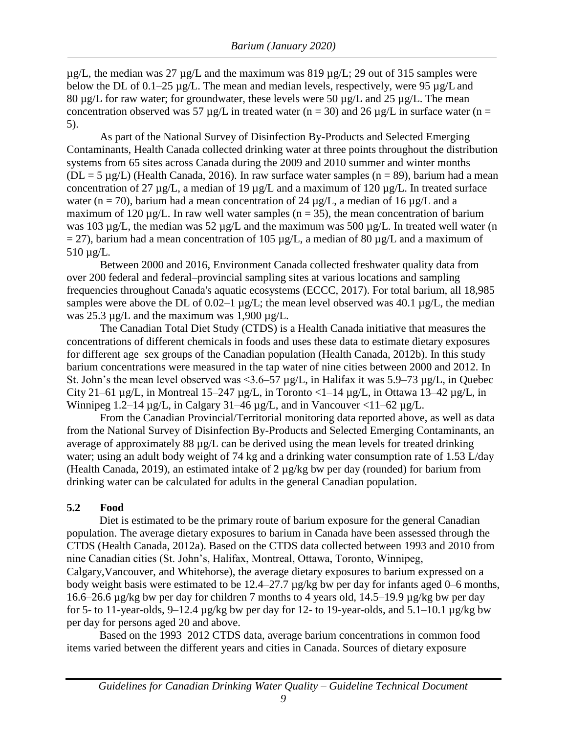$\mu$ g/L, the median was 27  $\mu$ g/L and the maximum was 819  $\mu$ g/L; 29 out of 315 samples were below the DL of 0.1–25  $\mu$ g/L. The mean and median levels, respectively, were 95  $\mu$ g/L and 80 µg/L for raw water; for groundwater, these levels were 50 µg/L and 25 µg/L. The mean concentration observed was 57  $\mu$ g/L in treated water (n = 30) and 26  $\mu$ g/L in surface water (n = 5).

As part of the National Survey of Disinfection By-Products and Selected Emerging Contaminants, Health Canada collected drinking water at three points throughout the distribution systems from 65 sites across Canada during the 2009 and 2010 summer and winter months  $(DL = 5 \mu g/L)$  (Health Canada, 2016). In raw surface water samples (n = 89), barium had a mean concentration of 27  $\mu$ g/L, a median of 19  $\mu$ g/L and a maximum of 120  $\mu$ g/L. In treated surface water (n = 70), barium had a mean concentration of 24  $\mu$ g/L, a median of 16  $\mu$ g/L and a maximum of 120  $\mu$ g/L. In raw well water samples (n = 35), the mean concentration of barium was 103 µg/L, the median was 52 µg/L and the maximum was 500 µg/L. In treated well water (n  $= 27$ ), barium had a mean concentration of 105 µg/L, a median of 80 µg/L and a maximum of 510 µg/L.

Between 2000 and 2016, Environment Canada collected freshwater quality data from over 200 federal and federal–provincial sampling sites at various locations and sampling frequencies throughout Canada's aquatic ecosystems (ECCC, 2017). For total barium, all 18,985 samples were above the DL of 0.02–1  $\mu$ g/L; the mean level observed was 40.1  $\mu$ g/L, the median was 25.3 µg/L and the maximum was 1,900 µg/L.

The Canadian Total Diet Study (CTDS) is a Health Canada initiative that measures the concentrations of different chemicals in foods and uses these data to estimate dietary exposures for different age–sex groups of the Canadian population (Health Canada, 2012b). In this study barium concentrations were measured in the tap water of nine cities between 2000 and 2012. In St. John's the mean level observed was <3.6–57  $\mu$ g/L, in Halifax it was 5.9–73  $\mu$ g/L, in Ouebec City 21–61  $\mu$ g/L, in Montreal 15–247  $\mu$ g/L, in Toronto <1–14  $\mu$ g/L, in Ottawa 13–42  $\mu$ g/L, in Winnipeg 1.2–14  $\mu$ g/L, in Calgary 31–46  $\mu$ g/L, and in Vancouver <11–62  $\mu$ g/L.

From the Canadian Provincial/Territorial monitoring data reported above, as well as data from the National Survey of Disinfection By-Products and Selected Emerging Contaminants, an average of approximately 88 µg/L can be derived using the mean levels for treated drinking water; using an adult body weight of 74 kg and a drinking water consumption rate of 1.53 L/day (Health Canada, 2019), an estimated intake of 2 µg/kg bw per day (rounded) for barium from drinking water can be calculated for adults in the general Canadian population.

#### <span id="page-15-0"></span>**5.2 Food**

Diet is estimated to be the primary route of barium exposure for the general Canadian population. The average dietary exposures to barium in Canada have been assessed through the CTDS (Health Canada, 2012a). Based on the CTDS data collected between 1993 and 2010 from nine Canadian cities (St. John's, Halifax, Montreal, Ottawa, Toronto, Winnipeg, Calgary,Vancouver, and Whitehorse), the average dietary exposures to barium expressed on a body weight basis were estimated to be 12.4–27.7 µg/kg bw per day for infants aged 0–6 months, 16.6–26.6 µg/kg bw per day for children 7 months to 4 years old, 14.5–19.9 µg/kg bw per day for 5- to 11-year-olds, 9–12.4  $\mu$ g/kg bw per day for 12- to 19-year-olds, and 5.1–10.1  $\mu$ g/kg bw per day for persons aged 20 and above.

Based on the 1993–2012 CTDS data, average barium concentrations in common food items varied between the different years and cities in Canada. Sources of dietary exposure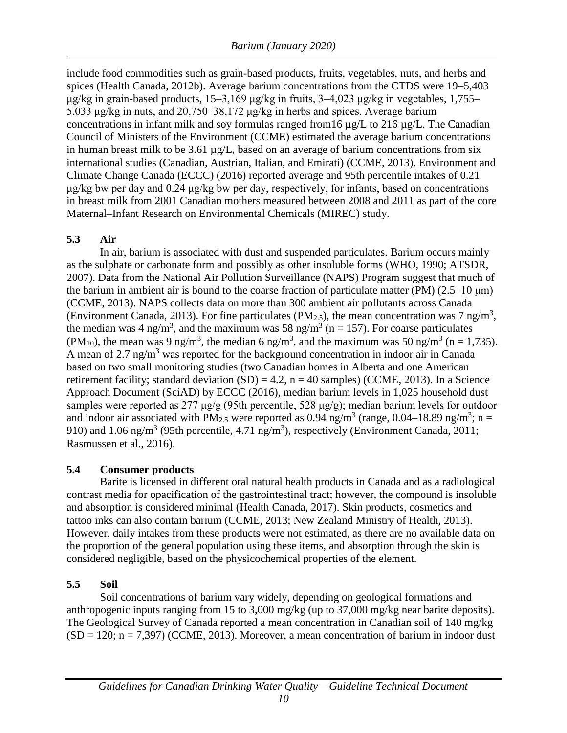include food commodities such as grain-based products, fruits, vegetables, nuts, and herbs and spices (Health Canada, 2012b). Average barium concentrations from the CTDS were 19–5,403 μg/kg in grain-based products, 15–3,169 μg/kg in fruits, 3–4,023 μg/kg in vegetables, 1,755– 5,033 μg/kg in nuts, and 20,750–38,172 μg/kg in herbs and spices. Average barium concentrations in infant milk and soy formulas ranged from16 µg/L to 216 µg/L. The Canadian Council of Ministers of the Environment (CCME) estimated the average barium concentrations in human breast milk to be  $3.61 \mu g/L$ , based on an average of barium concentrations from six international studies (Canadian, Austrian, Italian, and Emirati) (CCME, 2013). Environment and Climate Change Canada (ECCC) (2016) reported average and 95th percentile intakes of 0.21 μg/kg bw per day and 0.24 μg/kg bw per day, respectively, for infants, based on concentrations in breast milk from 2001 Canadian mothers measured between 2008 and 2011 as part of the core Maternal–Infant Research on Environmental Chemicals (MIREC) study.

#### <span id="page-16-0"></span>**5.3 Air**

In air, barium is associated with dust and suspended particulates. Barium occurs mainly as the sulphate or carbonate form and possibly as other insoluble forms (WHO, 1990; ATSDR, 2007). Data from the National Air Pollution Surveillance (NAPS) Program suggest that much of the barium in ambient air is bound to the coarse fraction of particulate matter (PM)  $(2.5-10 \,\mu m)$ (CCME, 2013). NAPS collects data on more than 300 ambient air pollutants across Canada (Environment Canada, 2013). For fine particulates (PM<sub>2.5</sub>), the mean concentration was 7 ng/m<sup>3</sup>, the median was 4 ng/m<sup>3</sup>, and the maximum was 58 ng/m<sup>3</sup> (n = 157). For coarse particulates (PM<sub>10</sub>), the mean was 9 ng/m<sup>3</sup>, the median 6 ng/m<sup>3</sup>, and the maximum was 50 ng/m<sup>3</sup> (n = 1,735). A mean of 2.7 ng/m<sup>3</sup> was reported for the background concentration in indoor air in Canada based on two small monitoring studies (two Canadian homes in Alberta and one American retirement facility; standard deviation  $(SD) = 4.2$ ,  $n = 40$  samples) (CCME, 2013). In a Science Approach Document (SciAD) by ECCC (2016), median barium levels in 1,025 household dust samples were reported as 277 μg/g (95th percentile, 528 μg/g); median barium levels for outdoor and indoor air associated with PM<sub>2.5</sub> were reported as 0.94 ng/m<sup>3</sup> (range, 0.04–18.89 ng/m<sup>3</sup>; n = 910) and 1.06 ng/m<sup>3</sup> (95th percentile, 4.71 ng/m<sup>3</sup>), respectively (Environment Canada, 2011; Rasmussen et al., 2016).

#### <span id="page-16-1"></span>**5.4 Consumer products**

Barite is licensed in different oral natural health products in Canada and as a radiological contrast media for opacification of the gastrointestinal tract; however, the compound is insoluble and absorption is considered minimal (Health Canada, 2017). Skin products, cosmetics and tattoo inks can also contain barium (CCME, 2013; New Zealand Ministry of Health, 2013). However, daily intakes from these products were not estimated, as there are no available data on the proportion of the general population using these items, and absorption through the skin is considered negligible, based on the physicochemical properties of the element.

#### <span id="page-16-2"></span>**5.5 Soil**

Soil concentrations of barium vary widely, depending on geological formations and anthropogenic inputs ranging from 15 to 3,000 mg/kg (up to 37,000 mg/kg near barite deposits). The Geological Survey of Canada reported a mean concentration in Canadian soil of 140 mg/kg  $(SD = 120; n = 7,397)$  (CCME, 2013). Moreover, a mean concentration of barium in indoor dust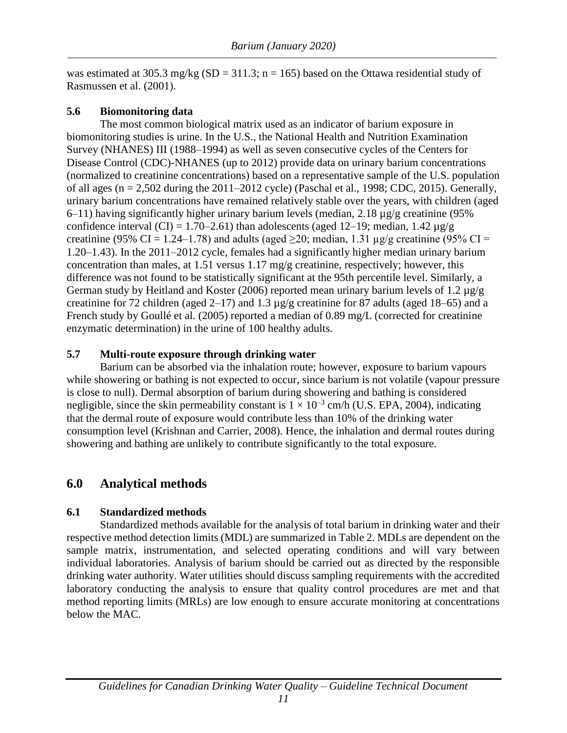was estimated at 305.3 mg/kg (SD = 311.3; n = 165) based on the Ottawa residential study of Rasmussen et al. (2001).

#### <span id="page-17-0"></span>**5.6 Biomonitoring data**

The most common biological matrix used as an indicator of barium exposure in biomonitoring studies is urine. In the U.S., the National Health and Nutrition Examination Survey (NHANES) III (1988–1994) as well as seven consecutive cycles of the Centers for Disease Control (CDC)-NHANES (up to 2012) provide data on urinary barium concentrations (normalized to creatinine concentrations) based on a representative sample of the U.S. population of all ages (n = 2,502 during the 2011–2012 cycle) (Paschal et al., 1998; CDC, 2015). Generally, urinary barium concentrations have remained relatively stable over the years, with children (aged 6–11) having significantly higher urinary barium levels (median,  $2.18 \mu g/g$  creatinine (95%) confidence interval (CI) = 1.70–2.61) than adolescents (aged 12–19; median, 1.42  $\mu$ g/g creatinine (95% CI = 1.24–1.78) and adults (aged  $\geq$ 20; median, 1.31 µg/g creatinine (95% CI = 1.20–1.43). In the 2011–2012 cycle, females had a significantly higher median urinary barium concentration than males, at 1.51 versus 1.17 mg/g creatinine, respectively; however, this difference was not found to be statistically significant at the 95th percentile level. Similarly, a German study by Heitland and Koster (2006) reported mean urinary barium levels of 1.2 µg/g creatinine for 72 children (aged 2–17) and 1.3 µg/g creatinine for 87 adults (aged 18–65) and a French study by Goullé et al. (2005) reported a median of 0.89 mg/L (corrected for creatinine enzymatic determination) in the urine of 100 healthy adults.

#### <span id="page-17-1"></span>**5.7 Multi-route exposure through drinking water**

Barium can be absorbed via the inhalation route; however, exposure to barium vapours while showering or bathing is not expected to occur, since barium is not volatile (vapour pressure is close to null). Dermal absorption of barium during showering and bathing is considered negligible, since the skin permeability constant is  $1 \times 10^{-3}$  cm/h (U.S. EPA, 2004), indicating that the dermal route of exposure would contribute less than 10% of the drinking water consumption level (Krishnan and Carrier, 2008). Hence, the inhalation and dermal routes during showering and bathing are unlikely to contribute significantly to the total exposure.

#### <span id="page-17-2"></span>**6.0 Analytical methods**

#### <span id="page-17-3"></span>**6.1 Standardized methods**

Standardized methods available for the analysis of total barium in drinking water and their respective method detection limits (MDL) are summarized in Table 2. MDLs are dependent on the sample matrix, instrumentation, and selected operating conditions and will vary between individual laboratories. Analysis of barium should be carried out as directed by the responsible drinking water authority. Water utilities should discuss sampling requirements with the accredited laboratory conducting the analysis to ensure that quality control procedures are met and that method reporting limits (MRLs) are low enough to ensure accurate monitoring at concentrations below the MAC.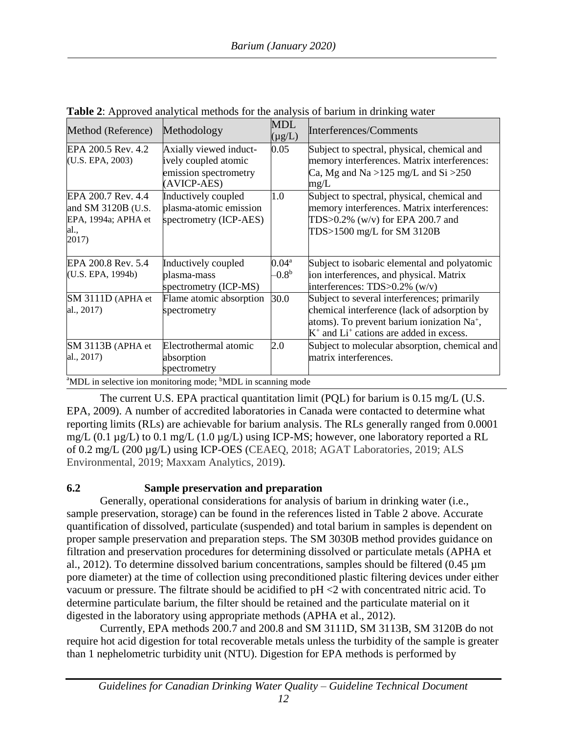| Method (Reference)                                                               | Methodology                                                                                                                                        | <b>MDL</b><br>$(\mu g/L)$        | Interferences/Comments                                                                                                                                                                    |
|----------------------------------------------------------------------------------|----------------------------------------------------------------------------------------------------------------------------------------------------|----------------------------------|-------------------------------------------------------------------------------------------------------------------------------------------------------------------------------------------|
| EPA 200.5 Rev. 4.2<br>(U.S. EPA, 2003)                                           | Axially viewed induct-<br>ively coupled atomic<br>emission spectrometry<br>(AVICP-AES)                                                             | 0.05                             | Subject to spectral, physical, chemical and<br>memory interferences. Matrix interferences:<br>Ca, Mg and Na > $125 \text{ mg/L}$ and Si > $250$<br>mg/L                                   |
| EPA 200.7 Rev. 4.4<br>and SM 3120B (U.S.<br>EPA, 1994a; APHA et<br>al.,<br>2017) | Inductively coupled<br>plasma-atomic emission<br>spectrometry (ICP-AES)                                                                            | 1.0                              | Subject to spectral, physical, chemical and<br>memory interferences. Matrix interferences:<br>TDS>0.2% (w/v) for EPA 200.7 and<br>TDS>1500 mg/L for SM 3120B                              |
| EPA 200.8 Rev. 5.4<br>(U.S. EPA, 1994b)                                          | Inductively coupled<br>plasma-mass<br>spectrometry (ICP-MS)                                                                                        | $0.04^{\rm a}$<br>$-0.8^{\rm b}$ | Subject to isobaric elemental and polyatomic<br>ion interferences, and physical. Matrix<br>interferences: $TDS > 0.2\%$ (w/v)                                                             |
| SM 3111D (APHA et<br>al., 2017)                                                  | Flame atomic absorption<br>spectrometry                                                                                                            | 30.0                             | Subject to several interferences; primarily<br>chemical interference (lack of adsorption by<br>atoms). To prevent barium ionization Na+,<br>$K^+$ and $Li^+$ cations are added in excess. |
| SM 3113B (APHA et<br>al., 2017)                                                  | Electrothermal atomic<br>absorption<br>spectrometry<br>$\frac{1}{2}$ The selection in menitoring med. $\frac{1}{2}$ $\frac{1}{2}$ in economic med. | 2.0                              | Subject to molecular absorption, chemical and<br>matrix interferences.                                                                                                                    |

**Table 2**: Approved analytical methods for the analysis of barium in drinking water

<sup>a</sup>MDL in selective ion monitoring mode; <sup>b</sup>MDL in scanning mode

The current U.S. EPA practical quantitation limit (PQL) for barium is 0.15 mg/L (U.S. EPA, 2009). A number of accredited laboratories in Canada were contacted to determine what reporting limits (RLs) are achievable for barium analysis. The RLs generally ranged from 0.0001 mg/L (0.1  $\mu$ g/L) to 0.1 mg/L (1.0  $\mu$ g/L) using ICP-MS; however, one laboratory reported a RL of 0.2 mg/L (200 µg/L) using ICP-OES (CEAEQ, 2018; AGAT Laboratories, 2019; ALS Environmental, 2019; Maxxam Analytics, 2019).

# <span id="page-18-0"></span>**6.2 Sample preservation and preparation**

Generally, operational considerations for analysis of barium in drinking water (i.e., sample preservation, storage) can be found in the references listed in Table 2 above. Accurate quantification of dissolved, particulate (suspended) and total barium in samples is dependent on proper sample preservation and preparation steps. The SM 3030B method provides guidance on filtration and preservation procedures for determining dissolved or particulate metals (APHA et al., 2012). To determine dissolved barium concentrations, samples should be filtered (0.45 µm pore diameter) at the time of collection using preconditioned plastic filtering devices under either vacuum or pressure. The filtrate should be acidified to pH <2 with concentrated nitric acid. To determine particulate barium, the filter should be retained and the particulate material on it digested in the laboratory using appropriate methods (APHA et al., 2012).

Currently, EPA methods 200.7 and 200.8 and SM 3111D, SM 3113B, SM 3120B do not require hot acid digestion for total recoverable metals unless the turbidity of the sample is greater than 1 nephelometric turbidity unit (NTU). Digestion for EPA methods is performed by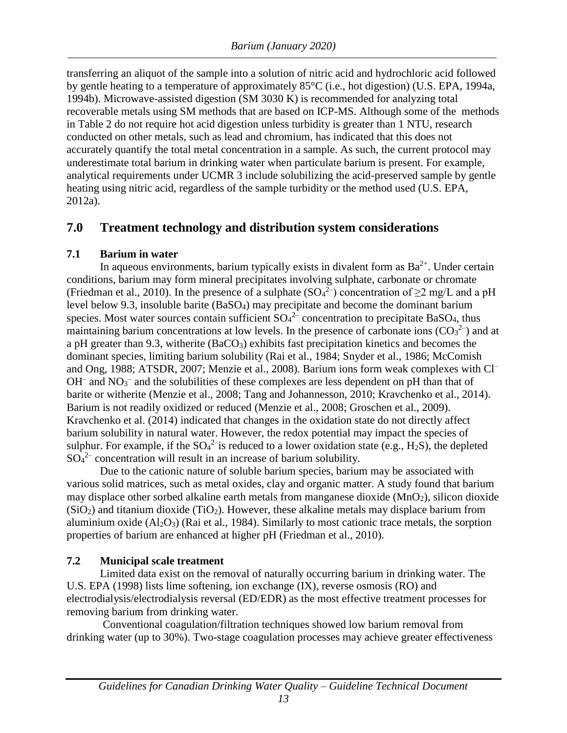transferring an aliquot of the sample into a solution of nitric acid and hydrochloric acid followed by gentle heating to a temperature of approximately 85°C (i.e., hot digestion) (U.S. EPA, 1994a, 1994b). Microwave-assisted digestion (SM 3030 K) is recommended for analyzing total recoverable metals using SM methods that are based on ICP-MS. Although some of the methods in Table 2 do not require hot acid digestion unless turbidity is greater than 1 NTU, research conducted on other metals, such as lead and chromium, has indicated that this does not accurately quantify the total metal concentration in a sample. As such, the current protocol may underestimate total barium in drinking water when particulate barium is present. For example, analytical requirements under UCMR 3 include solubilizing the acid-preserved sample by gentle heating using nitric acid, regardless of the sample turbidity or the method used (U.S. EPA, 2012a).

#### <span id="page-19-0"></span>**7.0 Treatment technology and distribution system considerations**

#### <span id="page-19-1"></span>**7.1 Barium in water**

In aqueous environments, barium typically exists in divalent form as  $Ba^{2+}$ . Under certain conditions, barium may form mineral precipitates involving sulphate, carbonate or chromate (Friedman et al., 2010). In the presence of a sulphate  $(SO<sub>4</sub><sup>2–</sup>)$  concentration of  $\geq$ 2 mg/L and a pH level below 9.3, insoluble barite (BaSO4) may precipitate and become the dominant barium species. Most water sources contain sufficient  $SO_4^2$  concentration to precipitate BaSO<sub>4</sub>, thus maintaining barium concentrations at low levels. In the presence of carbonate ions  $(CO<sub>3</sub><sup>2</sup>)$  and at a pH greater than 9.3, witherite  $(BaCO<sub>3</sub>)$  exhibits fast precipitation kinetics and becomes the dominant species, limiting barium solubility (Rai et al., 1984; Snyder et al., 1986; McComish and Ong, 1988; ATSDR, 2007; Menzie et al., 2008). Barium ions form weak complexes with Cl–  $OH^-$  and  $NO_3^-$  and the solubilities of these complexes are less dependent on pH than that of barite or witherite (Menzie et al., 2008; Tang and Johannesson, 2010; Kravchenko et al., 2014). Barium is not readily oxidized or reduced (Menzie et al., 2008; Groschen et al., 2009). Kravchenko et al. (2014) indicated that changes in the oxidation state do not directly affect barium solubility in natural water. However, the redox potential may impact the species of sulphur. For example, if the  $SO_4^2$  is reduced to a lower oxidation state (e.g., H<sub>2</sub>S), the depleted  $SO<sub>4</sub><sup>2–</sup>$  concentration will result in an increase of barium solubility.

Due to the cationic nature of soluble barium species, barium may be associated with various solid matrices, such as metal oxides, clay and organic matter. A study found that barium may displace other sorbed alkaline earth metals from manganese dioxide ( $MnO<sub>2</sub>$ ), silicon dioxide  $(SiO<sub>2</sub>)$  and titanium dioxide (TiO<sub>2</sub>). However, these alkaline metals may displace barium from aluminium oxide  $(A<sub>12</sub>O<sub>3</sub>)$  (Rai et al., 1984). Similarly to most cationic trace metals, the sorption properties of barium are enhanced at higher pH (Friedman et al., 2010).

#### <span id="page-19-2"></span>**7.2 Municipal scale treatment**

Limited data exist on the removal of naturally occurring barium in drinking water. The U.S. EPA (1998) lists lime softening, ion exchange (IX), reverse osmosis (RO) and electrodialysis/electrodialysis reversal (ED/EDR) as the most effective treatment processes for removing barium from drinking water.

Conventional coagulation/filtration techniques showed low barium removal from drinking water (up to 30%). Two-stage coagulation processes may achieve greater effectiveness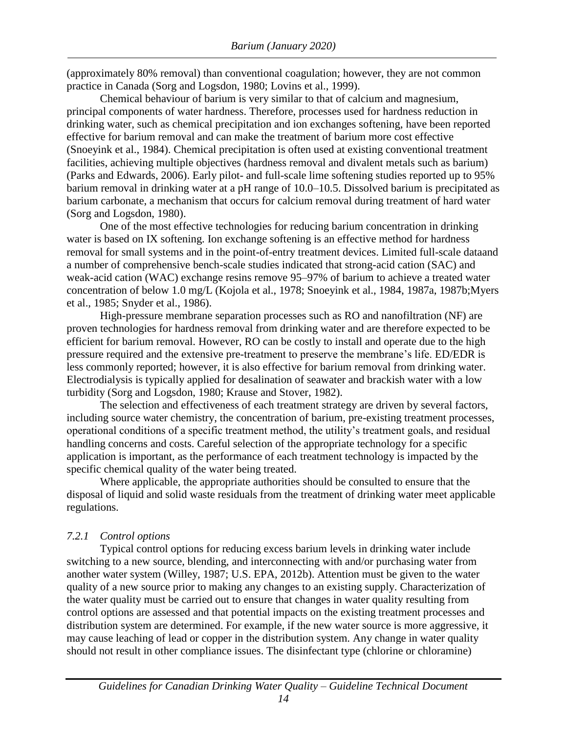practice in Canada (Sorg and Logsdon, 1980; Lovins et al., 1999). (approximately 80% removal) than conventional coagulation; however, they are not common

(Sorg and Logsdon, 1980). barium carbonate, a mechanism that occurs for calcium removal during treatment of hard water barium removal in drinking water at a pH range of 10.0–10.5. Dissolved barium is precipitated as (Parks and Edwards, 2006). Early pilot- and full-scale lime softening studies reported up to 95% facilities, achieving multiple objectives (hardness removal and divalent metals such as barium) (Snoeyink et al., 1984). Chemical precipitation is often used at existing conventional treatment effective for barium removal and can make the treatment of barium more cost effective drinking water, such as chemical precipitation and ion exchanges softening, have been reported principal components of water hardness. Therefore, processes used for hardness reduction in Chemical behaviour of barium is very similar to that of calcium and magnesium,

et al., 1985; Snyder et al., 1986). concentration of below 1.0 mg/L (Kojola et al., 1978; Snoeyink et al., 1984, 1987a, 1987b;Myers weak-acid cation (WAC) exchange resins remove 95–97% of barium to achieve a treated water a number of comprehensive bench-scale studies indicated that strong-acid cation (SAC) and removal for small systems and in the point-of-entry treatment devices. Limited full-scale dataand water is based on IX softening. Ion exchange softening is an effective method for hardness One of the most effective technologies for reducing barium concentration in drinking

turbidity (Sorg and Logsdon, 1980; Krause and Stover, 1982). Electrodialysis is typically applied for desalination of seawater and brackish water with a low less commonly reported; however, it is also effective for barium removal from drinking water. pressure required and the extensive pre-treatment to preserve the membrane's life. ED/EDR is efficient for barium removal. However, RO can be costly to install and operate due to the high proven technologies for hardness removal from drinking water and are therefore expected to be High-pressure membrane separation processes such as RO and nanofiltration (NF) are

specific chemical quality of the water being treated. application is important, as the performance of each treatment technology is impacted by the handling concerns and costs. Careful selection of the appropriate technology for a specific operational conditions of a specific treatment method, the utility's treatment goals, and residual including source water chemistry, the concentration of barium, pre-existing treatment processes, The selection and effectiveness of each treatment strategy are driven by several factors,

regulations. disposal of liquid and solid waste residuals from the treatment of drinking water meet applicable Where applicable, the appropriate authorities should be consulted to ensure that the

#### <span id="page-20-0"></span>*7.2.1 Control options*

should not result in other compliance issues. The disinfectant type (chlorine or chloramine) may cause leaching of lead or copper in the distribution system. Any change in water quality distribution system are determined. For example, if the new water source is more aggressive, it control options are assessed and that potential impacts on the existing treatment processes and the water quality must be carried out to ensure that changes in water quality resulting from quality of a new source prior to making any changes to an existing supply. Characterization of another water system (Willey, 1987; U.S. EPA, 2012b). Attention must be given to the water switching to a new source, blending, and interconnecting with and/or purchasing water from Typical control options for reducing excess barium levels in drinking water include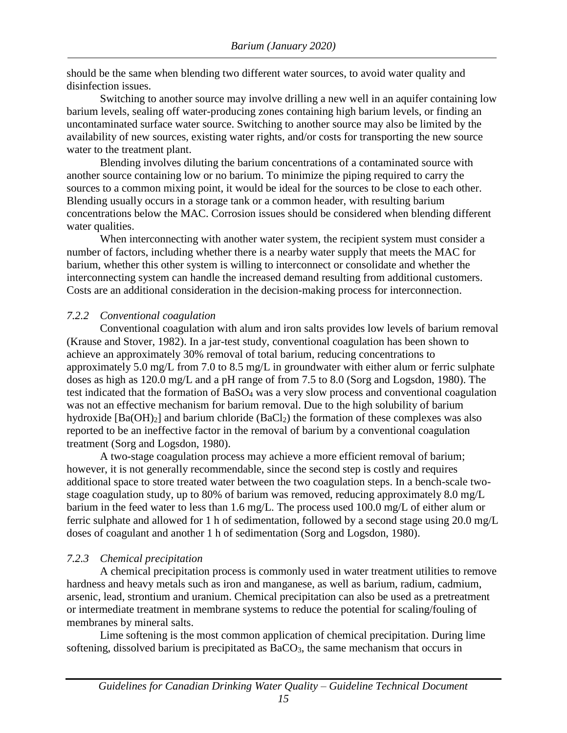should be the same when blending two different water sources, to avoid water quality and disinfection issues.

Switching to another source may involve drilling a new well in an aquifer containing low barium levels, sealing off water-producing zones containing high barium levels, or finding an uncontaminated surface water source. Switching to another source may also be limited by the availability of new sources, existing water rights, and/or costs for transporting the new source water to the treatment plant.

Blending involves diluting the barium concentrations of a contaminated source with another source containing low or no barium. To minimize the piping required to carry the sources to a common mixing point, it would be ideal for the sources to be close to each other. Blending usually occurs in a storage tank or a common header, with resulting barium concentrations below the MAC. Corrosion issues should be considered when blending different water qualities.

When interconnecting with another water system, the recipient system must consider a number of factors, including whether there is a nearby water supply that meets the MAC for barium, whether this other system is willing to interconnect or consolidate and whether the interconnecting system can handle the increased demand resulting from additional customers. Costs are an additional consideration in the decision-making process for interconnection.

#### <span id="page-21-0"></span>*7.2.2 Conventional coagulation*

Conventional coagulation with alum and iron salts provides low levels of barium removal (Krause and Stover, 1982). In a jar-test study, conventional coagulation has been shown to achieve an approximately 30% removal of total barium, reducing concentrations to approximately 5.0 mg/L from 7.0 to 8.5 mg/L in groundwater with either alum or ferric sulphate doses as high as 120.0 mg/L and a pH range of from 7.5 to 8.0 (Sorg and Logsdon, 1980). The test indicated that the formation of BaSO<sup>4</sup> was a very slow process and conventional coagulation was not an effective mechanism for barium removal. Due to the high solubility of barium hydroxide  $[Ba(OH)_2]$  and barium chloride  $(BaCl_2)$  the formation of these complexes was also reported to be an ineffective factor in the removal of barium by a conventional coagulation treatment (Sorg and Logsdon, 1980).

A two-stage coagulation process may achieve a more efficient removal of barium; however, it is not generally recommendable, since the second step is costly and requires additional space to store treated water between the two coagulation steps. In a bench-scale twostage coagulation study, up to 80% of barium was removed, reducing approximately 8.0 mg/L barium in the feed water to less than 1.6 mg/L. The process used 100.0 mg/L of either alum or ferric sulphate and allowed for 1 h of sedimentation, followed by a second stage using 20.0 mg/L doses of coagulant and another 1 h of sedimentation (Sorg and Logsdon, 1980).

#### <span id="page-21-1"></span>*7.2.3 Chemical precipitation*

A chemical precipitation process is commonly used in water treatment utilities to remove hardness and heavy metals such as iron and manganese, as well as barium, radium, cadmium, arsenic, lead, strontium and uranium. Chemical precipitation can also be used as a pretreatment or intermediate treatment in membrane systems to reduce the potential for scaling/fouling of membranes by mineral salts.

Lime softening is the most common application of chemical precipitation. During lime softening, dissolved barium is precipitated as BaCO<sub>3</sub>, the same mechanism that occurs in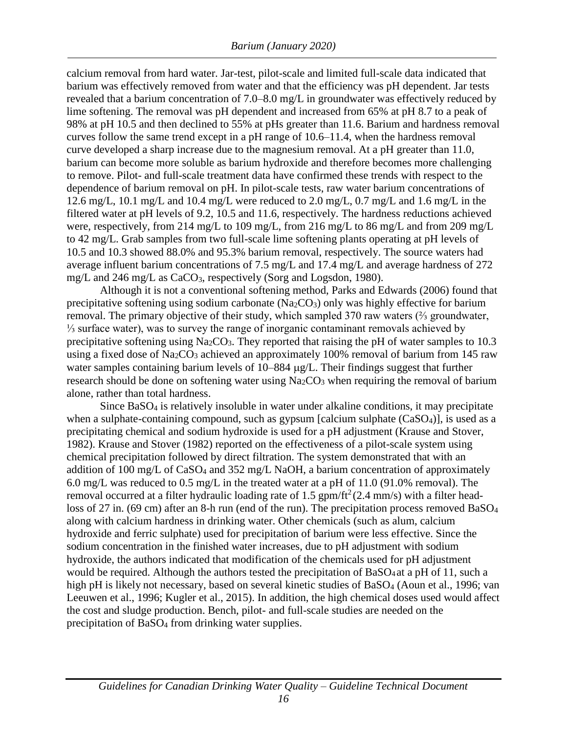calcium removal from hard water. Jar-test, pilot-scale and limited full-scale data indicated that barium was effectively removed from water and that the efficiency was pH dependent. Jar tests revealed that a barium concentration of 7.0–8.0 mg/L in groundwater was effectively reduced by lime softening. The removal was pH dependent and increased from 65% at pH 8.7 to a peak of 98% at pH 10.5 and then declined to 55% at pHs greater than 11.6. Barium and hardness removal curves follow the same trend except in a pH range of 10.6–11.4, when the hardness removal curve developed a sharp increase due to the magnesium removal. At a pH greater than 11.0, barium can become more soluble as barium hydroxide and therefore becomes more challenging to remove. Pilot- and full-scale treatment data have confirmed these trends with respect to the dependence of barium removal on pH. In pilot-scale tests, raw water barium concentrations of 12.6 mg/L, 10.1 mg/L and 10.4 mg/L were reduced to 2.0 mg/L, 0.7 mg/L and 1.6 mg/L in the filtered water at pH levels of 9.2, 10.5 and 11.6, respectively. The hardness reductions achieved were, respectively, from 214 mg/L to 109 mg/L, from 216 mg/L to 86 mg/L and from 209 mg/L to 42 mg/L. Grab samples from two full-scale lime softening plants operating at pH levels of 10.5 and 10.3 showed 88.0% and 95.3% barium removal, respectively. The source waters had average influent barium concentrations of 7.5 mg/L and 17.4 mg/L and average hardness of 272 mg/L and 246 mg/L as CaCO<sub>3</sub>, respectively (Sorg and Logsdon, 1980).

Although it is not a conventional softening method, Parks and Edwards (2006) found that precipitative softening using sodium carbonate ( $Na<sub>2</sub>CO<sub>3</sub>$ ) only was highly effective for barium removal. The primary objective of their study, which sampled 370 raw waters (⅔ groundwater, ⅓ surface water), was to survey the range of inorganic contaminant removals achieved by precipitative softening using  $Na<sub>2</sub>CO<sub>3</sub>$ . They reported that raising the pH of water samples to 10.3 using a fixed dose of Na<sub>2</sub>CO<sub>3</sub> achieved an approximately 100% removal of barium from 145 raw water samples containing barium levels of  $10-884 \mu g/L$ . Their findings suggest that further research should be done on softening water using  $Na<sub>2</sub>CO<sub>3</sub>$  when requiring the removal of barium alone, rather than total hardness.

Since BaSO<sup>4</sup> is relatively insoluble in water under alkaline conditions, it may precipitate when a sulphate-containing compound, such as gypsum [calcium sulphate  $(CaSO<sub>4</sub>)$ ], is used as a precipitating chemical and sodium hydroxide is used for a pH adjustment (Krause and Stover, 1982). Krause and Stover (1982) reported on the effectiveness of a pilot-scale system using chemical precipitation followed by direct filtration. The system demonstrated that with an addition of 100 mg/L of CaSO<sub>4</sub> and 352 mg/L NaOH, a barium concentration of approximately 6.0 mg/L was reduced to 0.5 mg/L in the treated water at a pH of 11.0 (91.0% removal). The removal occurred at a filter hydraulic loading rate of 1.5  $gpm/ft^2(2.4 \text{ mm/s})$  with a filter headloss of 27 in. (69 cm) after an 8-h run (end of the run). The precipitation process removed BaSO<sub>4</sub> along with calcium hardness in drinking water. Other chemicals (such as alum, calcium hydroxide and ferric sulphate) used for precipitation of barium were less effective. Since the sodium concentration in the finished water increases, due to pH adjustment with sodium hydroxide, the authors indicated that modification of the chemicals used for pH adjustment would be required. Although the authors tested the precipitation of BaSO<sup>4</sup> at a pH of 11, such a high pH is likely not necessary, based on several kinetic studies of BaSO<sub>4</sub> (Aoun et al., 1996; van Leeuwen et al., 1996; Kugler et al., 2015). In addition, the high chemical doses used would affect the cost and sludge production. Bench, pilot- and full-scale studies are needed on the precipitation of BaSO<sup>4</sup> from drinking water supplies.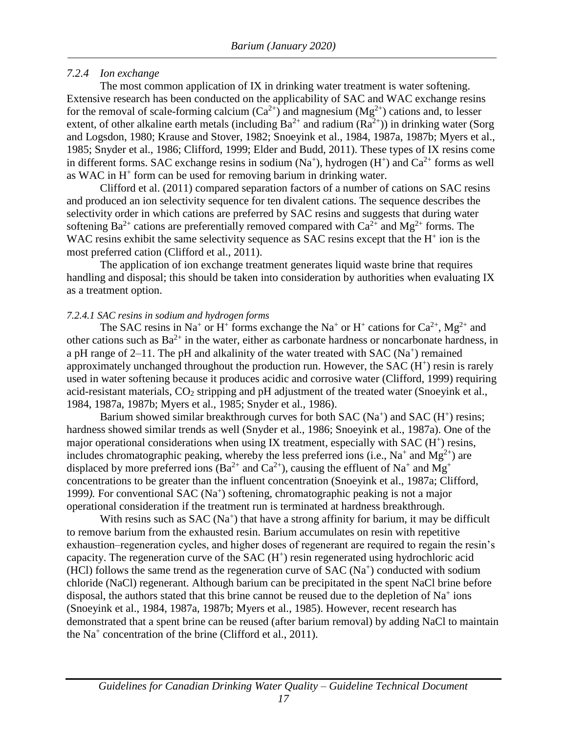#### <span id="page-23-0"></span>*7.2.4 Ion exchange*

The most common application of IX in drinking water treatment is water softening. Extensive research has been conducted on the applicability of SAC and WAC exchange resins for the removal of scale-forming calcium  $(Ca^{2+})$  and magnesium  $(Mg^{2+})$  cations and, to lesser extent, of other alkaline earth metals (including  $Ba^{2+}$  and radium  $(Ra^{2+})$ ) in drinking water (Sorg and Logsdon, 1980; Krause and Stover, 1982; Snoeyink et al., 1984, 1987a, 1987b; Myers et al., 1985; Snyder et al., 1986; Clifford, 1999; Elder and Budd, 2011). These types of IX resins come in different forms. SAC exchange resins in sodium  $(Na^+)$ , hydrogen  $(H^+)$  and  $Ca^{2+}$  forms as well as WAC in  $H^+$  form can be used for removing barium in drinking water.

Clifford et al. (2011) compared separation factors of a number of cations on SAC resins and produced an ion selectivity sequence for ten divalent cations. The sequence describes the selectivity order in which cations are preferred by SAC resins and suggests that during water softening Ba<sup>2+</sup> cations are preferentially removed compared with  $Ca^{2+}$  and  $Mg^{2+}$  forms. The WAC resins exhibit the same selectivity sequence as SAC resins except that the  $H<sup>+</sup>$  ion is the most preferred cation (Clifford et al., 2011).

The application of ion exchange treatment generates liquid waste brine that requires handling and disposal; this should be taken into consideration by authorities when evaluating IX as a treatment option.

#### <span id="page-23-1"></span>*7.2.4.1 SAC resins in sodium and hydrogen forms*

The SAC resins in Na<sup>+</sup> or H<sup>+</sup> forms exchange the Na<sup>+</sup> or H<sup>+</sup> cations for Ca<sup>2+</sup>, Mg<sup>2+</sup> and other cations such as  $Ba^{2+}$  in the water, either as carbonate hardness or noncarbonate hardness, in a pH range of  $2-11$ . The pH and alkalinity of the water treated with SAC (Na<sup>+</sup>) remained approximately unchanged throughout the production run. However, the SAC  $(H<sup>+</sup>)$  resin is rarely used in water softening because it produces acidic and corrosive water (Clifford, 1999) requiring acid-resistant materials,  $CO<sub>2</sub>$  stripping and pH adjustment of the treated water (Snoeyink et al., 1984, 1987a, 1987b; Myers et al., 1985; Snyder et al., 1986).

Barium showed similar breakthrough curves for both  $SAC (Na<sup>+</sup>)$  and  $SAC (H<sup>+</sup>)$  resins; hardness showed similar trends as well (Snyder et al., 1986; Snoeyink et al., 1987a). One of the major operational considerations when using IX treatment, especially with SAC (H<sup>+</sup>) resins, includes chromatographic peaking, whereby the less preferred ions (i.e.,  $Na^+$  and  $Mg^{2+}$ ) are displaced by more preferred ions (Ba<sup>2+</sup> and Ca<sup>2+</sup>), causing the effluent of Na<sup>+</sup> and Mg<sup>+</sup> concentrations to be greater than the influent concentration (Snoeyink et al., 1987a; Clifford, 1999). For conventional SAC (Na<sup>+</sup>) softening, chromatographic peaking is not a major operational consideration if the treatment run is terminated at hardness breakthrough.

With resins such as  $SAC (Na<sup>+</sup>)$  that have a strong affinity for barium, it may be difficult to remove barium from the exhausted resin. Barium accumulates on resin with repetitive exhaustion–regeneration cycles, and higher doses of regenerant are required to regain the resin's capacity. The regeneration curve of the  $SAC (H<sup>+</sup>)$  resin regenerated using hydrochloric acid (HCl) follows the same trend as the regeneration curve of SAC ( $Na<sup>+</sup>$ ) conducted with sodium chloride (NaCl) regenerant. Although barium can be precipitated in the spent NaCl brine before disposal, the authors stated that this brine cannot be reused due to the depletion of  $Na<sup>+</sup>$  ions (Snoeyink et al., 1984, 1987a, 1987b; Myers et al., 1985). However, recent research has demonstrated that a spent brine can be reused (after barium removal) by adding NaCl to maintain the Na<sup>+</sup> concentration of the brine (Clifford et al., 2011).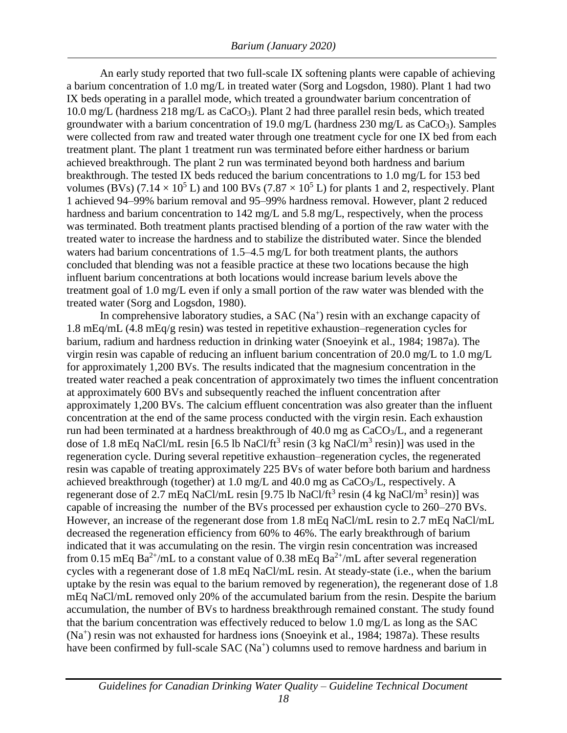An early study reported that two full-scale IX softening plants were capable of achieving a barium concentration of 1.0 mg/L in treated water (Sorg and Logsdon, 1980). Plant 1 had two IX beds operating in a parallel mode, which treated a groundwater barium concentration of 10.0 mg/L (hardness 218 mg/L as CaCO3). Plant 2 had three parallel resin beds, which treated groundwater with a barium concentration of 19.0 mg/L (hardness  $230$  mg/L as  $CaCO<sub>3</sub>$ ). Samples were collected from raw and treated water through one treatment cycle for one IX bed from each treatment plant. The plant 1 treatment run was terminated before either hardness or barium achieved breakthrough. The plant 2 run was terminated beyond both hardness and barium breakthrough. The tested IX beds reduced the barium concentrations to 1.0 mg/L for 153 bed volumes (BVs) (7.14  $\times$  10<sup>5</sup> L) and 100 BVs (7.87  $\times$  10<sup>5</sup> L) for plants 1 and 2, respectively. Plant 1 achieved 94–99% barium removal and 95–99% hardness removal. However, plant 2 reduced hardness and barium concentration to 142 mg/L and 5.8 mg/L, respectively, when the process was terminated. Both treatment plants practised blending of a portion of the raw water with the treated water to increase the hardness and to stabilize the distributed water. Since the blended waters had barium concentrations of 1.5–4.5 mg/L for both treatment plants, the authors concluded that blending was not a feasible practice at these two locations because the high influent barium concentrations at both locations would increase barium levels above the treatment goal of 1.0 mg/L even if only a small portion of the raw water was blended with the treated water (Sorg and Logsdon, 1980).

In comprehensive laboratory studies, a SAC  $(Na<sup>+</sup>)$  resin with an exchange capacity of 1.8 mEq/mL (4.8 mEq/g resin) was tested in repetitive exhaustion–regeneration cycles for barium, radium and hardness reduction in drinking water (Snoeyink et al., 1984; 1987a). The virgin resin was capable of reducing an influent barium concentration of 20.0 mg/L to 1.0 mg/L for approximately 1,200 BVs. The results indicated that the magnesium concentration in the treated water reached a peak concentration of approximately two times the influent concentration at approximately 600 BVs and subsequently reached the influent concentration after approximately 1,200 BVs. The calcium effluent concentration was also greater than the influent concentration at the end of the same process conducted with the virgin resin. Each exhaustion run had been terminated at a hardness breakthrough of  $40.0$  mg as  $CaCO<sub>3</sub>/L$ , and a regenerant dose of 1.8 mEq NaCl/mL resin [6.5 lb NaCl/ft<sup>3</sup> resin (3 kg NaCl/m<sup>3</sup> resin)] was used in the regeneration cycle. During several repetitive exhaustion–regeneration cycles, the regenerated resin was capable of treating approximately 225 BVs of water before both barium and hardness achieved breakthrough (together) at 1.0 mg/L and 40.0 mg as CaCO3/L, respectively. A regenerant dose of 2.7 mEq NaCl/mL resin [9.75 lb NaCl/ft<sup>3</sup> resin (4 kg NaCl/m<sup>3</sup> resin)] was capable of increasing the number of the BVs processed per exhaustion cycle to 260–270 BVs. However, an increase of the regenerant dose from 1.8 mEq NaCl/mL resin to 2.7 mEq NaCl/mL decreased the regeneration efficiency from 60% to 46%. The early breakthrough of barium indicated that it was accumulating on the resin. The virgin resin concentration was increased from 0.15 mEq Ba<sup>2+</sup>/mL to a constant value of 0.38 mEq Ba<sup>2+</sup>/mL after several regeneration cycles with a regenerant dose of 1.8 mEq NaCl/mL resin. At steady-state (i.e., when the barium uptake by the resin was equal to the barium removed by regeneration), the regenerant dose of 1.8 mEq NaCl/mL removed only 20% of the accumulated barium from the resin. Despite the barium accumulation, the number of BVs to hardness breakthrough remained constant. The study found that the barium concentration was effectively reduced to below 1.0 mg/L as long as the SAC (Na<sup>+</sup> ) resin was not exhausted for hardness ions (Snoeyink et al., 1984; 1987a). These results have been confirmed by full-scale SAC (Na<sup>+</sup>) columns used to remove hardness and barium in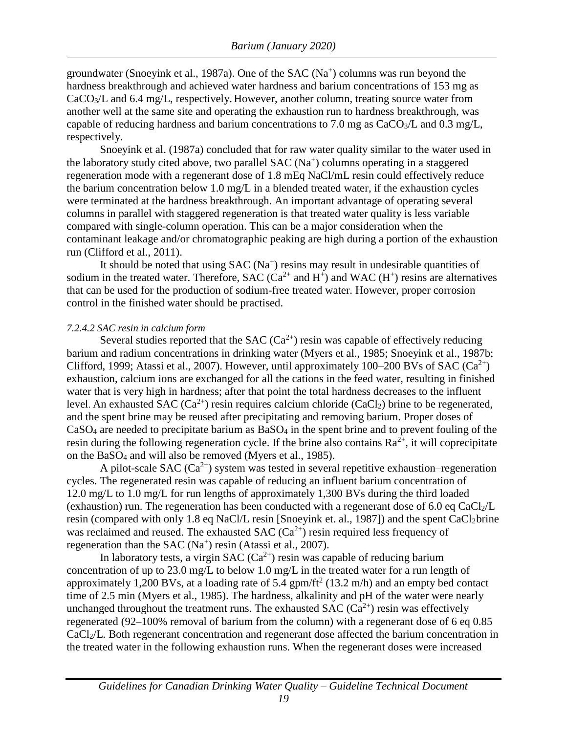groundwater (Snoeyink et al., 1987a). One of the SAC  $(Na<sup>+</sup>)$  columns was run beyond the hardness breakthrough and achieved water hardness and barium concentrations of 153 mg as CaCO3/L and 6.4 mg/L, respectively. However, another column, treating source water from another well at the same site and operating the exhaustion run to hardness breakthrough, was capable of reducing hardness and barium concentrations to 7.0 mg as  $CaCO<sub>3</sub>/L$  and 0.3 mg/L, respectively.

Snoeyink et al. (1987a) concluded that for raw water quality similar to the water used in the laboratory study cited above, two parallel SAC (Na<sup>+</sup>) columns operating in a staggered regeneration mode with a regenerant dose of 1.8 mEq NaCl/mL resin could effectively reduce the barium concentration below 1.0 mg/L in a blended treated water, if the exhaustion cycles were terminated at the hardness breakthrough. An important advantage of operating several columns in parallel with staggered regeneration is that treated water quality is less variable compared with single-column operation. This can be a major consideration when the contaminant leakage and/or chromatographic peaking are high during a portion of the exhaustion run (Clifford et al., 2011).

It should be noted that using  $SAC (Na<sup>+</sup>)$  resins may result in undesirable quantities of sodium in the treated water. Therefore,  $SAC(Ga^{2+}$  and  $H^+)$  and  $WAC(H^+)$  resins are alternatives that can be used for the production of sodium-free treated water. However, proper corrosion control in the finished water should be practised.

#### <span id="page-25-0"></span>*7.2.4.2 SAC resin in calcium form*

Several studies reported that the SAC  $(Ca^{2+})$  resin was capable of effectively reducing barium and radium concentrations in drinking water (Myers et al., 1985; Snoeyink et al., 1987b; Clifford, 1999; Atassi et al., 2007). However, until approximately 100–200 BVs of SAC ( $Ca^{2+}$ ) exhaustion, calcium ions are exchanged for all the cations in the feed water, resulting in finished water that is very high in hardness; after that point the total hardness decreases to the influent level. An exhausted SAC  $(Ca^{2+})$  resin requires calcium chloride  $(CaCl<sub>2</sub>)$  brine to be regenerated, and the spent brine may be reused after precipitating and removing barium. Proper doses of CaSO<sub>4</sub> are needed to precipitate barium as BaSO<sub>4</sub> in the spent brine and to prevent fouling of the resin during the following regeneration cycle. If the brine also contains  $Ra^{2+}$ , it will coprecipitate on the BaSO<sup>4</sup> and will also be removed (Myers et al., 1985).

A pilot-scale SAC ( $Ca^{2+}$ ) system was tested in several repetitive exhaustion–regeneration cycles. The regenerated resin was capable of reducing an influent barium concentration of 12.0 mg/L to 1.0 mg/L for run lengths of approximately 1,300 BVs during the third loaded (exhaustion) run. The regeneration has been conducted with a regenerant dose of 6.0 eq CaCl<sub>2</sub>/L resin (compared with only 1.8 eq NaCl/L resin [Snoeyink et. al., 1987]) and the spent CaCl2brine was reclaimed and reused. The exhausted SAC  $(Ca^{2+})$  resin required less frequency of regeneration than the SAC  $(Na<sup>+</sup>)$  resin (Atassi et al., 2007).

In laboratory tests, a virgin SAC  $(Ca^{2+})$  resin was capable of reducing barium concentration of up to 23.0 mg/L to below 1.0 mg/L in the treated water for a run length of approximately 1,200 BVs, at a loading rate of 5.4 gpm/ft<sup>2</sup> (13.2 m/h) and an empty bed contact time of 2.5 min (Myers et al., 1985). The hardness, alkalinity and pH of the water were nearly unchanged throughout the treatment runs. The exhausted SAC  $(Ca^{2+})$  resin was effectively regenerated (92–100% removal of barium from the column) with a regenerant dose of 6 eq 0.85 CaCl2/L. Both regenerant concentration and regenerant dose affected the barium concentration in the treated water in the following exhaustion runs. When the regenerant doses were increased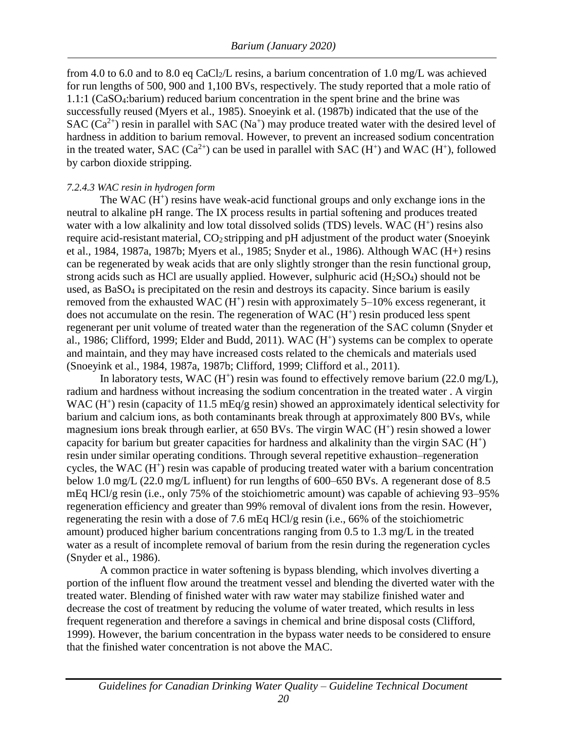from 4.0 to 6.0 and to 8.0 eq CaCl<sub>2</sub>/L resins, a barium concentration of 1.0 mg/L was achieved for run lengths of 500, 900 and 1,100 BVs, respectively. The study reported that a mole ratio of 1.1:1 (CaSO4:barium) reduced barium concentration in the spent brine and the brine was successfully reused (Myers et al., 1985). Snoeyink et al. (1987b) indicated that the use of the SAC  $(Ca^{2+})$  resin in parallel with SAC (Na<sup>+</sup>) may produce treated water with the desired level of hardness in addition to barium removal. However, to prevent an increased sodium concentration in the treated water, SAC  $(Ca^{2+})$  can be used in parallel with SAC  $(H^+)$  and WAC  $(H^+)$ , followed by carbon dioxide stripping.

#### <span id="page-26-0"></span>*7.2.4.3 WAC resin in hydrogen form*

The WAC  $(H<sup>+</sup>)$  resins have weak-acid functional groups and only exchange ions in the neutral to alkaline pH range. The IX process results in partial softening and produces treated water with a low alkalinity and low total dissolved solids (TDS) levels. WAC (H<sup>+</sup>) resins also require acid-resistant material, CO<sub>2</sub> stripping and pH adjustment of the product water (Snoeyink et al., 1984, 1987a, 1987b; Myers et al., 1985; Snyder et al., 1986). Although WAC (H+) resins can be regenerated by weak acids that are only slightly stronger than the resin functional group, strong acids such as HCl are usually applied. However, sulphuric acid  $(H_2SO_4)$  should not be used, as  $BaSO<sub>4</sub>$  is precipitated on the resin and destroys its capacity. Since barium is easily removed from the exhausted WAC  $(H<sup>+</sup>)$  resin with approximately 5–10% excess regenerant, it does not accumulate on the resin. The regeneration of  $WAC (H<sup>+</sup>)$  resin produced less spent regenerant per unit volume of treated water than the regeneration of the SAC column (Snyder et al., 1986; Clifford, 1999; Elder and Budd, 2011). WAC  $(H<sup>+</sup>)$  systems can be complex to operate and maintain, and they may have increased costs related to the chemicals and materials used (Snoeyink et al., 1984, 1987a, 1987b; Clifford, 1999; Clifford et al., 2011).

In laboratory tests, WAC  $(H^+)$  resin was found to effectively remove barium (22.0 mg/L), radium and hardness without increasing the sodium concentration in the treated water . A virgin WAC  $(H<sup>+</sup>)$  resin (capacity of 11.5 mEq/g resin) showed an approximately identical selectivity for barium and calcium ions, as both contaminants break through at approximately 800 BVs, while magnesium ions break through earlier, at 650 BVs. The virgin WAC (H<sup>+</sup>) resin showed a lower capacity for barium but greater capacities for hardness and alkalinity than the virgin  $SAC(H<sup>+</sup>)$ resin under similar operating conditions. Through several repetitive exhaustion–regeneration cycles, the WAC (H<sup>+</sup>) resin was capable of producing treated water with a barium concentration below 1.0 mg/L (22.0 mg/L influent) for run lengths of 600–650 BVs. A regenerant dose of 8.5 mEq HCl/g resin (i.e., only 75% of the stoichiometric amount) was capable of achieving 93–95% regeneration efficiency and greater than 99% removal of divalent ions from the resin. However, regenerating the resin with a dose of 7.6 mEq HCl/g resin (i.e., 66% of the stoichiometric amount) produced higher barium concentrations ranging from 0.5 to 1.3 mg/L in the treated water as a result of incomplete removal of barium from the resin during the regeneration cycles (Snyder et al., 1986).

A common practice in water softening is bypass blending, which involves diverting a portion of the influent flow around the treatment vessel and blending the diverted water with the treated water. Blending of finished water with raw water may stabilize finished water and decrease the cost of treatment by reducing the volume of water treated, which results in less frequent regeneration and therefore a savings in chemical and brine disposal costs (Clifford, 1999). However, the barium concentration in the bypass water needs to be considered to ensure that the finished water concentration is not above the MAC.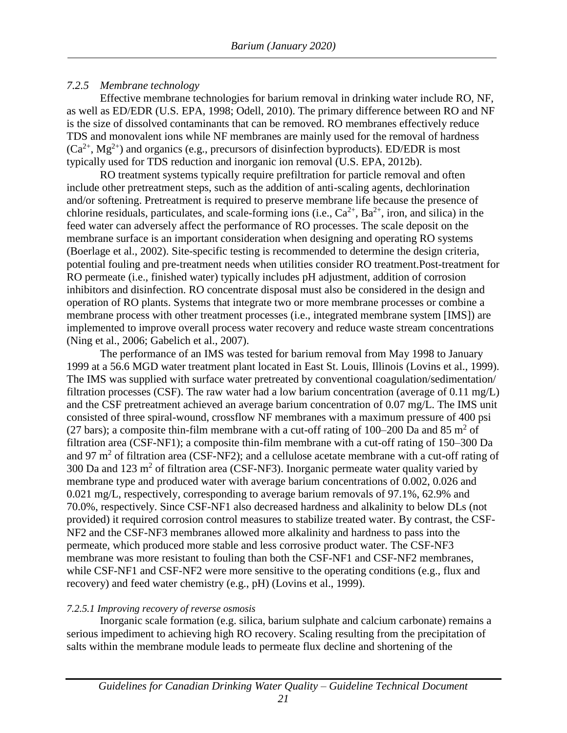#### <span id="page-27-0"></span>*7.2.5 Membrane technology*

Effective membrane technologies for barium removal in drinking water include RO, NF, as well as ED/EDR (U.S. EPA, 1998; Odell, 2010). The primary difference between RO and NF is the size of dissolved contaminants that can be removed. RO membranes effectively reduce TDS and monovalent ions while NF membranes are mainly used for the removal of hardness  $(Ca^{2+}, Mg^{2+})$  and organics (e.g., precursors of disinfection byproducts). ED/EDR is most typically used for TDS reduction and inorganic ion removal (U.S. EPA, 2012b).

RO treatment systems typically require prefiltration for particle removal and often include other pretreatment steps, such as the addition of anti-scaling agents, dechlorination and/or softening. Pretreatment is required to preserve membrane life because the presence of chlorine residuals, particulates, and scale-forming ions (i.e.,  $Ca^{2+}$ , Ba<sup>2+</sup>, iron, and silica) in the feed water can adversely affect the performance of RO processes. The scale deposit on the membrane surface is an important consideration when designing and operating RO systems (Boerlage et al., 2002). Site-specific testing is recommended to determine the design criteria, potential fouling and pre-treatment needs when utilities consider RO treatment.Post-treatment for RO permeate (i.e., finished water) typically includes pH adjustment, addition of corrosion inhibitors and disinfection. RO concentrate disposal must also be considered in the design and operation of RO plants. Systems that integrate two or more membrane processes or combine a membrane process with other treatment processes (i.e., integrated membrane system [IMS]) are implemented to improve overall process water recovery and reduce waste stream concentrations (Ning et al., 2006; Gabelich et al., 2007).

The performance of an IMS was tested for barium removal from May 1998 to January 1999 at a 56.6 MGD water treatment plant located in East St. Louis, Illinois (Lovins et al., 1999). The IMS was supplied with surface water pretreated by conventional coagulation/sedimentation/ filtration processes (CSF). The raw water had a low barium concentration (average of 0.11 mg/L) and the CSF pretreatment achieved an average barium concentration of 0.07 mg/L. The IMS unit consisted of three spiral-wound, crossflow NF membranes with a maximum pressure of 400 psi (27 bars); a composite thin-film membrane with a cut-off rating of 100–200 Da and 85  $m<sup>2</sup>$  of filtration area (CSF-NF1); a composite thin-film membrane with a cut-off rating of 150–300 Da and 97 m<sup>2</sup> of filtration area (CSF-NF2); and a cellulose acetate membrane with a cut-off rating of 300 Da and 123 m<sup>2</sup> of filtration area (CSF-NF3). Inorganic permeate water quality varied by membrane type and produced water with average barium concentrations of 0.002, 0.026 and 0.021 mg/L, respectively, corresponding to average barium removals of 97.1%, 62.9% and 70.0%, respectively. Since CSF-NF1 also decreased hardness and alkalinity to below DLs (not provided) it required corrosion control measures to stabilize treated water. By contrast, the CSF-NF2 and the CSF-NF3 membranes allowed more alkalinity and hardness to pass into the permeate, which produced more stable and less corrosive product water. The CSF-NF3 membrane was more resistant to fouling than both the CSF-NF1 and CSF-NF2 membranes, while CSF-NF1 and CSF-NF2 were more sensitive to the operating conditions (e.g., flux and recovery) and feed water chemistry (e.g., pH) (Lovins et al., 1999).

#### <span id="page-27-1"></span>*7.2.5.1 Improving recovery of reverse osmosis*

Inorganic scale formation (e.g. silica, barium sulphate and calcium carbonate) remains a serious impediment to achieving high RO recovery. Scaling resulting from the precipitation of salts within the membrane module leads to permeate flux decline and shortening of the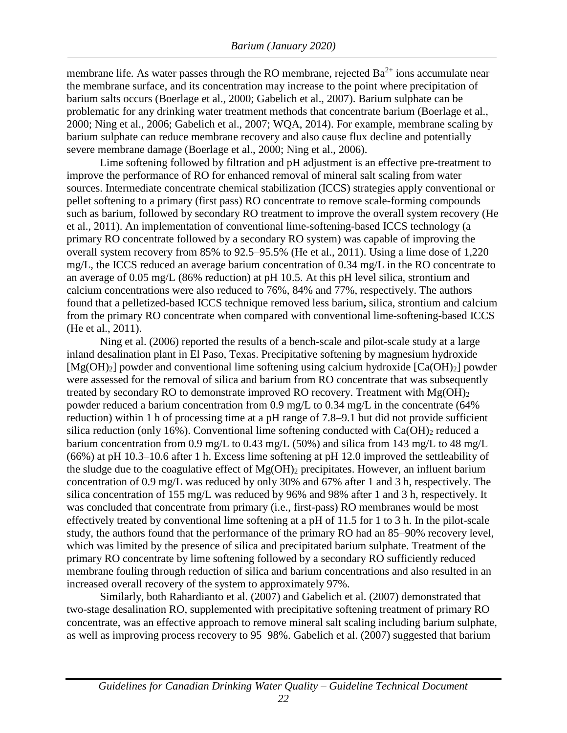membrane life. As water passes through the RO membrane, rejected  $Ba^{2+}$  ions accumulate near the membrane surface, and its concentration may increase to the point where precipitation of barium salts occurs (Boerlage et al., 2000; Gabelich et al., 2007). Barium sulphate can be problematic for any drinking water treatment methods that concentrate barium (Boerlage et al., 2000; Ning et al., 2006; Gabelich et al., 2007; WQA, 2014). For example, membrane scaling by barium sulphate can reduce membrane recovery and also cause flux decline and potentially severe membrane damage (Boerlage et al., 2000; Ning et al., 2006).

Lime softening followed by filtration and pH adjustment is an effective pre-treatment to improve the performance of RO for enhanced removal of mineral salt scaling from water sources. Intermediate concentrate chemical stabilization (ICCS) strategies apply conventional or pellet softening to a primary (first pass) RO concentrate to remove scale-forming compounds such as barium, followed by secondary RO treatment to improve the overall system recovery (He et al., 2011). An implementation of conventional lime-softening-based ICCS technology (a primary RO concentrate followed by a secondary RO system) was capable of improving the overall system recovery from 85% to 92.5–95.5% (He et al., 2011). Using a lime dose of 1,220 mg/L, the ICCS reduced an average barium concentration of 0.34 mg/L in the RO concentrate to an average of 0.05 mg/L (86% reduction) at pH 10.5. At this pH level silica, strontium and calcium concentrations were also reduced to 76%, 84% and 77%, respectively. The authors found that a pelletized-based ICCS technique removed less barium**,** silica, strontium and calcium from the primary RO concentrate when compared with conventional lime-softening-based ICCS (He et al., 2011).

Ning et al. (2006) reported the results of a bench-scale and pilot-scale study at a large inland desalination plant in El Paso, Texas. Precipitative softening by magnesium hydroxide  $[Mg(OH)_2]$  powder and conventional lime softening using calcium hydroxide  $[Ca(OH)_2]$  powder were assessed for the removal of silica and barium from RO concentrate that was subsequently treated by secondary RO to demonstrate improved RO recovery. Treatment with  $Mg(OH)_2$ powder reduced a barium concentration from 0.9 mg/L to 0.34 mg/L in the concentrate (64% reduction) within 1 h of processing time at a pH range of 7.8–9.1 but did not provide sufficient silica reduction (only 16%). Conventional lime softening conducted with  $Ca(OH)_2$  reduced a barium concentration from 0.9 mg/L to 0.43 mg/L (50%) and silica from 143 mg/L to 48 mg/L (66%) at pH 10.3–10.6 after 1 h. Excess lime softening at pH 12.0 improved the settleability of the sludge due to the coagulative effect of  $Mg(OH)_2$  precipitates. However, an influent barium concentration of 0.9 mg/L was reduced by only 30% and 67% after 1 and 3 h, respectively. The silica concentration of 155 mg/L was reduced by 96% and 98% after 1 and 3 h, respectively. It was concluded that concentrate from primary (i.e., first-pass) RO membranes would be most effectively treated by conventional lime softening at a pH of 11.5 for 1 to 3 h. In the pilot-scale study, the authors found that the performance of the primary RO had an 85–90% recovery level, which was limited by the presence of silica and precipitated barium sulphate. Treatment of the primary RO concentrate by lime softening followed by a secondary RO sufficiently reduced membrane fouling through reduction of silica and barium concentrations and also resulted in an increased overall recovery of the system to approximately 97%.

Similarly, both Rahardianto et al. (2007) and Gabelich et al. (2007) demonstrated that two-stage desalination RO, supplemented with precipitative softening treatment of primary RO concentrate, was an effective approach to remove mineral salt scaling including barium sulphate, as well as improving process recovery to 95–98%. Gabelich et al. (2007) suggested that barium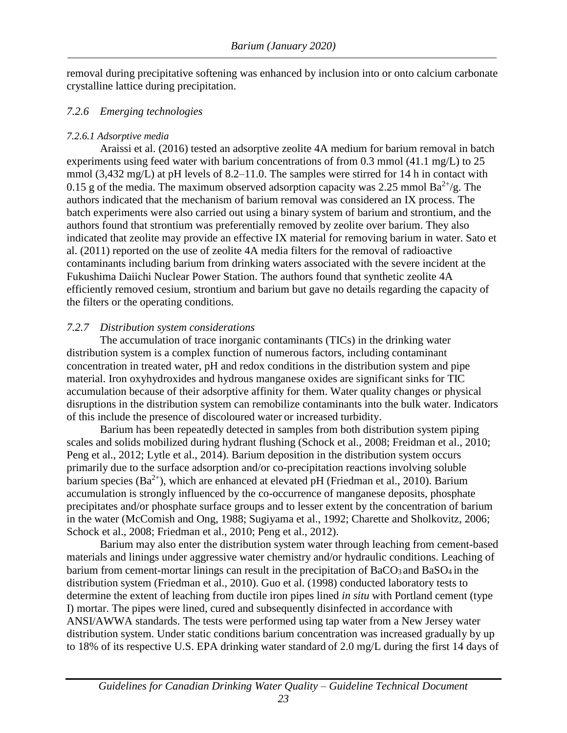removal during precipitative softening was enhanced by inclusion into or onto calcium carbonate crystalline lattice during precipitation.

#### <span id="page-29-0"></span>*7.2.6 Emerging technologies*

#### <span id="page-29-1"></span>*7.2.6.1 Adsorptive media*

Araissi et al. (2016) tested an adsorptive zeolite 4A medium for barium removal in batch experiments using feed water with barium concentrations of from 0.3 mmol (41.1 mg/L) to 25 mmol (3,432 mg/L) at pH levels of 8.2–11.0. The samples were stirred for 14 h in contact with 0.15 g of the media. The maximum observed adsorption capacity was 2.25 mmol  $Ba^{2+}/g$ . The authors indicated that the mechanism of barium removal was considered an IX process. The batch experiments were also carried out using a binary system of barium and strontium, and the authors found that strontium was preferentially removed by zeolite over barium. They also indicated that zeolite may provide an effective IX material for removing barium in water. Sato et al. (2011) reported on the use of zeolite 4A media filters for the removal of radioactive contaminants including barium from drinking waters associated with the severe incident at the Fukushima Daiichi Nuclear Power Station. The authors found that synthetic zeolite 4A efficiently removed cesium, strontium and barium but gave no details regarding the capacity of the filters or the operating conditions.

#### <span id="page-29-2"></span>*7.2.7 Distribution system considerations*

The accumulation of trace inorganic contaminants (TICs) in the drinking water distribution system is a complex function of numerous factors, including contaminant concentration in treated water, pH and redox conditions in the distribution system and pipe material. Iron oxyhydroxides and hydrous manganese oxides are significant sinks for TIC accumulation because of their adsorptive affinity for them. Water quality changes or physical disruptions in the distribution system can remobilize contaminants into the bulk water. Indicators of this include the presence of discoloured water or increased turbidity.

Barium has been repeatedly detected in samples from both distribution system piping scales and solids mobilized during hydrant flushing (Schock et al., 2008; Freidman et al., 2010; Peng et al., 2012; Lytle et al., 2014). Barium deposition in the distribution system occurs primarily due to the surface adsorption and/or co-precipitation reactions involving soluble barium species  $(Ba^{2+})$ , which are enhanced at elevated pH (Friedman et al., 2010). Barium accumulation is strongly influenced by the co-occurrence of manganese deposits, phosphate precipitates and/or phosphate surface groups and to lesser extent by the concentration of barium in the water (McComish and Ong, 1988; Sugiyama et al., 1992; Charette and Sholkovitz, 2006; Schock et al., 2008; Friedman et al., 2010; Peng et al., 2012).

Barium may also enter the distribution system water through leaching from cement-based materials and linings under aggressive water chemistry and/or hydraulic conditions. Leaching of barium from cement-mortar linings can result in the precipitation of  $BaCO<sub>3</sub>$  and  $BaSO<sub>4</sub>$  in the distribution system (Friedman et al., 2010). Guo et al. (1998) conducted laboratory tests to determine the extent of leaching from ductile iron pipes lined *in situ* with Portland cement (type I) mortar. The pipes were lined, cured and subsequently disinfected in accordance with ANSI/AWWA standards. The tests were performed using tap water from a New Jersey water distribution system. Under static conditions barium concentration was increased gradually by up to 18% of its respective U.S. EPA drinking water standard of 2.0 mg/L during the first 14 days of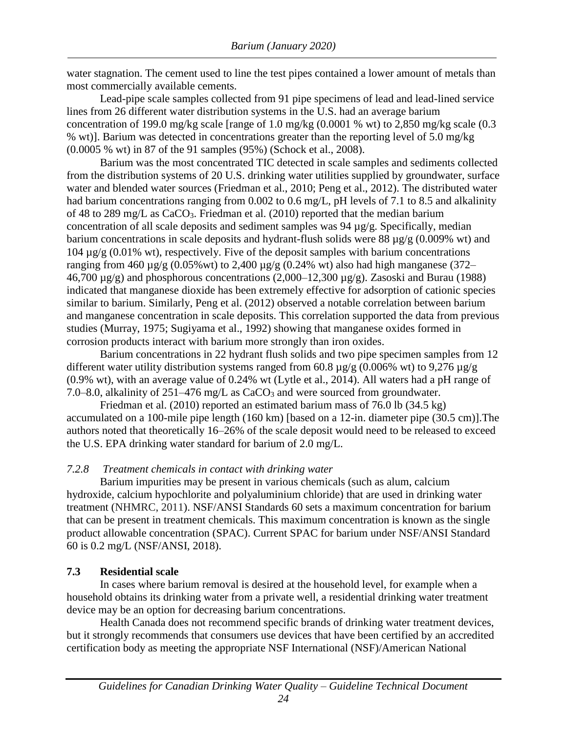most commercially available cements. water stagnation. The cement used to line the test pipes contained a lower amount of metals than

(0.0005 % wt) in 87 of the 91 samples (95%) (Schock et al., 2008). % wt)]. Barium was detected in concentrations greater than the reporting level of 5.0 mg/kg concentration of 199.0 mg/kg scale [range of 1.0 mg/kg (0.0001 % wt) to 2,850 mg/kg scale (0.3 lines from 26 different water distribution systems in the U.S. had an average barium Lead-pipe scale samples collected from 91 pipe specimens of lead and lead-lined service

corrosion products interact with barium more strongly than iron oxides. studies (Murray, 1975; Sugiyama et al., 1992) showing that manganese oxides formed in and manganese concentration in scale deposits. This correlation supported the data from previous similar to barium. Similarly, Peng et al. (2012) observed a notable correlation between barium indicated that manganese dioxide has been extremely effective for adsorption of cationic species 46,700  $\mu$ g/g) and phosphorous concentrations (2,000–12,300  $\mu$ g/g). Zasoski and Burau (1988) ranging from 460  $\mu$ g/g (0.05% wt) to 2,400  $\mu$ g/g (0.24% wt) also had high manganese (372– 104 µg/g (0.01% wt), respectively. Five of the deposit samples with barium concentrations barium concentrations in scale deposits and hydrant-flush solids were 88 µg/g (0.009% wt) and concentration of all scale deposits and sediment samples was 94 µg/g. Specifically, median of 48 to 289 mg/L as CaCO3. Friedman et al. (2010) reported that the median barium had barium concentrations ranging from 0.002 to 0.6 mg/L, pH levels of 7.1 to 8.5 and alkalinity water and blended water sources (Friedman et al., 2010; Peng et al., 2012). The distributed water from the distribution systems of 20 U.S. drinking water utilities supplied by groundwater, surface Barium was the most concentrated TIC detected in scale samples and sediments collected

7.0–8.0, alkalinity of  $251-476$  mg/L as CaCO<sub>3</sub> and were sourced from groundwater. (0.9% wt), with an average value of 0.24% wt (Lytle et al., 2014). All waters had a pH range of different water utility distribution systems ranged from 60.8  $\mu$ g/g (0.006% wt) to 9,276  $\mu$ g/g Barium concentrations in 22 hydrant flush solids and two pipe specimen samples from 12

the U.S. EPA drinking water standard for barium of 2.0 mg/L. authors noted that theoretically 16–26% of the scale deposit would need to be released to exceed accumulated on a 100-mile pipe length (160 km) [based on a 12-in. diameter pipe (30.5 cm)].The Friedman et al. (2010) reported an estimated barium mass of 76.0 lb (34.5 kg)

#### <span id="page-30-0"></span>*7.2.8 Treatment chemicals in contact with drinking water*

60 is 0.2 mg/L (NSF/ANSI, 2018). product allowable concentration (SPAC). Current SPAC for barium under NSF/ANSI Standard that can be present in treatment chemicals. This maximum concentration is known as the single treatment (NHMRC, 2011). NSF/ANSI Standards 60 sets a maximum concentration for barium hydroxide, calcium hypochlorite and polyaluminium chloride) that are used in drinking water Barium impurities may be present in various chemicals (such as alum, calcium

#### <span id="page-30-1"></span>**7.3 Residential scale**

device may be an option for decreasing barium concentrations. household obtains its drinking water from a private well, a residential drinking water treatment In cases where barium removal is desired at the household level, for example when a

certification body as meeting the appropriate NSF International (NSF)/American National but it strongly recommends that consumers use devices that have been certified by an accredited Health Canada does not recommend specific brands of drinking water treatment devices,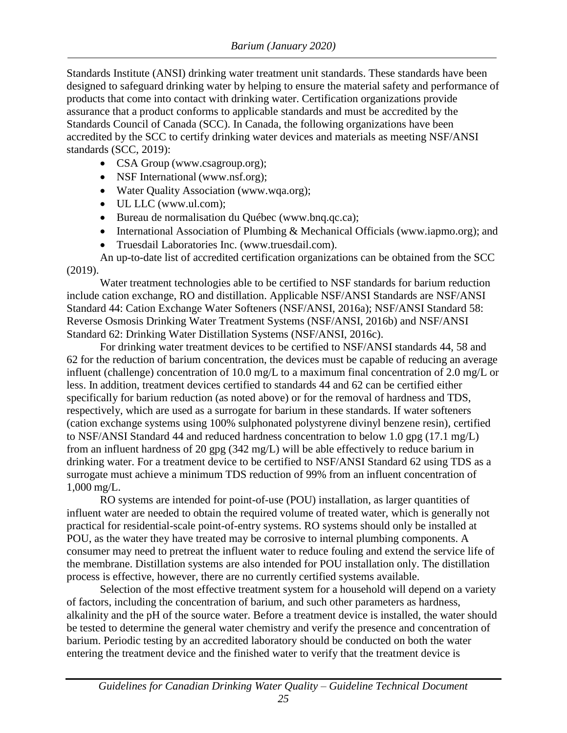Standards Institute (ANSI) drinking water treatment unit standards. These standards have been designed to safeguard drinking water by helping to ensure the material safety and performance of products that come into contact with drinking water. Certification organizations provide assurance that a product conforms to applicable standards and must be accredited by the Standards Council of Canada (SCC). In Canada, the following organizations have been accredited by the SCC to certify drinking water devices and materials as meeting NSF/ANSI standards (SCC, 2019):

- CSA Group (www.csagroup.org);
- NSF International (www.nsf.org);
- Water Quality Association (www.wqa.org);
- UL LLC (www.ul.com);
- Bureau de normalisation du Québec (www.bnq.qc.ca);
- International Association of Plumbing & Mechanical Officials (www.iapmo.org); and
- Truesdail Laboratories Inc. (www.truesdail.com).

An up-to-date list of accredited certification organizations can be obtained from the SCC (2019).

Water treatment technologies able to be certified to NSF standards for barium reduction include cation exchange, RO and distillation. Applicable NSF/ANSI Standards are NSF/ANSI Standard 44: Cation Exchange Water Softeners (NSF/ANSI, 2016a); NSF/ANSI Standard 58: Reverse Osmosis Drinking Water Treatment Systems (NSF/ANSI, 2016b) and NSF/ANSI Standard 62: Drinking Water Distillation Systems (NSF/ANSI, 2016c).

For drinking water treatment devices to be certified to NSF/ANSI standards 44, 58 and 62 for the reduction of barium concentration, the devices must be capable of reducing an average influent (challenge) concentration of 10.0 mg/L to a maximum final concentration of 2.0 mg/L or less. In addition, treatment devices certified to standards 44 and 62 can be certified either specifically for barium reduction (as noted above) or for the removal of hardness and TDS, respectively, which are used as a surrogate for barium in these standards. If water softeners (cation exchange systems using 100% sulphonated polystyrene divinyl benzene resin), certified to NSF/ANSI Standard 44 and reduced hardness concentration to below 1.0 gpg (17.1 mg/L) from an influent hardness of 20 gpg (342 mg/L) will be able effectively to reduce barium in drinking water. For a treatment device to be certified to NSF/ANSI Standard 62 using TDS as a surrogate must achieve a minimum TDS reduction of 99% from an influent concentration of 1,000 mg/L.

RO systems are intended for point-of-use (POU) installation, as larger quantities of influent water are needed to obtain the required volume of treated water, which is generally not practical for residential-scale point-of-entry systems. RO systems should only be installed at POU, as the water they have treated may be corrosive to internal plumbing components. A consumer may need to pretreat the influent water to reduce fouling and extend the service life of the membrane. Distillation systems are also intended for POU installation only. The distillation process is effective, however, there are no currently certified systems available.

Selection of the most effective treatment system for a household will depend on a variety of factors, including the concentration of barium, and such other parameters as hardness, alkalinity and the pH of the source water. Before a treatment device is installed, the water should be tested to determine the general water chemistry and verify the presence and concentration of barium. Periodic testing by an accredited laboratory should be conducted on both the water entering the treatment device and the finished water to verify that the treatment device is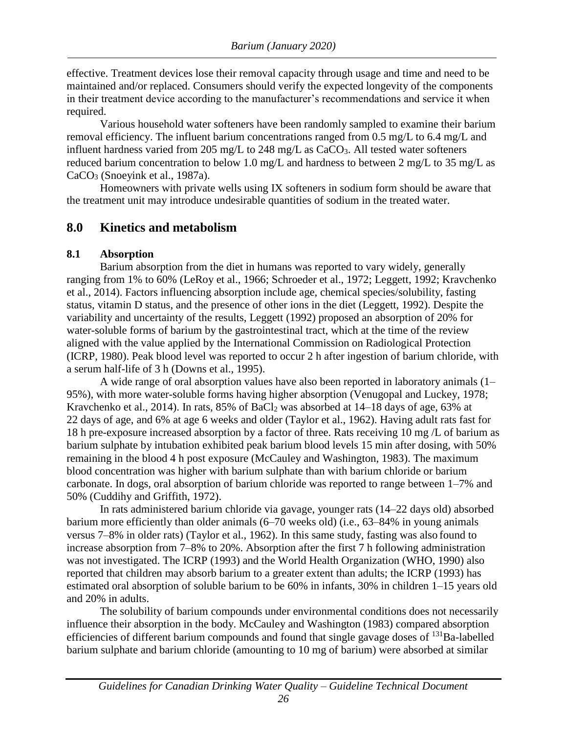effective. Treatment devices lose their removal capacity through usage and time and need to be maintained and/or replaced. Consumers should verify the expected longevity of the components in their treatment device according to the manufacturer's recommendations and service it when required.

Various household water softeners have been randomly sampled to examine their barium removal efficiency. The influent barium concentrations ranged from 0.5 mg/L to 6.4 mg/L and influent hardness varied from 205 mg/L to 248 mg/L as  $CaCO<sub>3</sub>$ . All tested water softeners reduced barium concentration to below 1.0 mg/L and hardness to between 2 mg/L to 35 mg/L as CaCO<sub>3</sub> (Snoevink et al., 1987a).

Homeowners with private wells using IX softeners in sodium form should be aware that the treatment unit may introduce undesirable quantities of sodium in the treated water.

#### <span id="page-32-0"></span>**8.0 Kinetics and metabolism**

#### <span id="page-32-1"></span>**8.1 Absorption**

Barium absorption from the diet in humans was reported to vary widely, generally ranging from 1% to 60% (LeRoy et al., 1966; Schroeder et al., 1972; Leggett, 1992; Kravchenko et al., 2014). Factors influencing absorption include age, chemical species/solubility, fasting status, vitamin D status, and the presence of other ions in the diet (Leggett, 1992). Despite the variability and uncertainty of the results, Leggett (1992) proposed an absorption of 20% for water-soluble forms of barium by the gastrointestinal tract, which at the time of the review aligned with the value applied by the International Commission on Radiological Protection (ICRP, 1980). Peak blood level was reported to occur 2 h after ingestion of barium chloride, with a serum half-life of 3 h (Downs et al., 1995).

A wide range of oral absorption values have also been reported in laboratory animals (1– 95%), with more water-soluble forms having higher absorption (Venugopal and Luckey, 1978; Kravchenko et al., 2014). In rats, 85% of BaCl<sub>2</sub> was absorbed at 14–18 days of age, 63% at 22 days of age, and 6% at age 6 weeks and older (Taylor et al., 1962). Having adult rats fast for 18 h pre-exposure increased absorption by a factor of three. Rats receiving 10 mg /L of barium as barium sulphate by intubation exhibited peak barium blood levels 15 min after dosing, with 50% remaining in the blood 4 h post exposure (McCauley and Washington, 1983). The maximum blood concentration was higher with barium sulphate than with barium chloride or barium carbonate. In dogs, oral absorption of barium chloride was reported to range between 1–7% and 50% (Cuddihy and Griffith, 1972).

In rats administered barium chloride via gavage, younger rats (14–22 days old) absorbed barium more efficiently than older animals (6–70 weeks old) (i.e., 63–84% in young animals versus 7–8% in older rats) (Taylor et al., 1962). In this same study, fasting was also found to increase absorption from 7–8% to 20%. Absorption after the first 7 h following administration was not investigated. The ICRP (1993) and the World Health Organization (WHO, 1990) also reported that children may absorb barium to a greater extent than adults; the ICRP (1993) has estimated oral absorption of soluble barium to be 60% in infants, 30% in children 1–15 years old and 20% in adults.

The solubility of barium compounds under environmental conditions does not necessarily influence their absorption in the body. McCauley and Washington (1983) compared absorption efficiencies of different barium compounds and found that single gavage doses of  $^{131}$ Ba-labelled barium sulphate and barium chloride (amounting to 10 mg of barium) were absorbed at similar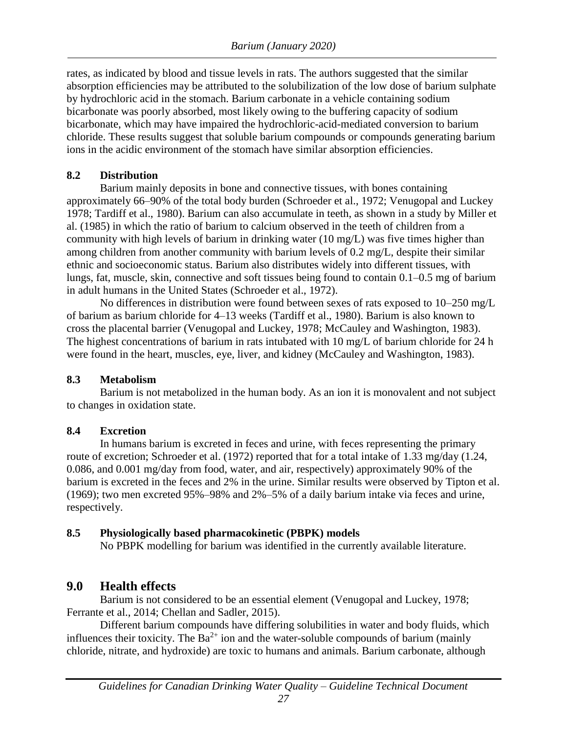rates, as indicated by blood and tissue levels in rats. The authors suggested that the similar absorption efficiencies may be attributed to the solubilization of the low dose of barium sulphate by hydrochloric acid in the stomach. Barium carbonate in a vehicle containing sodium bicarbonate was poorly absorbed, most likely owing to the buffering capacity of sodium bicarbonate, which may have impaired the hydrochloric-acid-mediated conversion to barium chloride. These results suggest that soluble barium compounds or compounds generating barium ions in the acidic environment of the stomach have similar absorption efficiencies.

#### <span id="page-33-0"></span>**8.2 Distribution**

Barium mainly deposits in bone and connective tissues, with bones containing approximately 66–90% of the total body burden (Schroeder et al., 1972; Venugopal and Luckey 1978; Tardiff et al., 1980). Barium can also accumulate in teeth, as shown in a study by Miller et al. (1985) in which the ratio of barium to calcium observed in the teeth of children from a community with high levels of barium in drinking water (10 mg/L) was five times higher than among children from another community with barium levels of 0.2 mg/L, despite their similar ethnic and socioeconomic status. Barium also distributes widely into different tissues, with lungs, fat, muscle, skin, connective and soft tissues being found to contain 0.1–0.5 mg of barium in adult humans in the United States (Schroeder et al., 1972).

No differences in distribution were found between sexes of rats exposed to 10–250 mg/L of barium as barium chloride for 4–13 weeks (Tardiff et al., 1980). Barium is also known to cross the placental barrier (Venugopal and Luckey, 1978; McCauley and Washington, 1983). The highest concentrations of barium in rats intubated with 10 mg/L of barium chloride for 24 h were found in the heart, muscles, eye, liver, and kidney (McCauley and Washington, 1983).

#### <span id="page-33-1"></span>**8.3 Metabolism**

Barium is not metabolized in the human body. As an ion it is monovalent and not subject to changes in oxidation state.

#### <span id="page-33-2"></span>**8.4 Excretion**

In humans barium is excreted in feces and urine, with feces representing the primary route of excretion; Schroeder et al. (1972) reported that for a total intake of 1.33 mg/day (1.24, 0.086, and 0.001 mg/day from food, water, and air, respectively) approximately 90% of the barium is excreted in the feces and 2% in the urine. Similar results were observed by Tipton et al. (1969); two men excreted 95%–98% and 2%–5% of a daily barium intake via feces and urine, respectively.

#### <span id="page-33-3"></span>**8.5 Physiologically based pharmacokinetic (PBPK) models**

No PBPK modelling for barium was identified in the currently available literature.

# <span id="page-33-4"></span>**9.0 Health effects**

Barium is not considered to be an essential element (Venugopal and Luckey, 1978; Ferrante et al., 2014; Chellan and Sadler, 2015).

Different barium compounds have differing solubilities in water and body fluids, which influences their toxicity. The  $Ba^{2+}$  ion and the water-soluble compounds of barium (mainly chloride, nitrate, and hydroxide) are toxic to humans and animals. Barium carbonate, although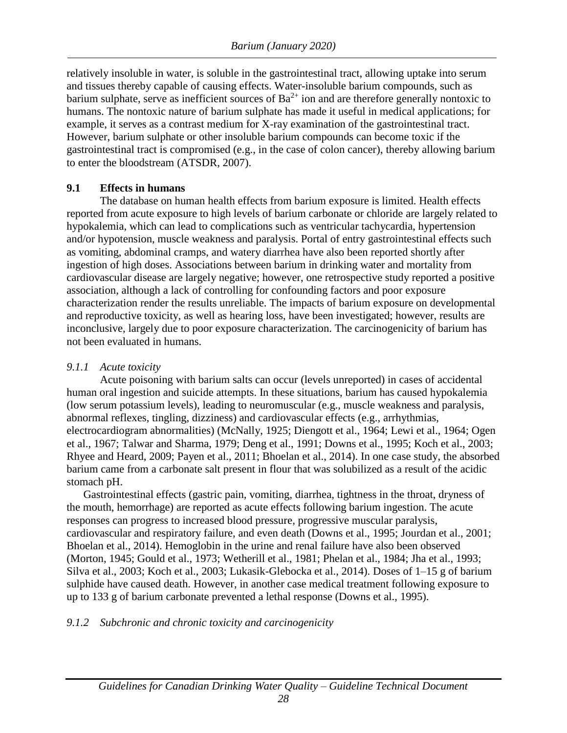relatively insoluble in water, is soluble in the gastrointestinal tract, allowing uptake into serum and tissues thereby capable of causing effects. Water-insoluble barium compounds, such as barium sulphate, serve as inefficient sources of  $Ba^{2+}$  ion and are therefore generally nontoxic to humans. The nontoxic nature of barium sulphate has made it useful in medical applications; for example, it serves as a contrast medium for X-ray examination of the gastrointestinal tract. However, barium sulphate or other insoluble barium compounds can become toxic if the gastrointestinal tract is compromised (e.g., in the case of colon cancer), thereby allowing barium to enter the bloodstream (ATSDR, 2007).

#### <span id="page-34-0"></span>**9.1 Effects in humans**

The database on human health effects from barium exposure is limited. Health effects reported from acute exposure to high levels of barium carbonate or chloride are largely related to hypokalemia, which can lead to complications such as ventricular tachycardia, hypertension and/or hypotension, muscle weakness and paralysis. Portal of entry gastrointestinal effects such as vomiting, abdominal cramps, and watery diarrhea have also been reported shortly after ingestion of high doses. Associations between barium in drinking water and mortality from cardiovascular disease are largely negative; however, one retrospective study reported a positive association, although a lack of controlling for confounding factors and poor exposure characterization render the results unreliable. The impacts of barium exposure on developmental and reproductive toxicity, as well as hearing loss, have been investigated; however, results are inconclusive, largely due to poor exposure characterization. The carcinogenicity of barium has not been evaluated in humans.

### <span id="page-34-1"></span>*9.1.1 Acute toxicity*

Acute poisoning with barium salts can occur (levels unreported) in cases of accidental human oral ingestion and suicide attempts. In these situations, barium has caused hypokalemia (low serum potassium levels), leading to neuromuscular (e.g., muscle weakness and paralysis, abnormal reflexes, tingling, dizziness) and cardiovascular effects (e.g., arrhythmias, electrocardiogram abnormalities) (McNally, 1925; Diengott et al., 1964; Lewi et al., 1964; Ogen et al., 1967; Talwar and Sharma, 1979; Deng et al., 1991; Downs et al., 1995; Koch et al., 2003; Rhyee and Heard, 2009; Payen et al., 2011; Bhoelan et al., 2014). In one case study, the absorbed barium came from a carbonate salt present in flour that was solubilized as a result of the acidic stomach pH.

Gastrointestinal effects (gastric pain, vomiting, diarrhea, tightness in the throat, dryness of the mouth, hemorrhage) are reported as acute effects following barium ingestion. The acute responses can progress to increased blood pressure, progressive muscular paralysis, cardiovascular and respiratory failure, and even death (Downs et al., 1995; Jourdan et al., 2001; Bhoelan et al., 2014). Hemoglobin in the urine and renal failure have also been observed (Morton, 1945; Gould et al., 1973; Wetherill et al., 1981; Phelan et al., 1984; Jha et al., 1993; Silva et al., 2003; Koch et al., 2003; Lukasik-Glebocka et al., 2014). Doses of 1–15 g of barium sulphide have caused death. However, in another case medical treatment following exposure to up to 133 g of barium carbonate prevented a lethal response (Downs et al., 1995).

### <span id="page-34-2"></span>*9.1.2 Subchronic and chronic toxicity and carcinogenicity*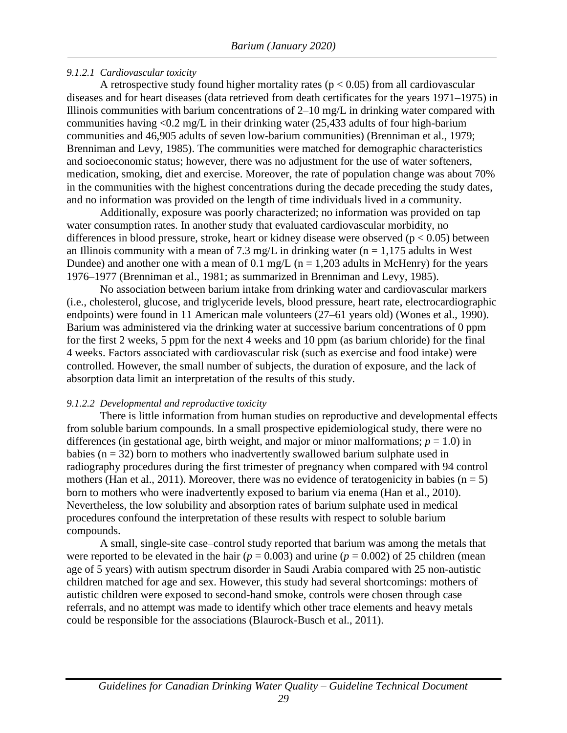#### <span id="page-35-0"></span>*9.1.2.1 Cardiovascular toxicity*

A retrospective study found higher mortality rates ( $p < 0.05$ ) from all cardiovascular diseases and for heart diseases (data retrieved from death certificates for the years 1971–1975) in Illinois communities with barium concentrations of 2–10 mg/L in drinking water compared with communities having <0.2 mg/L in their drinking water (25,433 adults of four high-barium communities and 46,905 adults of seven low-barium communities) (Brenniman et al., 1979; Brenniman and Levy, 1985). The communities were matched for demographic characteristics and socioeconomic status; however, there was no adjustment for the use of water softeners, medication, smoking, diet and exercise. Moreover, the rate of population change was about 70% in the communities with the highest concentrations during the decade preceding the study dates, and no information was provided on the length of time individuals lived in a community.

Additionally, exposure was poorly characterized; no information was provided on tap water consumption rates. In another study that evaluated cardiovascular morbidity, no differences in blood pressure, stroke, heart or kidney disease were observed ( $p < 0.05$ ) between an Illinois community with a mean of 7.3 mg/L in drinking water ( $n = 1,175$  adults in West Dundee) and another one with a mean of 0.1 mg/L ( $n = 1,203$  adults in McHenry) for the years 1976–1977 (Brenniman et al., 1981; as summarized in Brenniman and Levy, 1985).

No association between barium intake from drinking water and cardiovascular markers (i.e., cholesterol, glucose, and triglyceride levels, blood pressure, heart rate, electrocardiographic endpoints) were found in 11 American male volunteers (27–61 years old) (Wones et al., 1990). Barium was administered via the drinking water at successive barium concentrations of 0 ppm for the first 2 weeks, 5 ppm for the next 4 weeks and 10 ppm (as barium chloride) for the final 4 weeks. Factors associated with cardiovascular risk (such as exercise and food intake) were controlled. However, the small number of subjects, the duration of exposure, and the lack of absorption data limit an interpretation of the results of this study.

#### <span id="page-35-1"></span>*9.1.2.2 Developmental and reproductive toxicity*

There is little information from human studies on reproductive and developmental effects from soluble barium compounds. In a small prospective epidemiological study, there were no differences (in gestational age, birth weight, and major or minor malformations;  $p = 1.0$ ) in babies ( $n = 32$ ) born to mothers who inadvertently swallowed barium sulphate used in radiography procedures during the first trimester of pregnancy when compared with 94 control mothers (Han et al., 2011). Moreover, there was no evidence of teratogenicity in babies ( $n = 5$ ) born to mothers who were inadvertently exposed to barium via enema (Han et al., 2010). Nevertheless, the low solubility and absorption rates of barium sulphate used in medical procedures confound the interpretation of these results with respect to soluble barium compounds.

A small, single-site case–control study reported that barium was among the metals that were reported to be elevated in the hair ( $p = 0.003$ ) and urine ( $p = 0.002$ ) of 25 children (mean age of 5 years) with autism spectrum disorder in Saudi Arabia compared with 25 non-autistic children matched for age and sex. However, this study had several shortcomings: mothers of autistic children were exposed to second-hand smoke, controls were chosen through case referrals, and no attempt was made to identify which other trace elements and heavy metals could be responsible for the associations (Blaurock-Busch et al., 2011).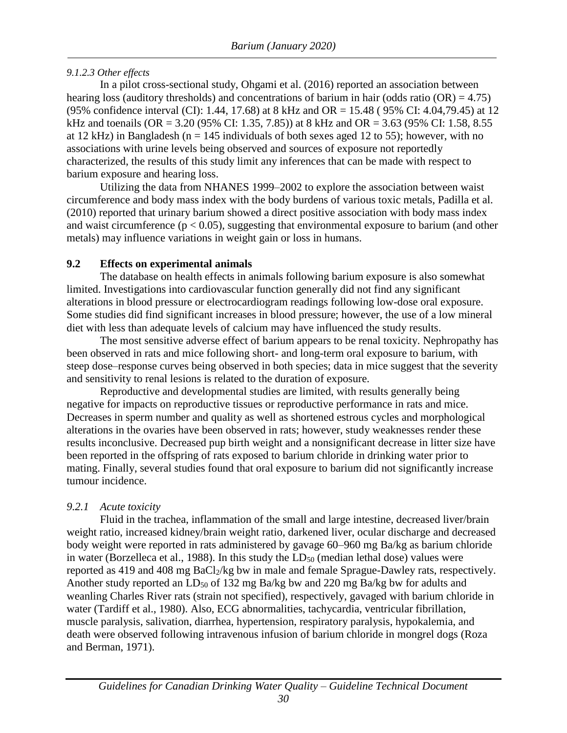#### <span id="page-36-0"></span>*9.1.2.3 Other effects*

In a pilot cross-sectional study, Ohgami et al. (2016) reported an association between hearing loss (auditory thresholds) and concentrations of barium in hair (odds ratio (OR) = 4.75) (95% confidence interval (CI): 1.44, 17.68) at 8 kHz and OR = 15.48 ( 95% CI: 4.04,79.45) at 12 kHz and toenails (OR = 3.20 (95% CI: 1.35, 7.85)) at 8 kHz and OR = 3.63 (95% CI: 1.58, 8.55 at 12 kHz) in Bangladesh (n = 145 individuals of both sexes aged 12 to 55); however, with no associations with urine levels being observed and sources of exposure not reportedly characterized, the results of this study limit any inferences that can be made with respect to barium exposure and hearing loss.

Utilizing the data from NHANES 1999–2002 to explore the association between waist circumference and body mass index with the body burdens of various toxic metals, Padilla et al. (2010) reported that urinary barium showed a direct positive association with body mass index and waist circumference ( $p < 0.05$ ), suggesting that environmental exposure to barium (and other metals) may influence variations in weight gain or loss in humans.

#### <span id="page-36-1"></span>**9.2 Effects on experimental animals**

The database on health effects in animals following barium exposure is also somewhat limited. Investigations into cardiovascular function generally did not find any significant alterations in blood pressure or electrocardiogram readings following low-dose oral exposure. Some studies did find significant increases in blood pressure; however, the use of a low mineral diet with less than adequate levels of calcium may have influenced the study results.

The most sensitive adverse effect of barium appears to be renal toxicity. Nephropathy has been observed in rats and mice following short- and long-term oral exposure to barium, with steep dose–response curves being observed in both species; data in mice suggest that the severity and sensitivity to renal lesions is related to the duration of exposure.

Reproductive and developmental studies are limited, with results generally being negative for impacts on reproductive tissues or reproductive performance in rats and mice. Decreases in sperm number and quality as well as shortened estrous cycles and morphological alterations in the ovaries have been observed in rats; however, study weaknesses render these results inconclusive. Decreased pup birth weight and a nonsignificant decrease in litter size have been reported in the offspring of rats exposed to barium chloride in drinking water prior to mating. Finally, several studies found that oral exposure to barium did not significantly increase tumour incidence.

#### <span id="page-36-2"></span>*9.2.1 Acute toxicity*

Fluid in the trachea, inflammation of the small and large intestine, decreased liver/brain weight ratio, increased kidney/brain weight ratio, darkened liver, ocular discharge and decreased body weight were reported in rats administered by gavage 60–960 mg Ba/kg as barium chloride in water (Borzelleca et al., 1988). In this study the  $LD_{50}$  (median lethal dose) values were reported as 419 and 408 mg  $BaCl<sub>2</sub>/kg$  bw in male and female Sprague-Dawley rats, respectively. Another study reported an LD<sub>50</sub> of 132 mg Ba/kg bw and 220 mg Ba/kg bw for adults and weanling Charles River rats (strain not specified), respectively, gavaged with barium chloride in water (Tardiff et al., 1980). Also, ECG abnormalities, tachycardia, ventricular fibrillation, muscle paralysis, salivation, diarrhea, hypertension, respiratory paralysis, hypokalemia, and death were observed following intravenous infusion of barium chloride in mongrel dogs (Roza and Berman, 1971).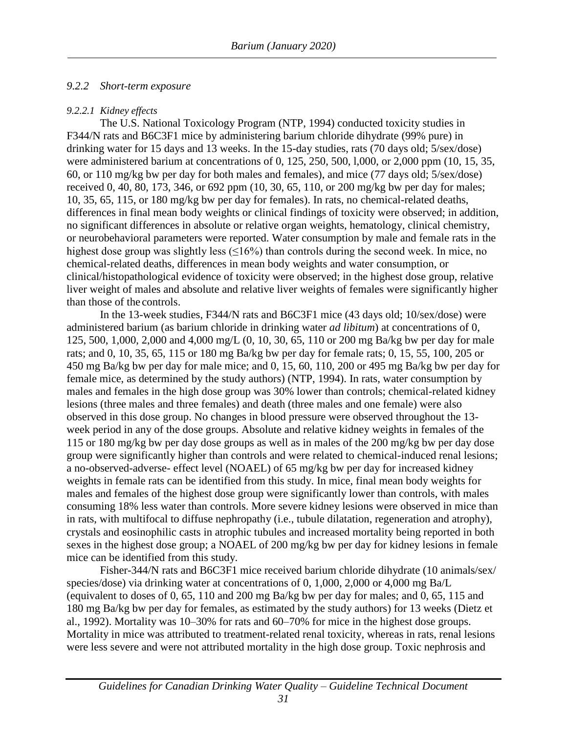#### <span id="page-37-0"></span>*9.2.2 Short-term exposure*

#### <span id="page-37-1"></span>*9.2.2.1 Kidney effects*

The U.S. National Toxicology Program (NTP, 1994) conducted toxicity studies in F344/N rats and B6C3F1 mice by administering barium chloride dihydrate (99% pure) in drinking water for 15 days and 13 weeks. In the 15-day studies, rats (70 days old; 5/sex/dose) were administered barium at concentrations of 0, 125, 250, 500, l,000, or 2,000 ppm (10, 15, 35, 60, or 110 mg/kg bw per day for both males and females), and mice (77 days old; 5/sex/dose) received 0, 40, 80, 173, 346, or 692 ppm (10, 30, 65, 110, or 200 mg/kg bw per day for males; 10, 35, 65, 115, or 180 mg/kg bw per day for females). In rats, no chemical-related deaths, differences in final mean body weights or clinical findings of toxicity were observed; in addition, no significant differences in absolute or relative organ weights, hematology, clinical chemistry, or neurobehavioral parameters were reported. Water consumption by male and female rats in the highest dose group was slightly less  $(\leq 16\%)$  than controls during the second week. In mice, no chemical-related deaths, differences in mean body weights and water consumption, or clinical/histopathological evidence of toxicity were observed; in the highest dose group, relative liver weight of males and absolute and relative liver weights of females were significantly higher than those of the controls.

In the 13-week studies, F344/N rats and B6C3F1 mice (43 days old; 10/sex/dose) were administered barium (as barium chloride in drinking water *ad libitum*) at concentrations of 0, 125, 500, 1,000, 2,000 and 4,000 mg/L (0, 10, 30, 65, 110 or 200 mg Ba/kg bw per day for male rats; and 0, 10, 35, 65, 115 or 180 mg Ba/kg bw per day for female rats; 0, 15, 55, 100, 205 or 450 mg Ba/kg bw per day for male mice; and 0, 15, 60, 110, 200 or 495 mg Ba/kg bw per day for female mice, as determined by the study authors) (NTP, 1994). In rats, water consumption by males and females in the high dose group was 30% lower than controls; chemical-related kidney lesions (three males and three females) and death (three males and one female) were also observed in this dose group. No changes in blood pressure were observed throughout the 13 week period in any of the dose groups. Absolute and relative kidney weights in females of the 115 or 180 mg/kg bw per day dose groups as well as in males of the 200 mg/kg bw per day dose group were significantly higher than controls and were related to chemical-induced renal lesions; a no-observed-adverse- effect level (NOAEL) of 65 mg/kg bw per day for increased kidney weights in female rats can be identified from this study. In mice, final mean body weights for males and females of the highest dose group were significantly lower than controls, with males consuming 18% less water than controls. More severe kidney lesions were observed in mice than in rats, with multifocal to diffuse nephropathy (i.e., tubule dilatation, regeneration and atrophy), crystals and eosinophilic casts in atrophic tubules and increased mortality being reported in both sexes in the highest dose group; a NOAEL of 200 mg/kg bw per day for kidney lesions in female mice can be identified from this study.

Fisher-344/N rats and B6C3F1 mice received barium chloride dihydrate (10 animals/sex/ species/dose) via drinking water at concentrations of 0, 1,000, 2,000 or 4,000 mg Ba/L (equivalent to doses of 0, 65, 110 and 200 mg Ba/kg bw per day for males; and 0, 65, 115 and 180 mg Ba/kg bw per day for females, as estimated by the study authors) for 13 weeks (Dietz et al., 1992). Mortality was 10–30% for rats and 60–70% for mice in the highest dose groups. Mortality in mice was attributed to treatment-related renal toxicity, whereas in rats, renal lesions were less severe and were not attributed mortality in the high dose group. Toxic nephrosis and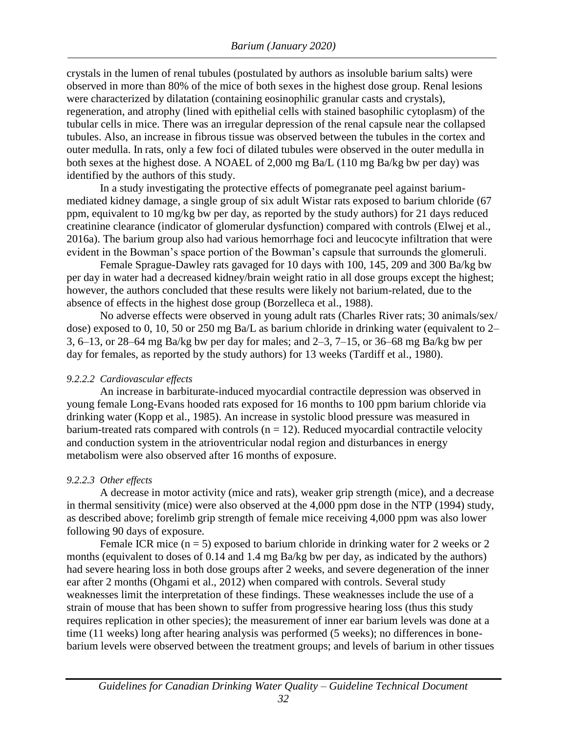crystals in the lumen of renal tubules (postulated by authors as insoluble barium salts) were observed in more than 80% of the mice of both sexes in the highest dose group. Renal lesions were characterized by dilatation (containing eosinophilic granular casts and crystals), regeneration, and atrophy (lined with epithelial cells with stained basophilic cytoplasm) of the tubular cells in mice. There was an irregular depression of the renal capsule near the collapsed tubules. Also, an increase in fibrous tissue was observed between the tubules in the cortex and outer medulla. In rats, only a few foci of dilated tubules were observed in the outer medulla in both sexes at the highest dose. A NOAEL of 2,000 mg Ba/L (110 mg Ba/kg bw per day) was identified by the authors of this study.

In a study investigating the protective effects of pomegranate peel against bariummediated kidney damage, a single group of six adult Wistar rats exposed to barium chloride (67 ppm, equivalent to 10 mg/kg bw per day, as reported by the study authors) for 21 days reduced creatinine clearance (indicator of glomerular dysfunction) compared with controls (Elwej et al., 2016a). The barium group also had various hemorrhage foci and leucocyte infiltration that were evident in the Bowman's space portion of the Bowman's capsule that surrounds the glomeruli.

Female Sprague-Dawley rats gavaged for 10 days with 100, 145, 209 and 300 Ba/kg bw per day in water had a decreased kidney/brain weight ratio in all dose groups except the highest; however, the authors concluded that these results were likely not barium-related, due to the absence of effects in the highest dose group (Borzelleca et al., 1988).

No adverse effects were observed in young adult rats (Charles River rats; 30 animals/sex/ dose) exposed to 0, 10, 50 or 250 mg Ba/L as barium chloride in drinking water (equivalent to 2– 3, 6–13, or 28–64 mg Ba/kg bw per day for males; and 2–3, 7–15, or 36–68 mg Ba/kg bw per day for females, as reported by the study authors) for 13 weeks (Tardiff et al., 1980).

#### <span id="page-38-0"></span>*9.2.2.2 Cardiovascular effects*

An increase in barbiturate-induced myocardial contractile depression was observed in young female Long-Evans hooded rats exposed for 16 months to 100 ppm barium chloride via drinking water (Kopp et al., 1985). An increase in systolic blood pressure was measured in barium-treated rats compared with controls  $(n = 12)$ . Reduced myocardial contractile velocity and conduction system in the atrioventricular nodal region and disturbances in energy metabolism were also observed after 16 months of exposure.

#### <span id="page-38-1"></span>*9.2.2.3 Other effects*

A decrease in motor activity (mice and rats), weaker grip strength (mice), and a decrease in thermal sensitivity (mice) were also observed at the 4,000 ppm dose in the NTP (1994) study, as described above; forelimb grip strength of female mice receiving 4,000 ppm was also lower following 90 days of exposure.

Female ICR mice  $(n = 5)$  exposed to barium chloride in drinking water for 2 weeks or 2 months (equivalent to doses of 0.14 and 1.4 mg Ba/kg bw per day, as indicated by the authors) had severe hearing loss in both dose groups after 2 weeks, and severe degeneration of the inner ear after 2 months (Ohgami et al., 2012) when compared with controls. Several study weaknesses limit the interpretation of these findings. These weaknesses include the use of a strain of mouse that has been shown to suffer from progressive hearing loss (thus this study requires replication in other species); the measurement of inner ear barium levels was done at a time (11 weeks) long after hearing analysis was performed (5 weeks); no differences in bonebarium levels were observed between the treatment groups; and levels of barium in other tissues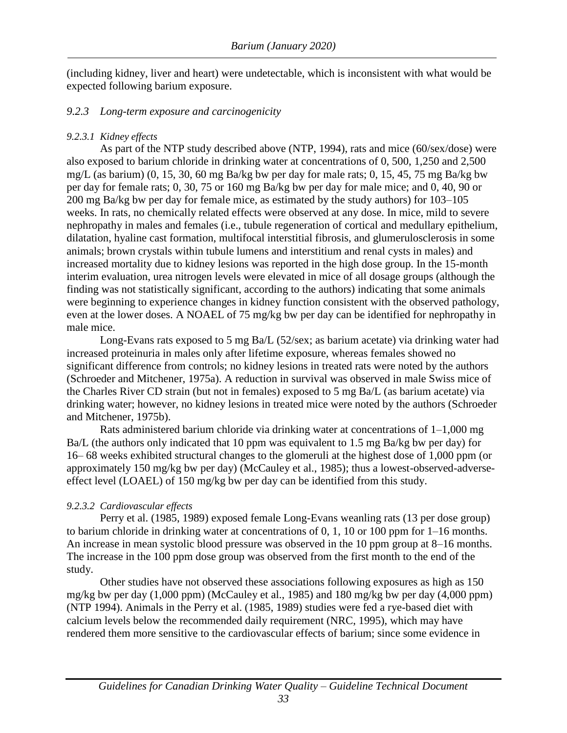(including kidney, liver and heart) were undetectable, which is inconsistent with what would be expected following barium exposure.

#### <span id="page-39-0"></span>*9.2.3 Long-term exposure and carcinogenicity*

#### <span id="page-39-1"></span>*9.2.3.1 Kidney effects*

As part of the NTP study described above (NTP, 1994), rats and mice (60/sex/dose) were also exposed to barium chloride in drinking water at concentrations of 0, 500, 1,250 and 2,500 mg/L (as barium) (0, 15, 30, 60 mg Ba/kg bw per day for male rats; 0, 15, 45, 75 mg Ba/kg bw per day for female rats; 0, 30, 75 or 160 mg Ba/kg bw per day for male mice; and 0, 40, 90 or 200 mg Ba/kg bw per day for female mice, as estimated by the study authors) for 103–105 weeks. In rats, no chemically related effects were observed at any dose. In mice, mild to severe nephropathy in males and females (i.e., tubule regeneration of cortical and medullary epithelium, dilatation, hyaline cast formation, multifocal interstitial fibrosis, and glumerulosclerosis in some animals; brown crystals within tubule lumens and interstitium and renal cysts in males) and increased mortality due to kidney lesions was reported in the high dose group. In the 15-month interim evaluation, urea nitrogen levels were elevated in mice of all dosage groups (although the finding was not statistically significant, according to the authors) indicating that some animals were beginning to experience changes in kidney function consistent with the observed pathology, even at the lower doses. A NOAEL of 75 mg/kg bw per day can be identified for nephropathy in male mice.

Long-Evans rats exposed to 5 mg Ba/L (52/sex; as barium acetate) via drinking water had increased proteinuria in males only after lifetime exposure, whereas females showed no significant difference from controls; no kidney lesions in treated rats were noted by the authors (Schroeder and Mitchener, 1975a). A reduction in survival was observed in male Swiss mice of the Charles River CD strain (but not in females) exposed to 5 mg Ba/L (as barium acetate) via drinking water; however, no kidney lesions in treated mice were noted by the authors (Schroeder and Mitchener, 1975b).

Rats administered barium chloride via drinking water at concentrations of  $1-1,000$  mg Ba/L (the authors only indicated that 10 ppm was equivalent to 1.5 mg Ba/kg bw per day) for 16– 68 weeks exhibited structural changes to the glomeruli at the highest dose of 1,000 ppm (or approximately 150 mg/kg bw per day) (McCauley et al., 1985); thus a lowest-observed-adverseeffect level (LOAEL) of 150 mg/kg bw per day can be identified from this study.

#### <span id="page-39-2"></span>*9.2.3.2 Cardiovascular effects*

Perry et al. (1985, 1989) exposed female Long-Evans weanling rats (13 per dose group) to barium chloride in drinking water at concentrations of 0, 1, 10 or 100 ppm for 1–16 months. An increase in mean systolic blood pressure was observed in the 10 ppm group at 8–16 months. The increase in the 100 ppm dose group was observed from the first month to the end of the study.

Other studies have not observed these associations following exposures as high as 150 mg/kg bw per day (1,000 ppm) (McCauley et al., 1985) and 180 mg/kg bw per day (4,000 ppm) (NTP 1994). Animals in the Perry et al. (1985, 1989) studies were fed a rye-based diet with calcium levels below the recommended daily requirement (NRC, 1995), which may have rendered them more sensitive to the cardiovascular effects of barium; since some evidence in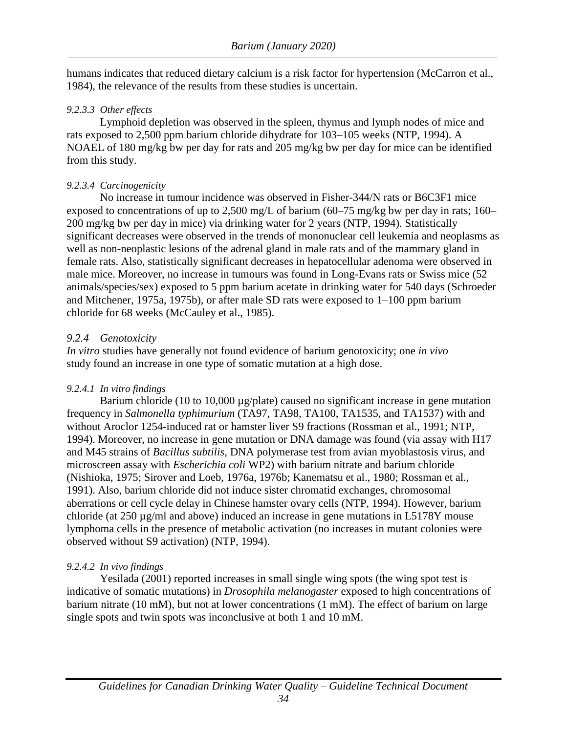humans indicates that reduced dietary calcium is a risk factor for hypertension (McCarron et al., 1984), the relevance of the results from these studies is uncertain.

#### <span id="page-40-0"></span>*9.2.3.3 Other effects*

Lymphoid depletion was observed in the spleen, thymus and lymph nodes of mice and rats exposed to 2,500 ppm barium chloride dihydrate for 103–105 weeks (NTP, 1994). A NOAEL of 180 mg/kg bw per day for rats and 205 mg/kg bw per day for mice can be identified from this study.

#### <span id="page-40-1"></span>*9.2.3.4 Carcinogenicity*

No increase in tumour incidence was observed in Fisher-344/N rats or B6C3F1 mice exposed to concentrations of up to 2,500 mg/L of barium  $(60-75 \text{ mg/kg}$  bw per day in rats; 160– 200 mg/kg bw per day in mice) via drinking water for 2 years (NTP, 1994). Statistically significant decreases were observed in the trends of mononuclear cell leukemia and neoplasms as well as non-neoplastic lesions of the adrenal gland in male rats and of the mammary gland in female rats. Also, statistically significant decreases in hepatocellular adenoma were observed in male mice. Moreover, no increase in tumours was found in Long-Evans rats or Swiss mice (52 animals/species/sex) exposed to 5 ppm barium acetate in drinking water for 540 days (Schroeder and Mitchener, 1975a, 1975b), or after male SD rats were exposed to 1–100 ppm barium chloride for 68 weeks (McCauley et al., 1985).

#### <span id="page-40-2"></span>*9.2.4 Genotoxicity*

*In vitro* studies have generally not found evidence of barium genotoxicity; one *in vivo* study found an increase in one type of somatic mutation at a high dose.

#### <span id="page-40-3"></span>*9.2.4.1 In vitro findings*

Barium chloride (10 to 10,000 µg/plate) caused no significant increase in gene mutation frequency in *Salmonella typhimurium* (TA97, TA98, TA100, TA1535, and TA1537) with and without Aroclor 1254-induced rat or hamster liver S9 fractions (Rossman et al., 1991; NTP, 1994). Moreover, no increase in gene mutation or DNA damage was found (via assay with H17 and M45 strains of *Bacillus subtilis*, DNA polymerase test from avian myoblastosis virus, and microscreen assay with *Escherichia coli* WP2) with barium nitrate and barium chloride (Nishioka, 1975; Sirover and Loeb, 1976a, 1976b; Kanematsu et al., 1980; Rossman et al., 1991). Also, barium chloride did not induce sister chromatid exchanges, chromosomal aberrations or cell cycle delay in Chinese hamster ovary cells (NTP, 1994). However, barium chloride (at 250 µg/ml and above) induced an increase in gene mutations in L5178Y mouse lymphoma cells in the presence of metabolic activation (no increases in mutant colonies were observed without S9 activation) (NTP, 1994).

#### <span id="page-40-4"></span>*9.2.4.2 In vivo findings*

Yesilada (2001) reported increases in small single wing spots (the wing spot test is indicative of somatic mutations) in *Drosophila melanogaster* exposed to high concentrations of barium nitrate (10 mM), but not at lower concentrations (1 mM). The effect of barium on large single spots and twin spots was inconclusive at both 1 and 10 mM.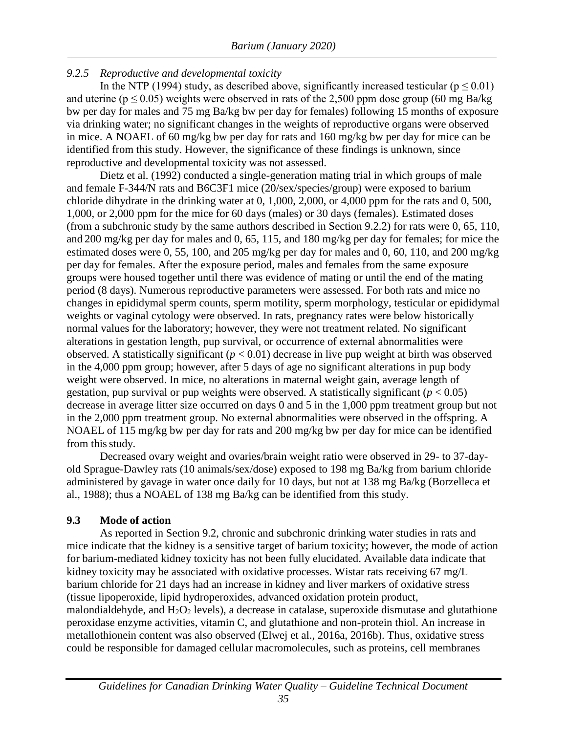### <span id="page-41-0"></span>*9.2.5 Reproductive and developmental toxicity*

In the NTP (1994) study, as described above, significantly increased testicular ( $p \le 0.01$ ) and uterine ( $p \le 0.05$ ) weights were observed in rats of the 2,500 ppm dose group (60 mg Ba/kg) bw per day for males and 75 mg Ba/kg bw per day for females) following 15 months of exposure via drinking water; no significant changes in the weights of reproductive organs were observed in mice. A NOAEL of 60 mg/kg bw per day for rats and 160 mg/kg bw per day for mice can be identified from this study. However, the significance of these findings is unknown, since reproductive and developmental toxicity was not assessed.

Dietz et al. (1992) conducted a single-generation mating trial in which groups of male and female F-344/N rats and B6C3F1 mice (20/sex/species/group) were exposed to barium chloride dihydrate in the drinking water at 0, 1,000, 2,000, or 4,000 ppm for the rats and 0, 500, 1,000, or 2,000 ppm for the mice for 60 days (males) or 30 days (females). Estimated doses (from a subchronic study by the same authors described in Section 9.2.2) for rats were 0, 65, 110, and 200 mg/kg per day for males and 0, 65, 115, and 180 mg/kg per day for females; for mice the estimated doses were 0, 55, 100, and 205 mg/kg per day for males and 0, 60, 110, and 200 mg/kg per day for females. After the exposure period, males and females from the same exposure groups were housed together until there was evidence of mating or until the end of the mating period (8 days). Numerous reproductive parameters were assessed. For both rats and mice no changes in epididymal sperm counts, sperm motility, sperm morphology, testicular or epididymal weights or vaginal cytology were observed. In rats, pregnancy rates were below historically normal values for the laboratory; however, they were not treatment related. No significant alterations in gestation length, pup survival, or occurrence of external abnormalities were observed. A statistically significant (*p* < 0.01) decrease in live pup weight at birth was observed in the 4,000 ppm group; however, after 5 days of age no significant alterations in pup body weight were observed. In mice, no alterations in maternal weight gain, average length of gestation, pup survival or pup weights were observed. A statistically significant  $(p < 0.05)$ decrease in average litter size occurred on days 0 and 5 in the 1,000 ppm treatment group but not in the 2,000 ppm treatment group. No external abnormalities were observed in the offspring. A NOAEL of 115 mg/kg bw per day for rats and 200 mg/kg bw per day for mice can be identified from this study.

Decreased ovary weight and ovaries/brain weight ratio were observed in 29- to 37-dayold Sprague-Dawley rats (10 animals/sex/dose) exposed to 198 mg Ba/kg from barium chloride administered by gavage in water once daily for 10 days, but not at 138 mg Ba/kg (Borzelleca et al., 1988); thus a NOAEL of 138 mg Ba/kg can be identified from this study.

#### <span id="page-41-1"></span>**9.3 Mode of action**

As reported in Section 9.2, chronic and subchronic drinking water studies in rats and mice indicate that the kidney is a sensitive target of barium toxicity; however, the mode of action for barium-mediated kidney toxicity has not been fully elucidated. Available data indicate that kidney toxicity may be associated with oxidative processes. Wistar rats receiving 67 mg/L barium chloride for 21 days had an increase in kidney and liver markers of oxidative stress (tissue lipoperoxide, lipid hydroperoxides, advanced oxidation protein product, malondialdehyde, and  $H_2O_2$  levels), a decrease in catalase, superoxide dismutase and glutathione peroxidase enzyme activities, vitamin C, and glutathione and non-protein thiol. An increase in metallothionein content was also observed (Elwej et al., 2016a, 2016b). Thus, oxidative stress could be responsible for damaged cellular macromolecules, such as proteins, cell membranes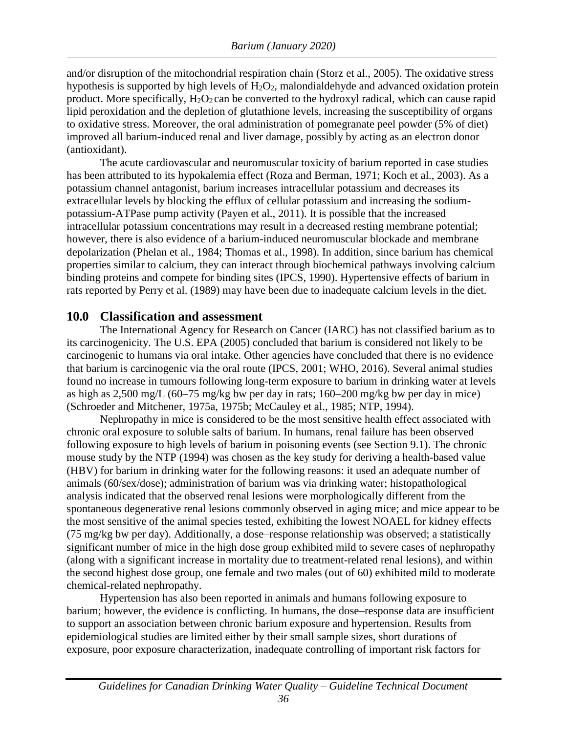and/or disruption of the mitochondrial respiration chain (Storz et al., 2005). The oxidative stress hypothesis is supported by high levels of  $H_2O_2$ , malondialdehyde and advanced oxidation protein product. More specifically,  $H_2O_2$  can be converted to the hydroxyl radical, which can cause rapid lipid peroxidation and the depletion of glutathione levels, increasing the susceptibility of organs to oxidative stress. Moreover, the oral administration of pomegranate peel powder (5% of diet) improved all barium-induced renal and liver damage, possibly by acting as an electron donor (antioxidant).

The acute cardiovascular and neuromuscular toxicity of barium reported in case studies has been attributed to its hypokalemia effect (Roza and Berman, 1971; Koch et al., 2003). As a potassium channel antagonist, barium increases intracellular potassium and decreases its extracellular levels by blocking the efflux of cellular potassium and increasing the sodiumpotassium-ATPase pump activity (Payen et al., 2011). It is possible that the increased intracellular potassium concentrations may result in a decreased resting membrane potential; however, there is also evidence of a barium-induced neuromuscular blockade and membrane depolarization (Phelan et al., 1984; Thomas et al., 1998). In addition, since barium has chemical properties similar to calcium, they can interact through biochemical pathways involving calcium binding proteins and compete for binding sites (IPCS, 1990). Hypertensive effects of barium in rats reported by Perry et al. (1989) may have been due to inadequate calcium levels in the diet.

#### <span id="page-42-0"></span>**10.0 Classification and assessment**

The International Agency for Research on Cancer (IARC) has not classified barium as to its carcinogenicity. The U.S. EPA (2005) concluded that barium is considered not likely to be carcinogenic to humans via oral intake. Other agencies have concluded that there is no evidence that barium is carcinogenic via the oral route (IPCS, 2001; WHO, 2016). Several animal studies found no increase in tumours following long-term exposure to barium in drinking water at levels as high as 2,500 mg/L (60–75 mg/kg bw per day in rats; 160–200 mg/kg bw per day in mice) (Schroeder and Mitchener, 1975a, 1975b; McCauley et al., 1985; NTP, 1994).

Nephropathy in mice is considered to be the most sensitive health effect associated with chronic oral exposure to soluble salts of barium. In humans, renal failure has been observed following exposure to high levels of barium in poisoning events (see Section 9.1). The chronic mouse study by the NTP (1994) was chosen as the key study for deriving a health-based value (HBV) for barium in drinking water for the following reasons: it used an adequate number of animals (60/sex/dose); administration of barium was via drinking water; histopathological analysis indicated that the observed renal lesions were morphologically different from the spontaneous degenerative renal lesions commonly observed in aging mice; and mice appear to be the most sensitive of the animal species tested, exhibiting the lowest NOAEL for kidney effects (75 mg/kg bw per day). Additionally, a dose–response relationship was observed; a statistically significant number of mice in the high dose group exhibited mild to severe cases of nephropathy (along with a significant increase in mortality due to treatment-related renal lesions), and within the second highest dose group, one female and two males (out of 60) exhibited mild to moderate chemical-related nephropathy.

Hypertension has also been reported in animals and humans following exposure to barium; however, the evidence is conflicting. In humans, the dose–response data are insufficient to support an association between chronic barium exposure and hypertension. Results from epidemiological studies are limited either by their small sample sizes, short durations of exposure, poor exposure characterization, inadequate controlling of important risk factors for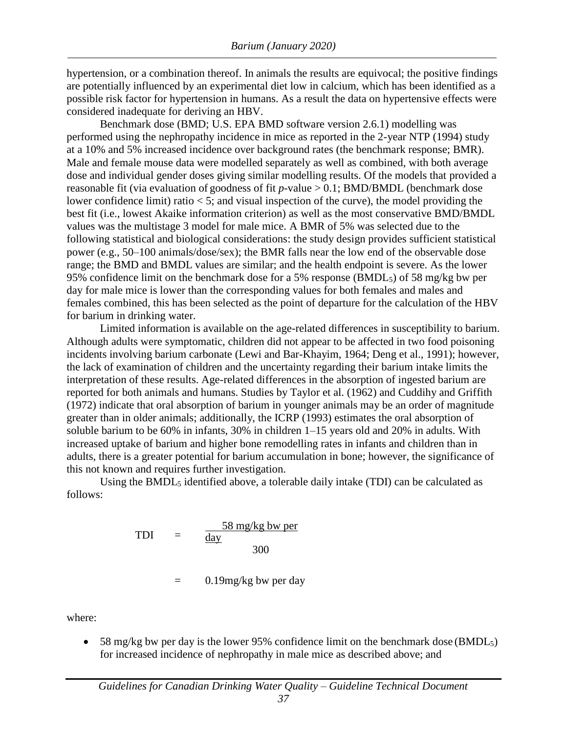hypertension, or a combination thereof. In animals the results are equivocal; the positive findings are potentially influenced by an experimental diet low in calcium, which has been identified as a possible risk factor for hypertension in humans. As a result the data on hypertensive effects were considered inadequate for deriving an HBV.

Benchmark dose (BMD; U.S. EPA BMD software version 2.6.1) modelling was performed using the nephropathy incidence in mice as reported in the 2-year NTP (1994) study at a 10% and 5% increased incidence over background rates (the benchmark response; BMR). Male and female mouse data were modelled separately as well as combined, with both average dose and individual gender doses giving similar modelling results. Of the models that provided a reasonable fit (via evaluation of goodness of fit *p*-value > 0.1; BMD/BMDL (benchmark dose lower confidence limit) ratio < 5; and visual inspection of the curve), the model providing the best fit (i.e., lowest Akaike information criterion) as well as the most conservative BMD/BMDL values was the multistage 3 model for male mice. A BMR of 5% was selected due to the following statistical and biological considerations: the study design provides sufficient statistical power (e.g., 50–100 animals/dose/sex); the BMR falls near the low end of the observable dose range; the BMD and BMDL values are similar; and the health endpoint is severe. As the lower 95% confidence limit on the benchmark dose for a 5% response (BMDL5) of 58 mg/kg bw per day for male mice is lower than the corresponding values for both females and males and females combined, this has been selected as the point of departure for the calculation of the HBV for barium in drinking water.

Limited information is available on the age-related differences in susceptibility to barium. Although adults were symptomatic, children did not appear to be affected in two food poisoning incidents involving barium carbonate (Lewi and Bar-Khayim, 1964; Deng et al., 1991); however, the lack of examination of children and the uncertainty regarding their barium intake limits the interpretation of these results. Age-related differences in the absorption of ingested barium are reported for both animals and humans. Studies by Taylor et al. (1962) and Cuddihy and Griffith (1972) indicate that oral absorption of barium in younger animals may be an order of magnitude greater than in older animals; additionally, the ICRP (1993) estimates the oral absorption of soluble barium to be 60% in infants, 30% in children 1–15 years old and 20% in adults. With increased uptake of barium and higher bone remodelling rates in infants and children than in adults, there is a greater potential for barium accumulation in bone; however, the significance of this not known and requires further investigation.

Using the  $BMDL<sub>5</sub>$  identified above, a tolerable daily intake (TDI) can be calculated as follows:

$$
TDI = \frac{58 \text{ mg/kg bw per}}{\text{day}}
$$
  
= 0.19mg/kg bw per day

where:

 $\bullet$  58 mg/kg bw per day is the lower 95% confidence limit on the benchmark dose (BMDL<sub>5</sub>) for increased incidence of nephropathy in male mice as described above; and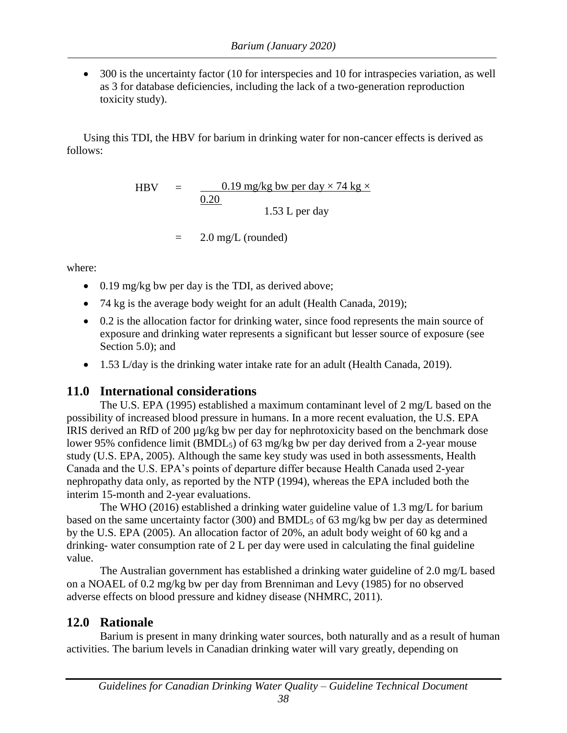• 300 is the uncertainty factor (10 for interspecies and 10 for intraspecies variation, as well as 3 for database deficiencies, including the lack of a two-generation reproduction toxicity study).

Using this TDI, the HBV for barium in drinking water for non-cancer effects is derived as follows:

> HBV =  $0.19 \text{ mg/kg}$  bw per day  $\times$  74 kg  $\times$ 0.20 1.53 L per day

> > $=$  2.0 mg/L (rounded)

where:

- $\bullet$  0.19 mg/kg bw per day is the TDI, as derived above;
- 74 kg is the average body weight for an adult (Health Canada, 2019);
- 0.2 is the allocation factor for drinking water, since food represents the main source of exposure and drinking water represents a significant but lesser source of exposure (see Section 5.0); and
- 1.53 L/day is the drinking water intake rate for an adult (Health Canada, 2019).

# <span id="page-44-0"></span>**11.0 International considerations**

The U.S. EPA (1995) established a maximum contaminant level of 2 mg/L based on the possibility of increased blood pressure in humans. In a more recent evaluation, the U.S. EPA IRIS derived an RfD of 200 µg/kg bw per day for nephrotoxicity based on the benchmark dose lower 95% confidence limit (BMDL5) of 63 mg/kg bw per day derived from a 2-year mouse study (U.S. EPA, 2005). Although the same key study was used in both assessments, Health Canada and the U.S. EPA's points of departure differ because Health Canada used 2-year nephropathy data only, as reported by the NTP (1994), whereas the EPA included both the interim 15-month and 2-year evaluations.

The WHO (2016) established a drinking water guideline value of 1.3 mg/L for barium based on the same uncertainty factor (300) and BMDL<sup>5</sup> of 63 mg/kg bw per day as determined by the U.S. EPA (2005). An allocation factor of 20%, an adult body weight of 60 kg and a drinking- water consumption rate of 2 L per day were used in calculating the final guideline value.

The Australian government has established a drinking water guideline of 2.0 mg/L based on a NOAEL of 0.2 mg/kg bw per day from Brenniman and Levy (1985) for no observed adverse effects on blood pressure and kidney disease (NHMRC, 2011).

# <span id="page-44-1"></span>**12.0 Rationale**

Barium is present in many drinking water sources, both naturally and as a result of human activities. The barium levels in Canadian drinking water will vary greatly, depending on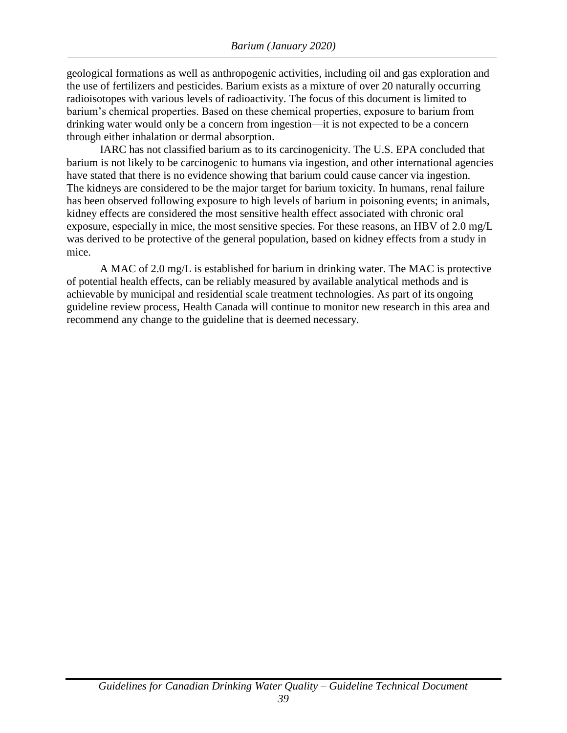geological formations as well as anthropogenic activities, including oil and gas exploration and the use of fertilizers and pesticides. Barium exists as a mixture of over 20 naturally occurring radioisotopes with various levels of radioactivity. The focus of this document is limited to barium's chemical properties. Based on these chemical properties, exposure to barium from drinking water would only be a concern from ingestion—it is not expected to be a concern through either inhalation or dermal absorption.

IARC has not classified barium as to its carcinogenicity. The U.S. EPA concluded that barium is not likely to be carcinogenic to humans via ingestion, and other international agencies have stated that there is no evidence showing that barium could cause cancer via ingestion. The kidneys are considered to be the major target for barium toxicity. In humans, renal failure has been observed following exposure to high levels of barium in poisoning events; in animals, kidney effects are considered the most sensitive health effect associated with chronic oral exposure, especially in mice, the most sensitive species. For these reasons, an HBV of 2.0 mg/L was derived to be protective of the general population, based on kidney effects from a study in mice.

A MAC of 2.0 mg/L is established for barium in drinking water. The MAC is protective of potential health effects, can be reliably measured by available analytical methods and is achievable by municipal and residential scale treatment technologies. As part of its ongoing guideline review process, Health Canada will continue to monitor new research in this area and recommend any change to the guideline that is deemed necessary.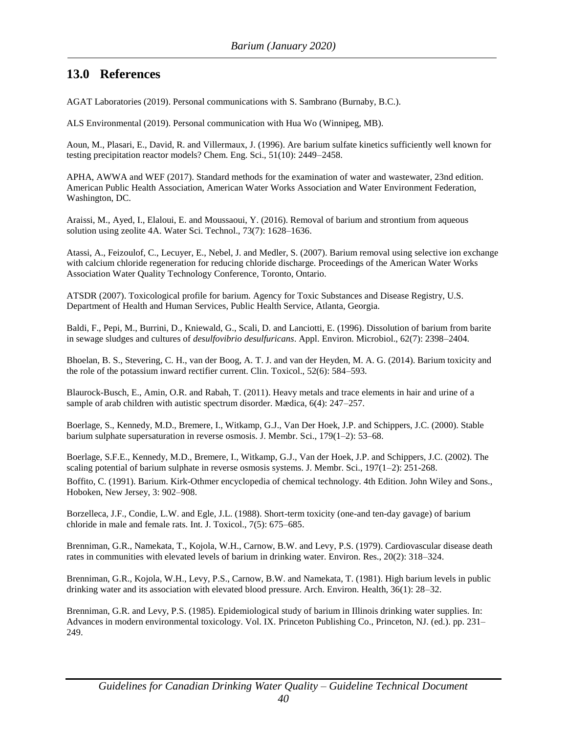#### <span id="page-46-0"></span>**13.0 References**

AGAT Laboratories (2019). Personal communications with S. Sambrano (Burnaby, B.C.).

ALS Environmental (2019). Personal communication with Hua Wo (Winnipeg, MB).

Aoun, M., Plasari, E., David, R. and Villermaux, J. (1996). Are barium sulfate kinetics sufficiently well known for testing precipitation reactor models? Chem. Eng. Sci., 51(10): 2449–2458.

APHA, AWWA and WEF (2017). Standard methods for the examination of water and wastewater, 23nd edition. American Public Health Association, American Water Works Association and Water Environment Federation, Washington, DC.

Araissi, M., Ayed, I., Elaloui, E. and Moussaoui, Y. (2016). Removal of barium and strontium from aqueous solution using zeolite 4A. Water Sci. Technol., 73(7): 1628–1636.

Atassi, A., Feizoulof, C., Lecuyer, E., Nebel, J. and Medler, S. (2007). Barium removal using selective ion exchange with calcium chloride regeneration for reducing chloride discharge. Proceedings of the American Water Works Association Water Quality Technology Conference, Toronto, Ontario.

ATSDR (2007). Toxicological profile for barium. Agency for Toxic Substances and Disease Registry, U.S. Department of Health and Human Services, Public Health Service, Atlanta, Georgia.

Baldi, F., Pepi, M., Burrini, D., Kniewald, G., Scali, D. and Lanciotti, E. (1996). Dissolution of barium from barite in sewage sludges and cultures of *desulfovibrio desulfuricans*. Appl. Environ. Microbiol., 62(7): 2398–2404.

Bhoelan, B. S., Stevering, C. H., van der Boog, A. T. J. and van der Heyden, M. A. G. (2014). Barium toxicity and the role of the potassium inward rectifier current. Clin. Toxicol., 52(6): 584–593.

Blaurock-Busch, E., Amin, O.R. and Rabah, T. (2011). Heavy metals and trace elements in hair and urine of a sample of arab children with autistic spectrum disorder. Mædica, 6(4): 247–257.

Boerlage, S., Kennedy, M.D., Bremere, I., Witkamp, G.J., Van Der Hoek, J.P. and Schippers, J.C. (2000). Stable barium sulphate supersaturation in reverse osmosis. J. Membr. Sci., 179(1–2): 53–68.

Boerlage, S.F.E., Kennedy, M.D., Bremere, I., Witkamp, G.J., Van der Hoek, J.P. and Schippers, J.C. (2002). The scaling potential of barium sulphate in reverse osmosis systems. J. Membr. Sci., 197(1–2): 251-268.

Boffito, C. (1991). Barium. Kirk-Othmer encyclopedia of chemical technology. 4th Edition. John Wiley and Sons., Hoboken, New Jersey, 3: 902–908.

Borzelleca, J.F., Condie, L.W. and Egle, J.L. (1988). Short-term toxicity (one-and ten-day gavage) of barium chloride in male and female rats. Int. J. Toxicol., 7(5): 675–685.

Brenniman, G.R., Namekata, T., Kojola, W.H., Carnow, B.W. and Levy, P.S. (1979). Cardiovascular disease death rates in communities with elevated levels of barium in drinking water. Environ. Res., 20(2): 318–324.

Brenniman, G.R., Kojola, W.H., Levy, P.S., Carnow, B.W. and Namekata, T. (1981). High barium levels in public drinking water and its association with elevated blood pressure. Arch. Environ. Health, 36(1): 28–32.

Brenniman, G.R. and Levy, P.S. (1985). Epidemiological study of barium in Illinois drinking water supplies. In: Advances in modern environmental toxicology. Vol. IX. Princeton Publishing Co., Princeton, NJ. (ed.). pp. 231– 249.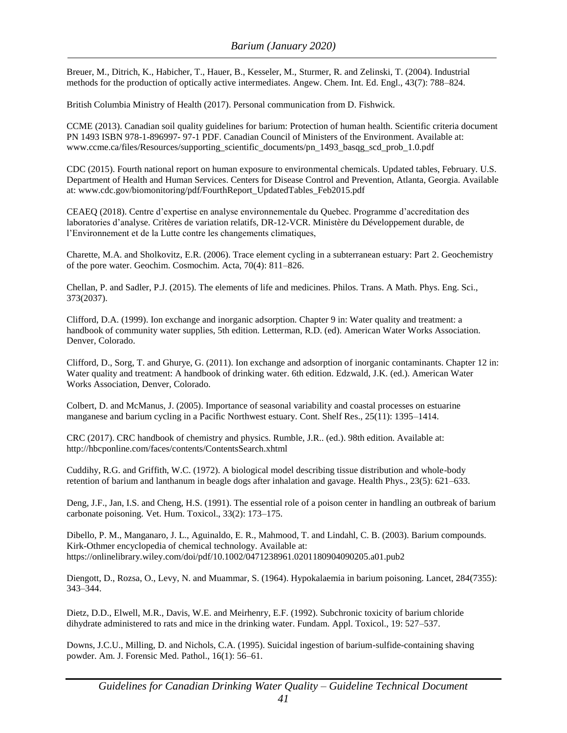Breuer, M., Ditrich, K., Habicher, T., Hauer, B., Kesseler, M., Sturmer, R. and Zelinski, T. (2004). Industrial methods for the production of optically active intermediates. Angew. Chem. Int. Ed. Engl., 43(7): 788–824.

British Columbia Ministry of Health (2017). Personal communication from D. Fishwick.

CCME (2013). Canadian soil quality guidelines for barium: Protection of human health. Scientific criteria document PN 1493 ISBN 978-1-896997- 97-1 PDF. Canadian Council of Ministers of the Environment. Available at: [www.ccme.ca/files/Resources/supporting\\_scientific\\_documents/pn\\_1493\\_basqg\\_scd\\_prob\\_1.0.pdf](http://www.ccme.ca/files/Resources/supporting_scientific_documents/pn_1493_basqg_scd_prob_1.0.pdf)

CDC (2015). Fourth national report on human exposure to environmental chemicals. Updated tables, February. U.S. Department of Health and Human Services. Centers for Disease Control and Prevention, Atlanta, Georgia. Available at: [www.cdc.gov/biomonitoring/pdf/FourthReport\\_UpdatedTables\\_Feb2015.pdf](http://www.cdc.gov/biomonitoring/pdf/FourthReport_UpdatedTables_Feb2015.pdf)

CEAEQ (2018). Centre d'expertise en analyse environnementale du Quebec. Programme d'accreditation des laboratories d'analyse. Critères de variation relatifs, DR-12-VCR. Ministère du Développement durable, de l'Environnement et de la Lutte contre les changements climatiques,

Charette, M.A. and Sholkovitz, E.R. (2006). Trace element cycling in a subterranean estuary: Part 2. Geochemistry of the pore water. Geochim. Cosmochim. Acta, 70(4): 811–826.

Chellan, P. and Sadler, P.J. (2015). The elements of life and medicines. Philos. Trans. A Math. Phys. Eng. Sci., 373(2037).

Clifford, D.A. (1999). Ion exchange and inorganic adsorption. Chapter 9 in: Water quality and treatment: a handbook of community water supplies, 5th edition. Letterman, R.D. (ed). American Water Works Association. Denver, Colorado.

Clifford, D., Sorg, T. and Ghurye, G. (2011). Ion exchange and adsorption of inorganic contaminants. Chapter 12 in: Water quality and treatment: A handbook of drinking water. 6th edition. Edzwald, J.K. (ed.). American Water Works Association, Denver, Colorado.

Colbert, D. and McManus, J. (2005). Importance of seasonal variability and coastal processes on estuarine manganese and barium cycling in a Pacific Northwest estuary. Cont. Shelf Res., 25(11): 1395–1414.

CRC (2017). CRC handbook of chemistry and physics. Rumble, J.R.. (ed.). 98th edition. Available at: <http://hbcponline.com/faces/contents/ContentsSearch.xhtml>

Cuddihy, R.G. and Griffith, W.C. (1972). A biological model describing tissue distribution and whole-body retention of barium and lanthanum in beagle dogs after inhalation and gavage. Health Phys., 23(5): 621–633.

Deng, J.F., Jan, I.S. and Cheng, H.S. (1991). The essential role of a poison center in handling an outbreak of barium carbonate poisoning. Vet. Hum. Toxicol., 33(2): 173–175.

Dibello, P. M., Manganaro, J. L., Aguinaldo, E. R., Mahmood, T. and Lindahl, C. B. (2003). Barium compounds. Kirk-Othmer encyclopedia of chemical technology. Available at: https://onlinelibrary.wiley.com/doi/pdf/10.1002/0471238961.0201180904090205.a01.pub2

Diengott, D., Rozsa, O., Levy, N. and Muammar, S. (1964). Hypokalaemia in barium poisoning. Lancet, 284(7355): 343–344.

Dietz, D.D., Elwell, M.R., Davis, W.E. and Meirhenry, E.F. (1992). Subchronic toxicity of barium chloride dihydrate administered to rats and mice in the drinking water. Fundam. Appl. Toxicol., 19: 527–537.

Downs, J.C.U., Milling, D. and Nichols, C.A. (1995). Suicidal ingestion of barium-sulfide-containing shaving powder. Am. J. Forensic Med. Pathol., 16(1): 56–61.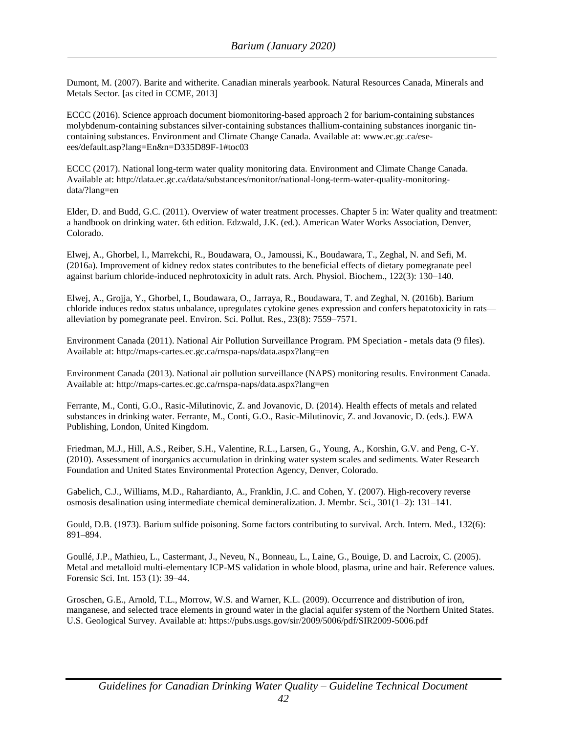Dumont, M. (2007). Barite and witherite. Canadian minerals yearbook. Natural Resources Canada, Minerals and Metals Sector. [as cited in CCME, 2013]

ECCC (2016). Science approach document biomonitoring-based approach 2 for barium-containing substances molybdenum-containing substances silver-containing substances thallium-containing substances inorganic tincontaining substances. Environment and Climate Change Canada. Available at: [www.ec.gc.ca/ese](http://www.ec.gc.ca/ese-)ees/default.asp?lang=En&n=D335D89F-1#toc03

ECCC (2017). National long-term water quality monitoring data. Environment and Climate Change Canada. Available at: http://data.ec.gc.ca/data/substances/monitor/national-long-term-water-quality-monitoringdata/?lang=en

Elder, D. and Budd, G.C. (2011). Overview of water treatment processes. Chapter 5 in: Water quality and treatment: a handbook on drinking water. 6th edition. Edzwald, J.K. (ed.). American Water Works Association, Denver, Colorado.

Elwej, A., Ghorbel, I., Marrekchi, R., Boudawara, O., Jamoussi, K., Boudawara, T., Zeghal, N. and Sefi, M. (2016a). Improvement of kidney redox states contributes to the beneficial effects of dietary pomegranate peel against barium chloride-induced nephrotoxicity in adult rats. Arch. Physiol. Biochem., 122(3): 130–140.

Elwej, A., Grojja, Y., Ghorbel, I., Boudawara, O., Jarraya, R., Boudawara, T. and Zeghal, N. (2016b). Barium chloride induces redox status unbalance, upregulates cytokine genes expression and confers hepatotoxicity in rats alleviation by pomegranate peel. Environ. Sci. Pollut. Res., 23(8): 7559–7571.

Environment Canada (2011). National Air Pollution Surveillance Program. PM Speciation - metals data (9 files). Available at:<http://maps-cartes.ec.gc.ca/rnspa-naps/data.aspx?lang=en>

Environment Canada (2013). National air pollution surveillance (NAPS) monitoring results. Environment Canada. Available at:<http://maps-cartes.ec.gc.ca/rnspa-naps/data.aspx?lang=en>

Ferrante, M., Conti, G.O., Rasic-Milutinovic, Z. and Jovanovic, D. (2014). Health effects of metals and related substances in drinking water. Ferrante, M., Conti, G.O., Rasic-Milutinovic, Z. and Jovanovic, D. (eds.). EWA Publishing, London, United Kingdom.

Friedman, M.J., Hill, A.S., Reiber, S.H., Valentine, R.L., Larsen, G., Young, A., Korshin, G.V. and Peng, C-Y. (2010). Assessment of inorganics accumulation in drinking water system scales and sediments. Water Research Foundation and United States Environmental Protection Agency, Denver, Colorado.

Gabelich, C.J., Williams, M.D., Rahardianto, A., Franklin, J.C. and Cohen, Y. (2007). High-recovery reverse osmosis desalination using intermediate chemical demineralization. J. Membr. Sci., 301(1–2): 131–141.

Gould, D.B. (1973). Barium sulfide poisoning. Some factors contributing to survival. Arch. Intern. Med., 132(6): 891–894.

Goullé, J.P., Mathieu, L., Castermant, J., Neveu, N., Bonneau, L., Laine, G., Bouige, D. and Lacroix, C. (2005). Metal and metalloid multi-elementary ICP-MS validation in whole blood, plasma, urine and hair. Reference values. Forensic Sci. Int. 153 (1): 39–44.

Groschen, G.E., Arnold, T.L., Morrow, W.S. and Warner, K.L. (2009). Occurrence and distribution of iron, manganese, and selected trace elements in ground water in the glacial aquifer system of the Northern United States. U.S. Geological Survey. Available at: https://pubs.usgs.gov/sir/2009/5006/pdf/SIR2009-5006.pdf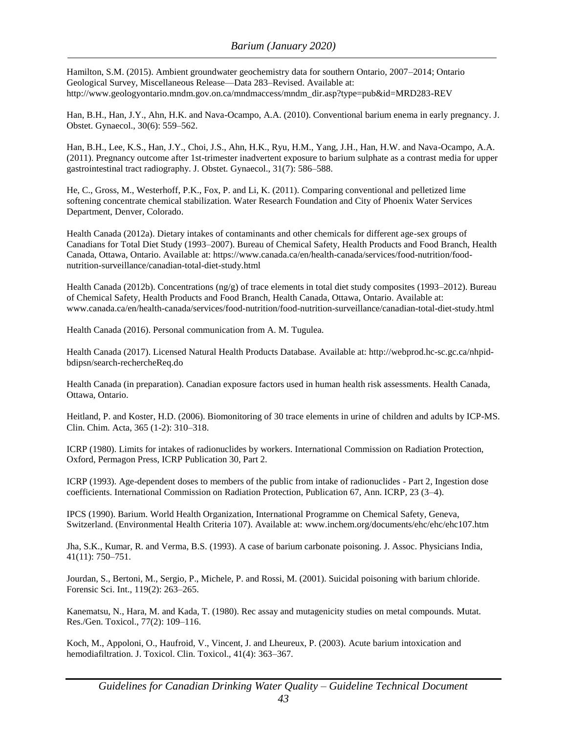Hamilton, S.M. (2015). Ambient groundwater geochemistry data for southern Ontario, 2007–2014; Ontario Geological Survey, Miscellaneous Release—Data 283–Revised. Available at: http://www.geologyontario.mndm.gov.on.ca/mndmaccess/mndm\_dir.asp?type=pub&id=MRD283-REV

Han, B.H., Han, J.Y., Ahn, H.K. and Nava-Ocampo, A.A. (2010). Conventional barium enema in early pregnancy. J. Obstet. Gynaecol., 30(6): 559–562.

Han, B.H., Lee, K.S., Han, J.Y., Choi, J.S., Ahn, H.K., Ryu, H.M., Yang, J.H., Han, H.W. and Nava-Ocampo, A.A. (2011). Pregnancy outcome after 1st-trimester inadvertent exposure to barium sulphate as a contrast media for upper gastrointestinal tract radiography. J. Obstet. Gynaecol., 31(7): 586–588.

He, C., Gross, M., Westerhoff, P.K., Fox, P. and Li, K. (2011). Comparing conventional and pelletized lime softening concentrate chemical stabilization. Water Research Foundation and City of Phoenix Water Services Department, Denver, Colorado.

Health Canada (2012a). Dietary intakes of contaminants and other chemicals for different age-sex groups of Canadians for Total Diet Study (1993–2007). Bureau of Chemical Safety, Health Products and Food Branch, Health Canada, Ottawa, Ontario. Available at: https://www.canada.ca/en/health-canada/services/food-nutrition/foodnutrition-surveillance/canadian-total-diet-study.html

Health Canada (2012b). Concentrations (ng/g) of trace elements in total diet study composites (1993–2012). Bureau of Chemical Safety, Health Products and Food Branch, Health Canada, Ottawa, Ontario. Available at: [www.canada.ca/en/health-canada/services/food-nutrition/food-nutrition-surveillance/canadian-total-diet-study.html](http://www.canada.ca/en/health-canada/services/food-nutrition/food-nutrition-surveillance/canadian-total-diet-study.html)

Health Canada (2016). Personal communication from A. M. Tugulea.

Health Canada (2017). Licensed Natural Health Products Database. Available at: http://webprod.hc-sc.gc.ca/nhpidbdipsn/search-rechercheReq.do

Health Canada (in preparation). Canadian exposure factors used in human health risk assessments. Health Canada, Ottawa, Ontario.

Heitland, P. and Koster, H.D. (2006). Biomonitoring of 30 trace elements in urine of children and adults by ICP-MS. Clin. Chim. Acta, 365 (1-2): 310–318.

ICRP (1980). Limits for intakes of radionuclides by workers. International Commission on Radiation Protection, Oxford, Permagon Press, ICRP Publication 30, Part 2.

ICRP (1993). Age-dependent doses to members of the public from intake of radionuclides - Part 2, Ingestion dose coefficients. International Commission on Radiation Protection, Publication 67, Ann. ICRP, 23 (3–4).

IPCS (1990). Barium. World Health Organization, International Programme on Chemical Safety, Geneva, Switzerland. (Environmental Health Criteria 107). Available at: [www.inchem.org/documents/ehc/ehc/ehc107.htm](http://www.inchem.org/documents/ehc/ehc/ehc107.htm)

Jha, S.K., Kumar, R. and Verma, B.S. (1993). A case of barium carbonate poisoning. J. Assoc. Physicians India, 41(11): 750–751.

Jourdan, S., Bertoni, M., Sergio, P., Michele, P. and Rossi, M. (2001). Suicidal poisoning with barium chloride. Forensic Sci. Int., 119(2): 263–265.

Kanematsu, N., Hara, M. and Kada, T. (1980). Rec assay and mutagenicity studies on metal compounds. Mutat. Res./Gen. Toxicol., 77(2): 109–116.

Koch, M., Appoloni, O., Haufroid, V., Vincent, J. and Lheureux, P. (2003). Acute barium intoxication and hemodiafiltration. J. Toxicol. Clin. Toxicol., 41(4): 363–367.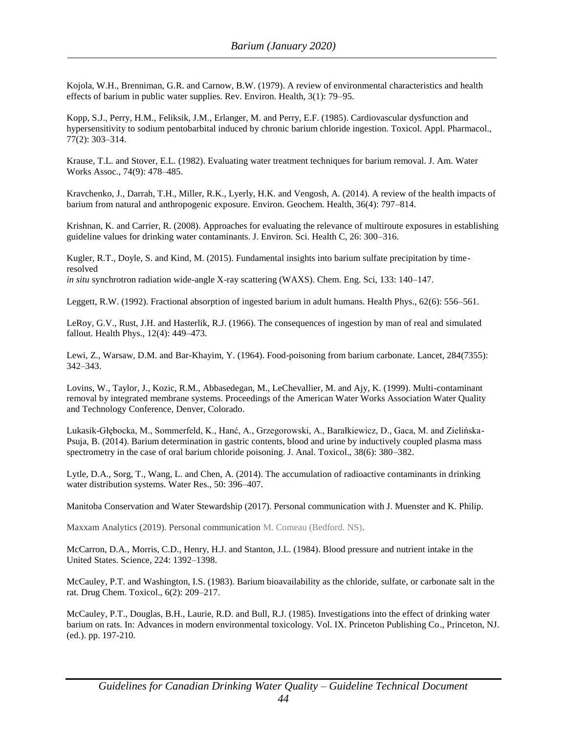Kojola, W.H., Brenniman, G.R. and Carnow, B.W. (1979). A review of environmental characteristics and health effects of barium in public water supplies. Rev. Environ. Health, 3(1): 79–95.

Kopp, S.J., Perry, H.M., Feliksik, J.M., Erlanger, M. and Perry, E.F. (1985). Cardiovascular dysfunction and hypersensitivity to sodium pentobarbital induced by chronic barium chloride ingestion. Toxicol. Appl. Pharmacol., 77(2): 303–314.

Krause, T.L. and Stover, E.L. (1982). Evaluating water treatment techniques for barium removal. J. Am. Water Works Assoc., 74(9): 478–485.

Kravchenko, J., Darrah, T.H., Miller, R.K., Lyerly, H.K. and Vengosh, A. (2014). A review of the health impacts of barium from natural and anthropogenic exposure. Environ. Geochem. Health, 36(4): 797–814.

Krishnan, K. and Carrier, R. (2008). Approaches for evaluating the relevance of multiroute exposures in establishing guideline values for drinking water contaminants. J. Environ. Sci. Health C, 26: 300–316.

Kugler, R.T., Doyle, S. and Kind, M. (2015). Fundamental insights into barium sulfate precipitation by timeresolved *in situ* synchrotron radiation wide-angle X-ray scattering (WAXS). Chem. Eng. Sci, 133: 140–147.

Leggett, R.W. (1992). Fractional absorption of ingested barium in adult humans. Health Phys., 62(6): 556–561.

LeRoy, G.V., Rust, J.H. and Hasterlik, R.J. (1966). The consequences of ingestion by man of real and simulated fallout. Health Phys., 12(4): 449–473.

Lewi, Z., Warsaw, D.M. and Bar-Khayim, Y. (1964). Food-poisoning from barium carbonate. Lancet, 284(7355): 342–343.

Lovins, W., Taylor, J., Kozic, R.M., Abbasedegan, M., LeChevallier, M. and Ajy, K. (1999). Multi-contaminant removal by integrated membrane systems. Proceedings of the American Water Works Association Water Quality and Technology Conference, Denver, Colorado.

Lukasik-Głębocka, M., Sommerfeld, K., Hanć, A., Grzegorowski, A., Barałkiewicz, D., Gaca, M. and Zielińska-Psuja, B. (2014). Barium determination in gastric contents, blood and urine by inductively coupled plasma mass spectrometry in the case of oral barium chloride poisoning. J. Anal. Toxicol., 38(6): 380–382.

Lytle, D.A., Sorg, T., Wang, L. and Chen, A. (2014). The accumulation of radioactive contaminants in drinking water distribution systems. Water Res., 50: 396–407.

Manitoba Conservation and Water Stewardship (2017). Personal communication with J. Muenster and K. Philip.

Maxxam Analytics (2019). Personal communication M. Comeau (Bedford. NS).

McCarron, D.A., Morris, C.D., Henry, H.J. and Stanton, J.L. (1984). Blood pressure and nutrient intake in the United States. Science, 224: 1392–1398.

McCauley, P.T. and Washington, I.S. (1983). Barium bioavailability as the chloride, sulfate, or carbonate salt in the rat. Drug Chem. Toxicol., 6(2): 209–217.

McCauley, P.T., Douglas, B.H., Laurie, R.D. and Bull, R.J. (1985). Investigations into the effect of drinking water barium on rats. In: Advances in modern environmental toxicology. Vol. IX. Princeton Publishing Co., Princeton, NJ. (ed.). pp. 197-210.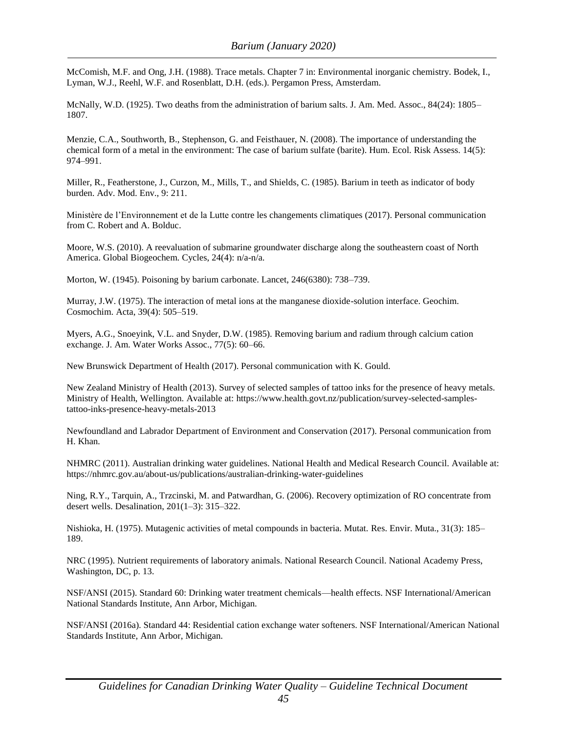McComish, M.F. and Ong, J.H. (1988). Trace metals. Chapter 7 in: Environmental inorganic chemistry. Bodek, I., Lyman, W.J., Reehl, W.F. and Rosenblatt, D.H. (eds.). Pergamon Press, Amsterdam.

McNally, W.D. (1925). Two deaths from the administration of barium salts. J. Am. Med. Assoc., 84(24): 1805– 1807.

Menzie, C.A., Southworth, B., Stephenson, G. and Feisthauer, N. (2008). The importance of understanding the chemical form of a metal in the environment: The case of barium sulfate (barite). Hum. Ecol. Risk Assess. 14(5): 974–991.

Miller, R., Featherstone, J., Curzon, M., Mills, T., and Shields, C. (1985). Barium in teeth as indicator of body burden. Adv. Mod. Env., 9: 211.

Ministère de l'Environnement et de la Lutte contre les changements climatiques (2017). Personal communication from C. Robert and A. Bolduc.

Moore, W.S. (2010). A reevaluation of submarine groundwater discharge along the southeastern coast of North America. Global Biogeochem. Cycles, 24(4): n/a-n/a.

Morton, W. (1945). Poisoning by barium carbonate. Lancet, 246(6380): 738–739.

Murray, J.W. (1975). The interaction of metal ions at the manganese dioxide-solution interface. Geochim. Cosmochim. Acta, 39(4): 505–519.

Myers, A.G., Snoeyink, V.L. and Snyder, D.W. (1985). Removing barium and radium through calcium cation exchange. J. Am. Water Works Assoc., 77(5): 60–66.

New Brunswick Department of Health (2017). Personal communication with K. Gould.

New Zealand Ministry of Health (2013). Survey of selected samples of tattoo inks for the presence of heavy metals. Ministry of Health, Wellington. Available at: https://www.health.govt.nz/publication/survey-selected-samplestattoo-inks-presence-heavy-metals-2013

Newfoundland and Labrador Department of Environment and Conservation (2017). Personal communication from H. Khan.

NHMRC (2011). Australian drinking water guidelines. National Health and Medical Research Council. Available at: https://nhmrc.gov.au/about-us/publications/australian-drinking-water-guidelines

Ning, R.Y., Tarquin, A., Trzcinski, M. and Patwardhan, G. (2006). Recovery optimization of RO concentrate from desert wells. Desalination, 201(1–3): 315–322.

Nishioka, H. (1975). Mutagenic activities of metal compounds in bacteria. Mutat. Res. Envir. Muta., 31(3): 185– 189.

NRC (1995). Nutrient requirements of laboratory animals. National Research Council. National Academy Press, Washington, DC, p. 13.

NSF/ANSI (2015). Standard 60: Drinking water treatment chemicals—health effects. NSF International/American National Standards Institute, Ann Arbor, Michigan.

NSF/ANSI (2016a). Standard 44: Residential cation exchange water softeners. NSF International/American National Standards Institute, Ann Arbor, Michigan.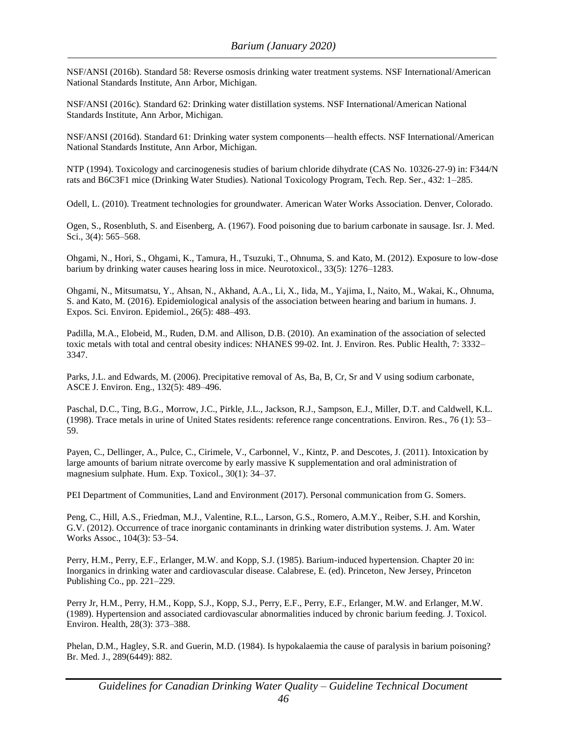NSF/ANSI (2016b). Standard 58: Reverse osmosis drinking water treatment systems. NSF International/American National Standards Institute, Ann Arbor, Michigan.

NSF/ANSI (2016c). Standard 62: Drinking water distillation systems. NSF International/American National Standards Institute, Ann Arbor, Michigan.

NSF/ANSI (2016d). Standard 61: Drinking water system components—health effects. NSF International/American National Standards Institute, Ann Arbor, Michigan.

NTP (1994). Toxicology and carcinogenesis studies of barium chloride dihydrate (CAS No. 10326-27-9) in: F344/N rats and B6C3F1 mice (Drinking Water Studies). National Toxicology Program, Tech. Rep. Ser., 432: 1–285.

Odell, L. (2010). Treatment technologies for groundwater. American Water Works Association. Denver, Colorado.

Ogen, S., Rosenbluth, S. and Eisenberg, A. (1967). Food poisoning due to barium carbonate in sausage. Isr. J. Med. Sci., 3(4): 565–568.

Ohgami, N., Hori, S., Ohgami, K., Tamura, H., Tsuzuki, T., Ohnuma, S. and Kato, M. (2012). Exposure to low-dose barium by drinking water causes hearing loss in mice. Neurotoxicol., 33(5): 1276–1283.

Ohgami, N., Mitsumatsu, Y., Ahsan, N., Akhand, A.A., Li, X., Iida, M., Yajima, I., Naito, M., Wakai, K., Ohnuma, S. and Kato, M. (2016). Epidemiological analysis of the association between hearing and barium in humans. J. Expos. Sci. Environ. Epidemiol., 26(5): 488–493.

Padilla, M.A., Elobeid, M., Ruden, D.M. and Allison, D.B. (2010). An examination of the association of selected toxic metals with total and central obesity indices: NHANES 99-02. Int. J. Environ. Res. Public Health, 7: 3332– 3347.

Parks, J.L. and Edwards, M. (2006). Precipitative removal of As, Ba, B, Cr, Sr and V using sodium carbonate, ASCE J. Environ. Eng., 132(5): 489–496.

Paschal, D.C., Ting, B.G., Morrow, J.C., Pirkle, J.L., Jackson, R.J., Sampson, E.J., Miller, D.T. and Caldwell, K.L. (1998). Trace metals in urine of United States residents: reference range concentrations. Environ. Res., 76 (1): 53– 59.

Payen, C., Dellinger, A., Pulce, C., Cirimele, V., Carbonnel, V., Kintz, P. and Descotes, J. (2011). Intoxication by large amounts of barium nitrate overcome by early massive K supplementation and oral administration of magnesium sulphate. Hum. Exp. Toxicol., 30(1): 34–37.

PEI Department of Communities, Land and Environment (2017). Personal communication from G. Somers.

Peng, C., Hill, A.S., Friedman, M.J., Valentine, R.L., Larson, G.S., Romero, A.M.Y., Reiber, S.H. and Korshin, G.V. (2012). Occurrence of trace inorganic contaminants in drinking water distribution systems. J. Am. Water Works Assoc., 104(3): 53–54.

Perry, H.M., Perry, E.F., Erlanger, M.W. and Kopp, S.J. (1985). Barium-induced hypertension. Chapter 20 in: Inorganics in drinking water and cardiovascular disease. Calabrese, E. (ed). Princeton, New Jersey, Princeton Publishing Co., pp. 221–229.

Perry Jr, H.M., Perry, H.M., Kopp, S.J., Kopp, S.J., Perry, E.F., Perry, E.F., Erlanger, M.W. and Erlanger, M.W. (1989). Hypertension and associated cardiovascular abnormalities induced by chronic barium feeding. J. Toxicol. Environ. Health, 28(3): 373–388.

Phelan, D.M., Hagley, S.R. and Guerin, M.D. (1984). Is hypokalaemia the cause of paralysis in barium poisoning? Br. Med. J., 289(6449): 882.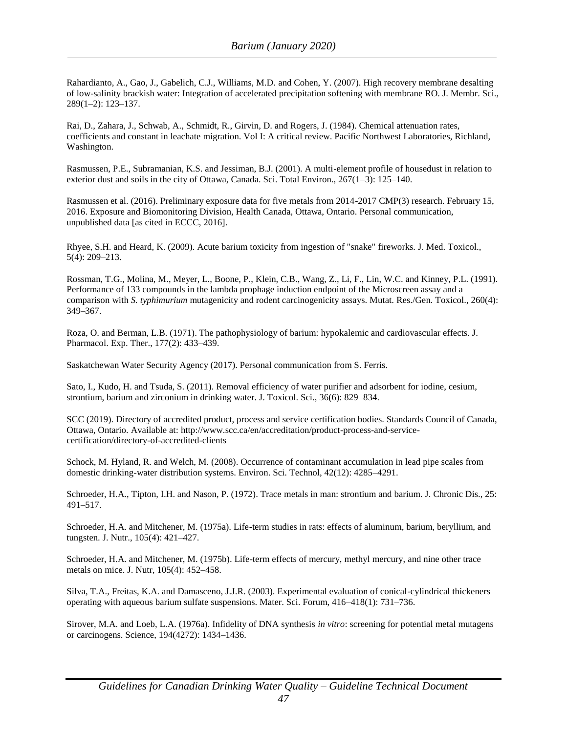Rahardianto, A., Gao, J., Gabelich, C.J., Williams, M.D. and Cohen, Y. (2007). High recovery membrane desalting of low-salinity brackish water: Integration of accelerated precipitation softening with membrane RO. J. Membr. Sci., 289(1–2): 123–137.

Rai, D., Zahara, J., Schwab, A., Schmidt, R., Girvin, D. and Rogers, J. (1984). Chemical attenuation rates, coefficients and constant in leachate migration. Vol I: A critical review. Pacific Northwest Laboratories, Richland, Washington.

Rasmussen, P.E., Subramanian, K.S. and Jessiman, B.J. (2001). A multi-element profile of housedust in relation to exterior dust and soils in the city of Ottawa, Canada. Sci. Total Environ., 267(1–3): 125–140.

Rasmussen et al. (2016). Preliminary exposure data for five metals from 2014-2017 CMP(3) research. February 15, 2016. Exposure and Biomonitoring Division, Health Canada, Ottawa, Ontario. Personal communication, unpublished data [as cited in ECCC, 2016].

Rhyee, S.H. and Heard, K. (2009). Acute barium toxicity from ingestion of "snake" fireworks. J. Med. Toxicol., 5(4): 209–213.

Rossman, T.G., Molina, M., Meyer, L., Boone, P., Klein, C.B., Wang, Z., Li, F., Lin, W.C. and Kinney, P.L. (1991). Performance of 133 compounds in the lambda prophage induction endpoint of the Microscreen assay and a comparison with *S. typhimurium* mutagenicity and rodent carcinogenicity assays. Mutat. Res./Gen. Toxicol., 260(4): 349–367.

Roza, O. and Berman, L.B. (1971). The pathophysiology of barium: hypokalemic and cardiovascular effects. J. Pharmacol. Exp. Ther., 177(2): 433–439.

Saskatchewan Water Security Agency (2017). Personal communication from S. Ferris.

Sato, I., Kudo, H. and Tsuda, S. (2011). Removal efficiency of water purifier and adsorbent for iodine, cesium, strontium, barium and zirconium in drinking water. J. Toxicol. Sci., 36(6): 829–834.

SCC (2019). Directory of accredited product, process and service certification bodies. Standards Council of Canada, Ottawa, Ontario. Available at: http://www.scc.ca/en/accreditation/product-process-and-servicecertification/directory-of-accredited-clients

Schock, M. Hyland, R. and Welch, M. (2008). Occurrence of contaminant accumulation in lead pipe scales from domestic drinking-water distribution systems. Environ. Sci. Technol, 42(12): 4285–4291.

Schroeder, H.A., Tipton, I.H. and Nason, P. (1972). Trace metals in man: strontium and barium. J. Chronic Dis., 25: 491–517.

Schroeder, H.A. and Mitchener, M. (1975a). Life-term studies in rats: effects of aluminum, barium, beryllium, and tungsten. J. Nutr., 105(4): 421–427.

Schroeder, H.A. and Mitchener, M. (1975b). Life-term effects of mercury, methyl mercury, and nine other trace metals on mice. J. Nutr, 105(4): 452–458.

Silva, T.A., Freitas, K.A. and Damasceno, J.J.R. (2003). Experimental evaluation of conical-cylindrical thickeners operating with aqueous barium sulfate suspensions. Mater. Sci. Forum, 416–418(1): 731–736.

Sirover, M.A. and Loeb, L.A. (1976a). Infidelity of DNA synthesis *in vitro*: screening for potential metal mutagens or carcinogens. Science, 194(4272): 1434–1436.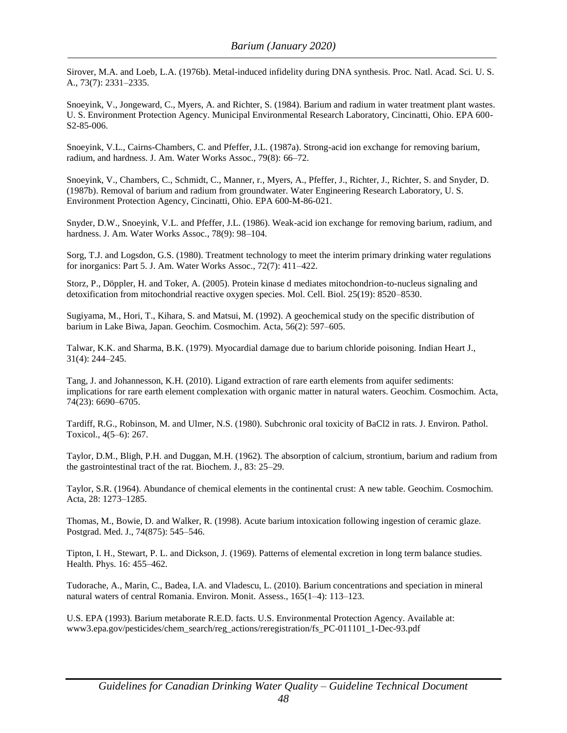Sirover, M.A. and Loeb, L.A. (1976b). Metal-induced infidelity during DNA synthesis. Proc. Natl. Acad. Sci. U. S. A., 73(7): 2331–2335.

Snoeyink, V., Jongeward, C., Myers, A. and Richter, S. (1984). Barium and radium in water treatment plant wastes. U. S. Environment Protection Agency. Municipal Environmental Research Laboratory, Cincinatti, Ohio. EPA 600- S2-85-006.

Snoeyink, V.L., Cairns-Chambers, C. and Pfeffer, J.L. (1987a). Strong-acid ion exchange for removing barium, radium, and hardness. J. Am. Water Works Assoc., 79(8): 66–72.

Snoeyink, V., Chambers, C., Schmidt, C., Manner, r., Myers, A., Pfeffer, J., Richter, J., Richter, S. and Snyder, D. (1987b). Removal of barium and radium from groundwater. Water Engineering Research Laboratory, U. S. Environment Protection Agency, Cincinatti, Ohio. EPA 600-M-86-021.

Snyder, D.W., Snoeyink, V.L. and Pfeffer, J.L. (1986). Weak-acid ion exchange for removing barium, radium, and hardness. J. Am. Water Works Assoc., 78(9): 98-104.

Sorg, T.J. and Logsdon, G.S. (1980). Treatment technology to meet the interim primary drinking water regulations for inorganics: Part 5. J. Am. Water Works Assoc., 72(7): 411–422.

Storz, P., Döppler, H. and Toker, A. (2005). Protein kinase d mediates mitochondrion-to-nucleus signaling and detoxification from mitochondrial reactive oxygen species. Mol. Cell. Biol. 25(19): 8520–8530.

Sugiyama, M., Hori, T., Kihara, S. and Matsui, M. (1992). A geochemical study on the specific distribution of barium in Lake Biwa, Japan. Geochim. Cosmochim. Acta, 56(2): 597–605.

Talwar, K.K. and Sharma, B.K. (1979). Myocardial damage due to barium chloride poisoning. Indian Heart J., 31(4): 244–245.

Tang, J. and Johannesson, K.H. (2010). Ligand extraction of rare earth elements from aquifer sediments: implications for rare earth element complexation with organic matter in natural waters. Geochim. Cosmochim. Acta, 74(23): 6690–6705.

Tardiff, R.G., Robinson, M. and Ulmer, N.S. (1980). Subchronic oral toxicity of BaCl2 in rats. J. Environ. Pathol. Toxicol., 4(5–6): 267.

Taylor, D.M., Bligh, P.H. and Duggan, M.H. (1962). The absorption of calcium, strontium, barium and radium from the gastrointestinal tract of the rat. Biochem. J., 83: 25–29.

Taylor, S.R. (1964). Abundance of chemical elements in the continental crust: A new table. Geochim. Cosmochim. Acta, 28: 1273–1285.

Thomas, M., Bowie, D. and Walker, R. (1998). Acute barium intoxication following ingestion of ceramic glaze. Postgrad. Med. J., 74(875): 545–546.

Tipton, I. H., Stewart, P. L. and Dickson, J. (1969). Patterns of elemental excretion in long term balance studies. Health. Phys. 16: 455–462.

Tudorache, A., Marin, C., Badea, I.A. and Vladescu, L. (2010). Barium concentrations and speciation in mineral natural waters of central Romania. Environ. Monit. Assess., 165(1–4): 113–123.

U.S. EPA (1993). Barium metaborate R.E.D. facts. U.S. Environmental Protection Agency. Available at: www3.epa.gov/pesticides/chem\_search/reg\_actions/reregistration/fs\_PC-011101\_1-Dec-93.pdf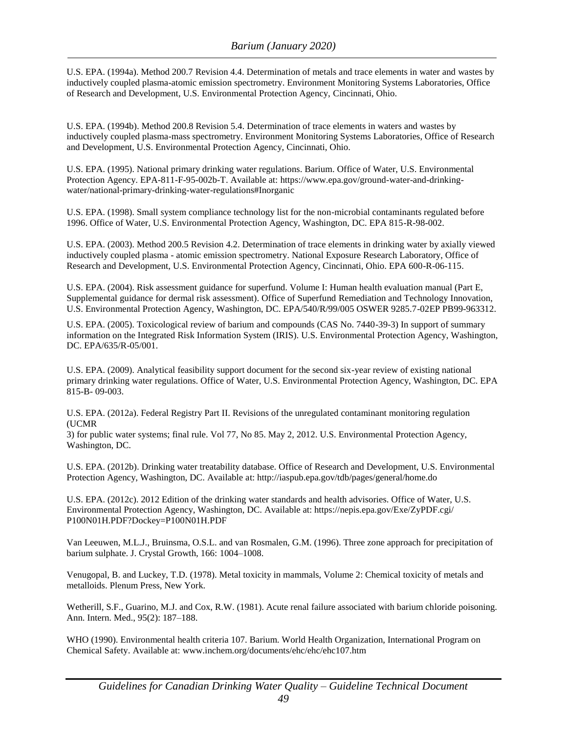U.S. EPA. (1994a). Method 200.7 Revision 4.4. Determination of metals and trace elements in water and wastes by inductively coupled plasma-atomic emission spectrometry. Environment Monitoring Systems Laboratories, Office of Research and Development, U.S. Environmental Protection Agency, Cincinnati, Ohio.

U.S. EPA. (1994b). Method 200.8 Revision 5.4. Determination of trace elements in waters and wastes by inductively coupled plasma-mass spectrometry. Environment Monitoring Systems Laboratories, Office of Research and Development, U.S. Environmental Protection Agency, Cincinnati, Ohio.

U.S. EPA. (1995). National primary drinking water regulations. Barium. Office of Water, U.S. Environmental Protection Agency. EPA-811-F-95-002b-T. Available at: https://www.epa.gov/ground-water-and-drinkingwater/national-primary-drinking-water-regulations#Inorganic

U.S. EPA. (1998). Small system compliance technology list for the non-microbial contaminants regulated before 1996. Office of Water, U.S. Environmental Protection Agency, Washington, DC. EPA 815-R-98-002.

U.S. EPA. (2003). Method 200.5 Revision 4.2. Determination of trace elements in drinking water by axially viewed inductively coupled plasma - atomic emission spectrometry. National Exposure Research Laboratory, Office of Research and Development, U.S. Environmental Protection Agency, Cincinnati, Ohio. EPA 600-R-06-115.

U.S. EPA. (2004). Risk assessment guidance for superfund. Volume I: Human health evaluation manual (Part E, Supplemental guidance for dermal risk assessment). Office of Superfund Remediation and Technology Innovation, U.S. Environmental Protection Agency, Washington, DC. EPA/540/R/99/005 OSWER 9285.7-02EP PB99-963312.

U.S. EPA. (2005). Toxicological review of barium and compounds (CAS No. 7440-39-3) In support of summary information on the Integrated Risk Information System (IRIS). U.S. Environmental Protection Agency, Washington, DC. EPA/635/R-05/001.

U.S. EPA. (2009). Analytical feasibility support document for the second six-year review of existing national primary drinking water regulations. Office of Water, U.S. Environmental Protection Agency, Washington, DC. EPA 815-B- 09-003.

U.S. EPA. (2012a). Federal Registry Part II. Revisions of the unregulated contaminant monitoring regulation (UCMR

3) for public water systems; final rule. Vol 77, No 85. May 2, 2012. U.S. Environmental Protection Agency, Washington, DC.

U.S. EPA. (2012b). Drinking water treatability database. Office of Research and Development, U.S. Environmental Protection Agency, Washington, DC. Available at:<http://iaspub.epa.gov/tdb/pages/general/home.do>

U.S. EPA. (2012c). 2012 Edition of the drinking water standards and health advisories. Office of Water, U.S. Environmental Protection Agency, Washington, DC. Available at: https://nepis.epa.gov/Exe/ZyPDF.cgi/ P100N01H.PDF?Dockey=P100N01H.PDF

Van Leeuwen, M.L.J., Bruinsma, O.S.L. and van Rosmalen, G.M. (1996). Three zone approach for precipitation of barium sulphate. J. Crystal Growth, 166: 1004–1008.

Venugopal, B. and Luckey, T.D. (1978). Metal toxicity in mammals, Volume 2: Chemical toxicity of metals and metalloids. Plenum Press, New York.

Wetherill, S.F., Guarino, M.J. and Cox, R.W. (1981). Acute renal failure associated with barium chloride poisoning. Ann. Intern. Med., 95(2): 187–188.

WHO (1990). Environmental health criteria 107. Barium. World Health Organization, International Program on Chemical Safety. Available at: [www.inchem.org/documents/ehc/ehc/ehc107.htm](http://www.inchem.org/documents/ehc/ehc/ehc107.htm)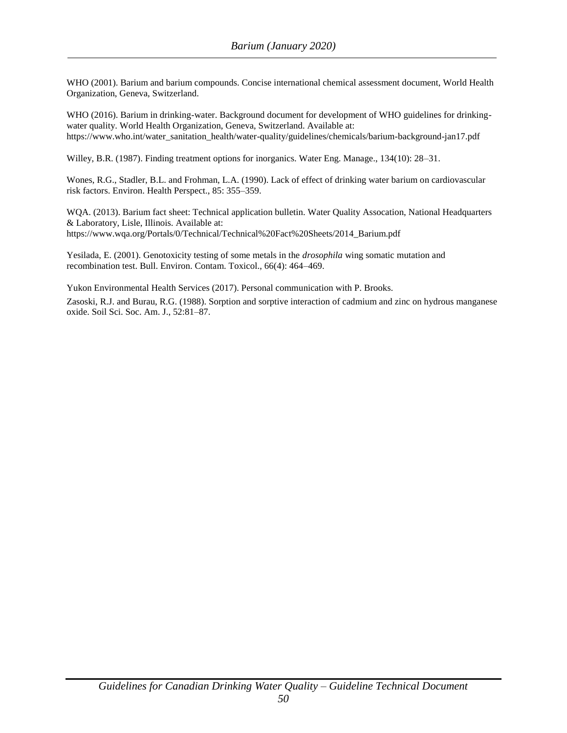WHO (2001). Barium and barium compounds. Concise international chemical assessment document, World Health Organization, Geneva, Switzerland.

WHO (2016). Barium in drinking-water. Background document for development of WHO guidelines for drinkingwater quality. World Health Organization, Geneva, Switzerland. Available at: https://www.who.int/water\_sanitation\_health/water-quality/guidelines/chemicals/barium-background-jan17.pdf

Willey, B.R. (1987). Finding treatment options for inorganics. Water Eng. Manage., 134(10): 28–31.

Wones, R.G., Stadler, B.L. and Frohman, L.A. (1990). Lack of effect of drinking water barium on cardiovascular risk factors. Environ. Health Perspect., 85: 355–359.

WQA. (2013). Barium fact sheet: Technical application bulletin. Water Quality Assocation, National Headquarters & Laboratory, Lisle, Illinois. Available at: https://www.wqa.org/Portals/0/Technical/Technical%20Fact%20Sheets/2014\_Barium.pdf

Yesilada, E. (2001). Genotoxicity testing of some metals in the *drosophila* wing somatic mutation and recombination test. Bull. Environ. Contam. Toxicol., 66(4): 464–469.

Yukon Environmental Health Services (2017). Personal communication with P. Brooks.

Zasoski, R.J. and Burau, R.G. (1988). Sorption and sorptive interaction of cadmium and zinc on hydrous manganese oxide. Soil Sci. Soc. Am. J., 52:81–87.